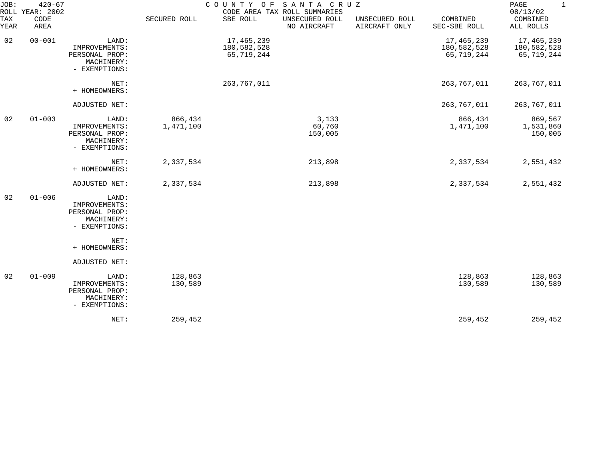| JOB:        | $420 - 67$<br>ROLL YEAR: 2002 | COUNTY OF SANTA CRUZ<br>CODE AREA TAX ROLL SUMMARIES                    |                      |                                         |                               |                                 |                                         |                                         |  |
|-------------|-------------------------------|-------------------------------------------------------------------------|----------------------|-----------------------------------------|-------------------------------|---------------------------------|-----------------------------------------|-----------------------------------------|--|
| TAX<br>YEAR | CODE<br>AREA                  |                                                                         | SECURED ROLL         | SBE ROLL                                | UNSECURED ROLL<br>NO AIRCRAFT | UNSECURED ROLL<br>AIRCRAFT ONLY | COMBINED<br>SEC-SBE ROLL                | COMBINED<br>ALL ROLLS                   |  |
| 02          | $00 - 001$                    | LAND:<br>IMPROVEMENTS:<br>PERSONAL PROP:<br>MACHINERY:<br>- EXEMPTIONS: |                      | 17,465,239<br>180,582,528<br>65,719,244 |                               |                                 | 17,465,239<br>180,582,528<br>65,719,244 | 17,465,239<br>180,582,528<br>65,719,244 |  |
|             |                               | NET:<br>+ HOMEOWNERS:                                                   |                      | 263,767,011                             |                               |                                 | 263,767,011                             | 263,767,011                             |  |
|             |                               | ADJUSTED NET:                                                           |                      |                                         |                               |                                 | 263,767,011                             | 263,767,011                             |  |
| 02          | $01 - 003$                    | LAND:<br>IMPROVEMENTS:<br>PERSONAL PROP:<br>MACHINERY:<br>- EXEMPTIONS: | 866,434<br>1,471,100 |                                         | 3,133<br>60,760<br>150,005    |                                 | 866,434<br>1,471,100                    | 869,567<br>1,531,860<br>150,005         |  |
|             |                               | NET:<br>+ HOMEOWNERS:                                                   | 2,337,534            |                                         | 213,898                       |                                 | 2,337,534                               | 2,551,432                               |  |
|             |                               | ADJUSTED NET:                                                           | 2,337,534            |                                         | 213,898                       |                                 | 2,337,534                               | 2,551,432                               |  |
| 02          | $01 - 006$                    | LAND:<br>IMPROVEMENTS:<br>PERSONAL PROP:<br>MACHINERY:<br>- EXEMPTIONS: |                      |                                         |                               |                                 |                                         |                                         |  |
|             |                               | NET:<br>+ HOMEOWNERS:                                                   |                      |                                         |                               |                                 |                                         |                                         |  |
|             |                               | ADJUSTED NET:                                                           |                      |                                         |                               |                                 |                                         |                                         |  |
| 02          | $01 - 009$                    | LAND:<br>IMPROVEMENTS:<br>PERSONAL PROP:<br>MACHINERY:<br>- EXEMPTIONS: | 128,863<br>130,589   |                                         |                               |                                 | 128,863<br>130,589                      | 128,863<br>130,589                      |  |
|             |                               | NET:                                                                    | 259,452              |                                         |                               |                                 | 259,452                                 | 259,452                                 |  |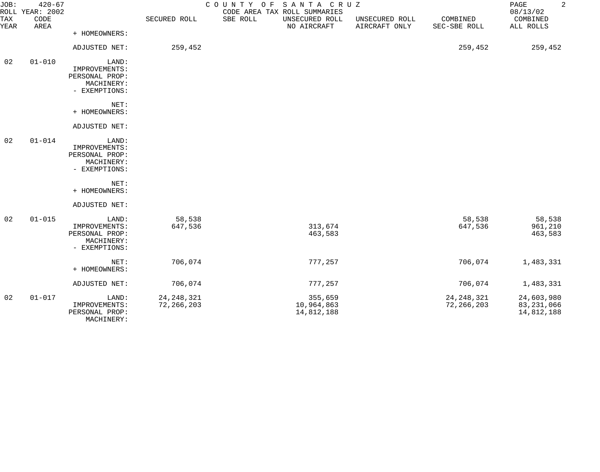| JOB:<br>TAX<br>YEAR | $420 - 67$<br>ROLL YEAR: 2002<br>CODE<br>AREA |                                                                         | SECURED ROLL                 | COUNTY OF SANTA CRUZ<br>SBE ROLL | CODE AREA TAX ROLL SUMMARIES<br>UNSECURED ROLL<br>NO AIRCRAFT | UNSECURED ROLL<br>AIRCRAFT ONLY | COMBINED<br>SEC-SBE ROLL     | $\overline{a}$<br>PAGE<br>08/13/02<br>COMBINED<br>ALL ROLLS |
|---------------------|-----------------------------------------------|-------------------------------------------------------------------------|------------------------------|----------------------------------|---------------------------------------------------------------|---------------------------------|------------------------------|-------------------------------------------------------------|
|                     |                                               | + HOMEOWNERS:                                                           |                              |                                  |                                                               |                                 |                              |                                                             |
|                     |                                               | ADJUSTED NET:                                                           | 259,452                      |                                  |                                                               |                                 | 259,452                      | 259,452                                                     |
| 02                  | $01 - 010$                                    | LAND:<br>IMPROVEMENTS:<br>PERSONAL PROP:<br>MACHINERY:<br>- EXEMPTIONS: |                              |                                  |                                                               |                                 |                              |                                                             |
|                     |                                               | NET:<br>+ HOMEOWNERS:                                                   |                              |                                  |                                                               |                                 |                              |                                                             |
|                     |                                               | ADJUSTED NET:                                                           |                              |                                  |                                                               |                                 |                              |                                                             |
| 02                  | $01 - 014$                                    | LAND:<br>IMPROVEMENTS:<br>PERSONAL PROP:<br>MACHINERY:<br>- EXEMPTIONS: |                              |                                  |                                                               |                                 |                              |                                                             |
|                     |                                               | NET:<br>+ HOMEOWNERS:                                                   |                              |                                  |                                                               |                                 |                              |                                                             |
|                     |                                               | ADJUSTED NET:                                                           |                              |                                  |                                                               |                                 |                              |                                                             |
| 02                  | $01 - 015$                                    | LAND:<br>IMPROVEMENTS:<br>PERSONAL PROP:<br>MACHINERY:<br>- EXEMPTIONS: | 58,538<br>647,536            |                                  | 313,674<br>463,583                                            |                                 | 58,538<br>647,536            | 58,538<br>961,210<br>463,583                                |
|                     |                                               | NET:<br>+ HOMEOWNERS:                                                   | 706,074                      |                                  | 777,257                                                       |                                 | 706,074                      | 1,483,331                                                   |
|                     |                                               | ADJUSTED NET:                                                           | 706,074                      |                                  | 777,257                                                       |                                 | 706,074                      | 1,483,331                                                   |
| 02                  | $01 - 017$                                    | LAND:<br>IMPROVEMENTS:<br>PERSONAL PROP:                                | 24, 248, 321<br>72, 266, 203 |                                  | 355,659<br>10,964,863<br>14,812,188                           |                                 | 24, 248, 321<br>72, 266, 203 | 24,603,980<br>83, 231, 066<br>14,812,188                    |

MACHINERY: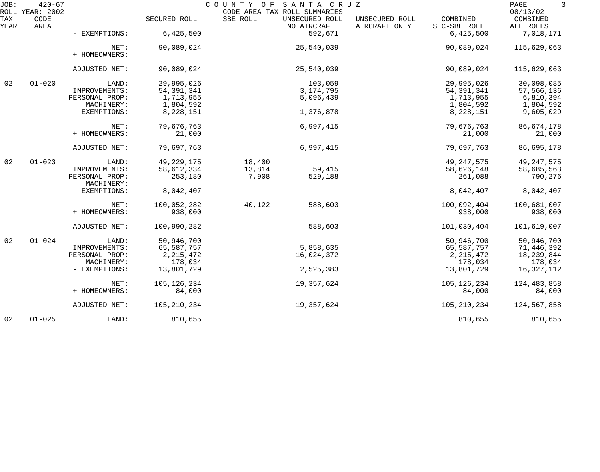| JOB:<br>ROLL | $420 - 67$<br>YEAR: 2002 |                       |               | COUNTY OF | SANTA CRUZ<br>CODE AREA TAX ROLL SUMMARIES |                                 |                          | PAGE<br>3<br>08/13/02 |
|--------------|--------------------------|-----------------------|---------------|-----------|--------------------------------------------|---------------------------------|--------------------------|-----------------------|
| TAX<br>YEAR  | CODE<br>AREA             |                       | SECURED ROLL  | SBE ROLL  | UNSECURED ROLL<br>NO AIRCRAFT              | UNSECURED ROLL<br>AIRCRAFT ONLY | COMBINED<br>SEC-SBE ROLL | COMBINED<br>ALL ROLLS |
|              |                          | - EXEMPTIONS:         | 6,425,500     |           | 592,671                                    |                                 | 6,425,500                | 7,018,171             |
|              |                          | NET:<br>+ HOMEOWNERS: | 90,089,024    |           | 25,540,039                                 |                                 | 90,089,024               | 115,629,063           |
|              |                          | ADJUSTED NET:         | 90,089,024    |           | 25,540,039                                 |                                 | 90,089,024               | 115,629,063           |
| 02           | $01 - 020$               | LAND:                 | 29,995,026    |           | 103,059                                    |                                 | 29,995,026               | 30,098,085            |
|              |                          | IMPROVEMENTS:         | 54, 391, 341  |           | 3, 174, 795                                |                                 | 54, 391, 341             | 57,566,136            |
|              |                          | PERSONAL PROP:        | 1,713,955     |           | 5,096,439                                  |                                 | 1,713,955                | 6,810,394             |
|              |                          | MACHINERY:            | 1,804,592     |           |                                            |                                 | 1,804,592                | 1,804,592             |
|              |                          | - EXEMPTIONS:         | 8,228,151     |           | 1,376,878                                  |                                 | 8,228,151                | 9,605,029             |
|              |                          | NET:                  | 79,676,763    |           | 6,997,415                                  |                                 | 79,676,763               | 86,674,178            |
|              |                          | + HOMEOWNERS:         | 21,000        |           |                                            |                                 | 21,000                   | 21,000                |
|              |                          |                       |               |           |                                            |                                 |                          |                       |
|              |                          | ADJUSTED NET:         | 79,697,763    |           | 6,997,415                                  |                                 | 79,697,763               | 86,695,178            |
| 02           | $01 - 023$               | LAND:                 | 49, 229, 175  | 18,400    |                                            |                                 | 49, 247, 575             | 49, 247, 575          |
|              |                          | IMPROVEMENTS:         | 58,612,334    | 13,814    | 59,415                                     |                                 | 58,626,148               | 58,685,563            |
|              |                          | PERSONAL PROP:        | 253,180       | 7,908     | 529,188                                    |                                 | 261,088                  | 790,276               |
|              |                          | MACHINERY:            |               |           |                                            |                                 |                          |                       |
|              |                          | - EXEMPTIONS:         | 8,042,407     |           |                                            |                                 | 8,042,407                | 8,042,407             |
|              |                          | NET:                  | 100,052,282   | 40,122    | 588,603                                    |                                 | 100,092,404              | 100,681,007           |
|              |                          | + HOMEOWNERS:         | 938,000       |           |                                            |                                 | 938,000                  | 938,000               |
|              |                          | ADJUSTED NET:         | 100,990,282   |           | 588,603                                    |                                 | 101,030,404              | 101,619,007           |
| 02           | $01 - 024$               | LAND:                 | 50,946,700    |           |                                            |                                 | 50,946,700               | 50,946,700            |
|              |                          | IMPROVEMENTS:         | 65,587,757    |           | 5,858,635                                  |                                 | 65,587,757               | 71,446,392            |
|              |                          | PERSONAL PROP:        | 2, 215, 472   |           | 16,024,372                                 |                                 | 2, 215, 472              | 18,239,844            |
|              |                          | MACHINERY:            | 178,034       |           |                                            |                                 | 178,034                  | 178,034               |
|              |                          | - EXEMPTIONS:         | 13,801,729    |           | 2,525,383                                  |                                 | 13,801,729               | 16, 327, 112          |
|              |                          |                       |               |           |                                            |                                 |                          |                       |
|              |                          | NET:                  | 105, 126, 234 |           | 19,357,624                                 |                                 | 105, 126, 234            | 124, 483, 858         |
|              |                          | + HOMEOWNERS:         | 84,000        |           |                                            |                                 | 84,000                   | 84,000                |
|              |                          | ADJUSTED NET:         | 105, 210, 234 |           | 19,357,624                                 |                                 | 105,210,234              | 124,567,858           |
| 02           | $01 - 025$               | LAND:                 | 810,655       |           |                                            |                                 | 810,655                  | 810,655               |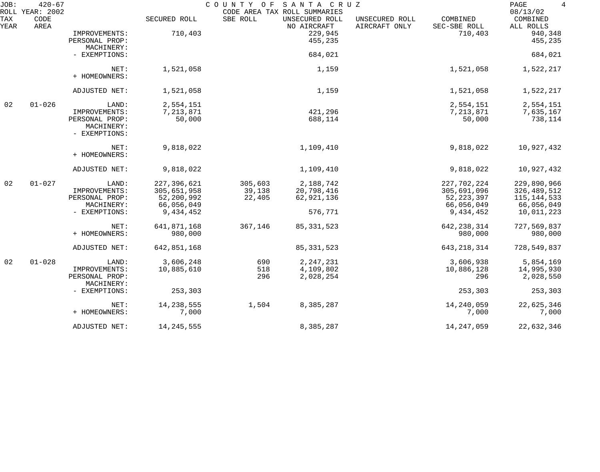| JOB:        | $420 - 67$<br>ROLL YEAR: 2002 |                |              | COUNTY OF | SANTA CRUZ<br>CODE AREA TAX ROLL SUMMARIES |                                 |                          | $\overline{4}$<br>PAGE<br>08/13/02 |
|-------------|-------------------------------|----------------|--------------|-----------|--------------------------------------------|---------------------------------|--------------------------|------------------------------------|
| TAX<br>YEAR | CODE<br>AREA                  |                | SECURED ROLL | SBE ROLL  | UNSECURED ROLL<br>NO AIRCRAFT              | UNSECURED ROLL<br>AIRCRAFT ONLY | COMBINED<br>SEC-SBE ROLL | COMBINED<br>ALL ROLLS              |
|             |                               | IMPROVEMENTS:  | 710,403      |           | 229,945                                    |                                 | 710,403                  | 940,348                            |
|             |                               | PERSONAL PROP: |              |           | 455,235                                    |                                 |                          | 455,235                            |
|             |                               | MACHINERY:     |              |           |                                            |                                 |                          |                                    |
|             |                               | - EXEMPTIONS:  |              |           | 684,021                                    |                                 |                          | 684,021                            |
|             |                               |                |              |           |                                            |                                 |                          |                                    |
|             |                               | NET:           | 1,521,058    |           | 1,159                                      |                                 | 1,521,058                | 1,522,217                          |
|             |                               | + HOMEOWNERS:  |              |           |                                            |                                 |                          |                                    |
|             |                               | ADJUSTED NET:  | 1,521,058    |           | 1,159                                      |                                 | 1,521,058                | 1,522,217                          |
|             |                               |                |              |           |                                            |                                 |                          |                                    |
| 02          | $01 - 026$                    | LAND:          | 2,554,151    |           |                                            |                                 | 2,554,151                | 2,554,151                          |
|             |                               | IMPROVEMENTS:  | 7,213,871    |           | 421,296                                    |                                 | 7,213,871                | 7,635,167                          |
|             |                               | PERSONAL PROP: | 50,000       |           | 688,114                                    |                                 | 50,000                   | 738,114                            |
|             |                               | MACHINERY:     |              |           |                                            |                                 |                          |                                    |
|             |                               | - EXEMPTIONS:  |              |           |                                            |                                 |                          |                                    |
|             |                               | NET:           | 9,818,022    |           | 1,109,410                                  |                                 | 9,818,022                | 10,927,432                         |
|             |                               | + HOMEOWNERS:  |              |           |                                            |                                 |                          |                                    |
|             |                               |                |              |           |                                            |                                 |                          |                                    |
|             |                               | ADJUSTED NET:  | 9,818,022    |           | 1,109,410                                  |                                 | 9,818,022                | 10,927,432                         |
| 02          | $01 - 027$                    | LAND:          | 227,396,621  | 305,603   | 2,188,742                                  |                                 | 227,702,224              | 229,890,966                        |
|             |                               | IMPROVEMENTS:  | 305,651,958  | 39,138    | 20,798,416                                 |                                 | 305,691,096              | 326,489,512                        |
|             |                               | PERSONAL PROP: | 52,200,992   | 22,405    | 62,921,136                                 |                                 | 52, 223, 397             | 115, 144, 533                      |
|             |                               | MACHINERY:     | 66,056,049   |           |                                            |                                 | 66,056,049               | 66,056,049                         |
|             |                               | - EXEMPTIONS:  | 9,434,452    |           | 576,771                                    |                                 | 9,434,452                | 10,011,223                         |
|             |                               | NET:           | 641,871,168  | 367,146   | 85, 331, 523                               |                                 | 642, 238, 314            | 727,569,837                        |
|             |                               | + HOMEOWNERS:  | 980,000      |           |                                            |                                 | 980,000                  | 980,000                            |
|             |                               |                |              |           |                                            |                                 |                          |                                    |
|             |                               | ADJUSTED NET:  | 642,851,168  |           | 85, 331, 523                               |                                 | 643, 218, 314            | 728,549,837                        |
| 02          | $01 - 028$                    | LAND:          | 3,606,248    | 690       | 2, 247, 231                                |                                 | 3,606,938                | 5,854,169                          |
|             |                               | IMPROVEMENTS:  | 10,885,610   | 518       | 4,109,802                                  |                                 | 10,886,128               | 14,995,930                         |
|             |                               | PERSONAL PROP: |              | 296       | 2,028,254                                  |                                 | 296                      | 2,028,550                          |
|             |                               | MACHINERY:     |              |           |                                            |                                 |                          |                                    |
|             |                               | - EXEMPTIONS:  | 253,303      |           |                                            |                                 | 253,303                  | 253,303                            |
|             |                               | NET:           | 14, 238, 555 | 1,504     | 8,385,287                                  |                                 | 14,240,059               | 22,625,346                         |
|             |                               | + HOMEOWNERS:  | 7,000        |           |                                            |                                 | 7,000                    | 7,000                              |
|             |                               |                |              |           |                                            |                                 |                          |                                    |
|             |                               | ADJUSTED NET:  | 14, 245, 555 |           | 8,385,287                                  |                                 | 14, 247, 059             | 22,632,346                         |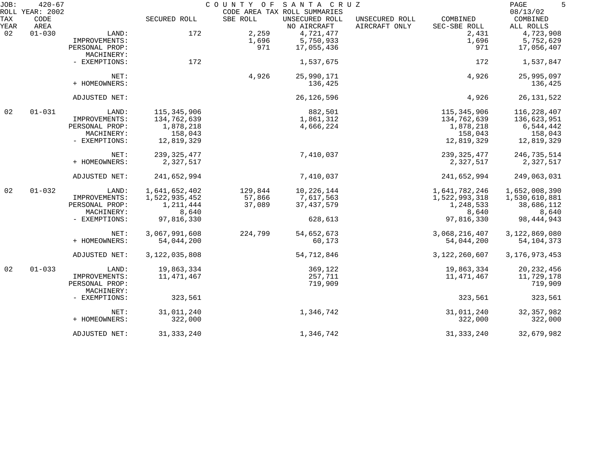| JOB:        | $420 - 67$<br>ROLL YEAR: 2002 |                              |               | COUNTY OF | SANTA CRUZ<br>CODE AREA TAX ROLL SUMMARIES |                                 |                          | PAGE<br>5<br>08/13/02 |
|-------------|-------------------------------|------------------------------|---------------|-----------|--------------------------------------------|---------------------------------|--------------------------|-----------------------|
| TAX<br>YEAR | CODE<br>AREA                  |                              | SECURED ROLL  | SBE ROLL  | UNSECURED ROLL<br>NO AIRCRAFT              | UNSECURED ROLL<br>AIRCRAFT ONLY | COMBINED<br>SEC-SBE ROLL | COMBINED<br>ALL ROLLS |
| 02          | $01 - 030$                    | LAND:                        | 172           | 2,259     | 4,721,477                                  |                                 | 2,431                    | 4,723,908             |
|             |                               | IMPROVEMENTS:                |               | 1,696     | 5,750,933                                  |                                 | 1,696                    | 5,752,629             |
|             |                               | PERSONAL PROP:               |               | 971       | 17,055,436                                 |                                 | 971                      | 17,056,407            |
|             |                               | MACHINERY:                   |               |           |                                            |                                 |                          |                       |
|             |                               | - EXEMPTIONS:                | 172           |           | 1,537,675                                  |                                 | 172                      | 1,537,847             |
|             |                               | NET:                         |               | 4,926     | 25,990,171                                 |                                 | 4,926                    | 25,995,097            |
|             |                               | + HOMEOWNERS:                |               |           | 136,425                                    |                                 |                          | 136,425               |
|             |                               | ADJUSTED NET:                |               |           | 26, 126, 596                               |                                 | 4,926                    | 26, 131, 522          |
| 02          | $01 - 031$                    | LAND:                        | 115,345,906   |           | 882,501                                    |                                 | 115,345,906              | 116, 228, 407         |
|             |                               | IMPROVEMENTS:                | 134,762,639   |           | 1,861,312                                  |                                 | 134,762,639              | 136,623,951           |
|             |                               | PERSONAL PROP:               | 1,878,218     |           | 4,666,224                                  |                                 | 1,878,218                | 6,544,442             |
|             |                               | MACHINERY:                   | 158,043       |           |                                            |                                 | 158,043                  | 158,043               |
|             |                               | - EXEMPTIONS:                | 12,819,329    |           |                                            |                                 | 12,819,329               | 12,819,329            |
|             |                               | NET:                         | 239, 325, 477 |           | 7,410,037                                  |                                 | 239, 325, 477            | 246,735,514           |
|             |                               | + HOMEOWNERS:                | 2,327,517     |           |                                            |                                 | 2,327,517                | 2,327,517             |
|             |                               | ADJUSTED NET:                | 241,652,994   |           | 7,410,037                                  |                                 | 241,652,994              | 249,063,031           |
| 02          | $01 - 032$                    | LAND:                        | 1,641,652,402 | 129,844   | 10, 226, 144                               |                                 | 1,641,782,246            | 1,652,008,390         |
|             |                               | IMPROVEMENTS:                | 1,522,935,452 | 57,866    | 7,617,563                                  |                                 | 1,522,993,318            | 1,530,610,881         |
|             |                               | PERSONAL PROP:               | 1,211,444     | 37,089    | 37, 437, 579                               |                                 | 1,248,533                | 38,686,112            |
|             |                               | MACHINERY:                   | 8,640         |           |                                            |                                 | 8,640                    | 8,640                 |
|             |                               | - EXEMPTIONS:                | 97,816,330    |           | 628,613                                    |                                 | 97,816,330               | 98, 444, 943          |
|             |                               | NET:                         | 3,067,991,608 | 224,799   | 54,652,673                                 |                                 | 3,068,216,407            | 3,122,869,080         |
|             |                               | + HOMEOWNERS:                | 54,044,200    |           | 60,173                                     |                                 | 54,044,200               | 54, 104, 373          |
|             |                               | ADJUSTED NET:                | 3,122,035,808 |           | 54,712,846                                 |                                 | 3,122,260,607            | 3, 176, 973, 453      |
| 02          | $01 - 033$                    | LAND:                        | 19,863,334    |           | 369,122                                    |                                 | 19,863,334               | 20, 232, 456          |
|             |                               | IMPROVEMENTS:                | 11,471,467    |           | 257,711                                    |                                 | 11,471,467               | 11,729,178            |
|             |                               | PERSONAL PROP:<br>MACHINERY: |               |           | 719,909                                    |                                 |                          | 719,909               |
|             |                               | - EXEMPTIONS:                | 323,561       |           |                                            |                                 | 323,561                  | 323,561               |
|             |                               | NET:                         | 31,011,240    |           | 1,346,742                                  |                                 | 31,011,240               | 32, 357, 982          |
|             |                               | + HOMEOWNERS:                | 322,000       |           |                                            |                                 | 322,000                  | 322,000               |
|             |                               | ADJUSTED NET:                | 31, 333, 240  |           | 1,346,742                                  |                                 | 31, 333, 240             | 32,679,982            |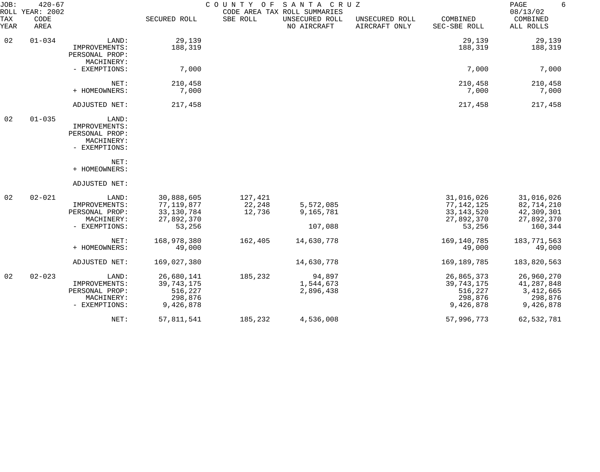| JOB:               | $420 - 67$<br>ROLL YEAR: 2002 |                                                                         |                                                                  | C O U N T Y<br>O F          | SANTA CRUZ<br>CODE AREA TAX ROLL SUMMARIES |                                 |                                                                  | PAGE<br>6<br>08/13/02                                           |
|--------------------|-------------------------------|-------------------------------------------------------------------------|------------------------------------------------------------------|-----------------------------|--------------------------------------------|---------------------------------|------------------------------------------------------------------|-----------------------------------------------------------------|
| <b>TAX</b><br>YEAR | CODE<br>AREA                  |                                                                         | SECURED ROLL                                                     | SBE ROLL                    | UNSECURED ROLL<br>NO AIRCRAFT              | UNSECURED ROLL<br>AIRCRAFT ONLY | COMBINED<br>SEC-SBE ROLL                                         | COMBINED<br>ALL ROLLS                                           |
| 02                 | $01 - 034$                    | LAND:<br>IMPROVEMENTS:<br>PERSONAL PROP:<br>MACHINERY:                  | 29,139<br>188,319                                                |                             |                                            |                                 | 29,139<br>188,319                                                | 29,139<br>188,319                                               |
|                    |                               | - EXEMPTIONS:                                                           | 7,000                                                            |                             |                                            |                                 | 7,000                                                            | 7,000                                                           |
|                    |                               | NET:<br>+ HOMEOWNERS:                                                   | 210,458<br>7,000                                                 |                             |                                            |                                 | 210,458<br>7,000                                                 | 210,458<br>7,000                                                |
|                    |                               | ADJUSTED NET:                                                           | 217,458                                                          |                             |                                            |                                 | 217,458                                                          | 217,458                                                         |
| 02                 | $01 - 035$                    | LAND:<br>IMPROVEMENTS:<br>PERSONAL PROP:<br>MACHINERY:<br>- EXEMPTIONS: |                                                                  |                             |                                            |                                 |                                                                  |                                                                 |
|                    |                               | NET:<br>+ HOMEOWNERS:                                                   |                                                                  |                             |                                            |                                 |                                                                  |                                                                 |
|                    |                               | ADJUSTED NET:                                                           |                                                                  |                             |                                            |                                 |                                                                  |                                                                 |
| 02                 | $02 - 021$                    | LAND:<br>IMPROVEMENTS:<br>PERSONAL PROP:<br>MACHINERY:<br>- EXEMPTIONS: | 30,888,605<br>77,119,877<br>33, 130, 784<br>27,892,370<br>53,256 | 127,421<br>22,248<br>12,736 | 5,572,085<br>9,165,781<br>107,088          |                                 | 31,016,026<br>77,142,125<br>33, 143, 520<br>27,892,370<br>53,256 | 31,016,026<br>82,714,210<br>42,309,301<br>27,892,370<br>160,344 |
|                    |                               | NET:<br>+ HOMEOWNERS:                                                   | 168,978,380<br>49,000                                            | 162,405                     | 14,630,778                                 |                                 | 169,140,785<br>49,000                                            | 183,771,563<br>49,000                                           |
|                    |                               | ADJUSTED NET:                                                           | 169,027,380                                                      |                             | 14,630,778                                 |                                 | 169,189,785                                                      | 183,820,563                                                     |
| 02                 | $02 - 023$                    | LAND:<br>IMPROVEMENTS:<br>PERSONAL PROP:<br>MACHINERY:<br>- EXEMPTIONS: | 26,680,141<br>39, 743, 175<br>516,227<br>298,876<br>9,426,878    | 185,232                     | 94,897<br>1,544,673<br>2,896,438           |                                 | 26,865,373<br>39, 743, 175<br>516,227<br>298,876<br>9,426,878    | 26,960,270<br>41,287,848<br>3, 412, 665<br>298,876<br>9,426,878 |
|                    |                               | NET:                                                                    | 57,811,541                                                       | 185,232                     | 4,536,008                                  |                                 | 57,996,773                                                       | 62,532,781                                                      |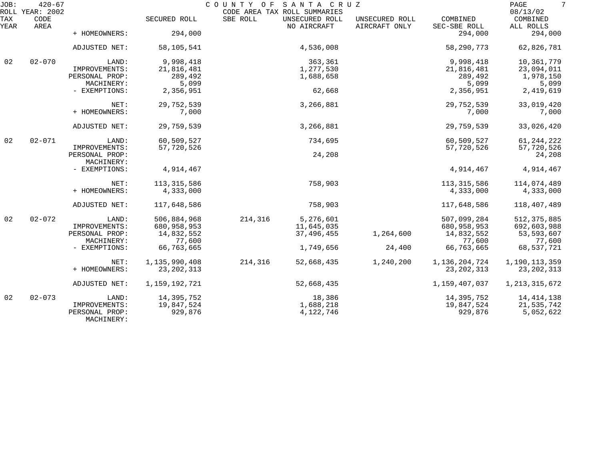| JOB:        | $420 - 67$<br>ROLL YEAR: 2002 |                              |               | COUNTY OF SANTA CRUZ<br>CODE AREA TAX ROLL SUMMARIES |            |                                 |                          | $7\phantom{.0}$<br>PAGE<br>08/13/02 |
|-------------|-------------------------------|------------------------------|---------------|------------------------------------------------------|------------|---------------------------------|--------------------------|-------------------------------------|
| TAX<br>YEAR | CODE<br>AREA                  |                              | SECURED ROLL  | SBE ROLL<br>UNSECURED ROLL<br>NO AIRCRAFT            |            | UNSECURED ROLL<br>AIRCRAFT ONLY | COMBINED<br>SEC-SBE ROLL | COMBINED<br>ALL ROLLS               |
|             |                               | + HOMEOWNERS:                | 294,000       |                                                      |            |                                 | 294,000                  | 294,000                             |
|             |                               | ADJUSTED NET:                | 58,105,541    |                                                      | 4,536,008  |                                 | 58,290,773               | 62,826,781                          |
| 02          | $02 - 070$                    | LAND:                        | 9,998,418     |                                                      | 363,361    |                                 | 9,998,418                | 10,361,779                          |
|             |                               | IMPROVEMENTS:                | 21,816,481    |                                                      | 1,277,530  |                                 | 21,816,481               | 23,094,011                          |
|             |                               | PERSONAL PROP:               | 289,492       |                                                      | 1,688,658  |                                 | 289,492                  | 1,978,150                           |
|             |                               | MACHINERY:                   | 5,099         |                                                      |            |                                 | 5,099                    | 5,099                               |
|             |                               | - EXEMPTIONS:                | 2,356,951     |                                                      | 62,668     |                                 | 2,356,951                | 2,419,619                           |
|             |                               | NET:                         | 29,752,539    |                                                      | 3,266,881  |                                 | 29,752,539               | 33,019,420                          |
|             |                               | + HOMEOWNERS:                | 7,000         |                                                      |            |                                 | 7,000                    | 7,000                               |
|             |                               | ADJUSTED NET:                | 29,759,539    |                                                      | 3,266,881  |                                 | 29,759,539               | 33,026,420                          |
| 02          | $02 - 071$                    | LAND:                        | 60,509,527    |                                                      | 734,695    |                                 | 60,509,527               | 61, 244, 222                        |
|             |                               | IMPROVEMENTS:                | 57,720,526    |                                                      |            |                                 | 57,720,526               | 57,720,526                          |
|             |                               | PERSONAL PROP:               |               |                                                      | 24,208     |                                 |                          | 24,208                              |
|             |                               | MACHINERY:                   |               |                                                      |            |                                 |                          |                                     |
|             |                               | - EXEMPTIONS:                | 4,914,467     |                                                      |            |                                 | 4,914,467                | 4,914,467                           |
|             |                               | NET:                         | 113, 315, 586 |                                                      | 758,903    |                                 | 113, 315, 586            | 114,074,489                         |
|             |                               | + HOMEOWNERS:                | 4,333,000     |                                                      |            |                                 | 4,333,000                | 4,333,000                           |
|             |                               | ADJUSTED NET:                | 117,648,586   |                                                      | 758,903    |                                 | 117,648,586              | 118,407,489                         |
| 02          | $02 - 072$                    | LAND:                        | 506,884,968   | 214,316                                              | 5,276,601  |                                 | 507,099,284              | 512, 375, 885                       |
|             |                               | IMPROVEMENTS:                | 680,958,953   |                                                      | 11,645,035 |                                 | 680,958,953              | 692,603,988                         |
|             |                               | PERSONAL PROP:               | 14,832,552    |                                                      | 37,496,455 | 1,264,600                       | 14,832,552               | 53,593,607                          |
|             |                               | MACHINERY:                   | 77,600        |                                                      |            |                                 | 77,600                   | 77,600                              |
|             |                               | - EXEMPTIONS:                | 66,763,665    |                                                      | 1,749,656  | 24,400                          | 66,763,665               | 68,537,721                          |
|             |                               | NET:                         | 1,135,990,408 | 214,316                                              | 52,668,435 | 1,240,200                       | 1,136,204,724            | 1,190,113,359                       |
|             |                               | + HOMEOWNERS:                | 23, 202, 313  |                                                      |            |                                 | 23, 202, 313             | 23, 202, 313                        |
|             |                               | ADJUSTED NET:                | 1,159,192,721 |                                                      | 52,668,435 |                                 | 1,159,407,037            | 1, 213, 315, 672                    |
| 02          | $02 - 073$                    | LAND:                        | 14,395,752    |                                                      | 18,386     |                                 | 14,395,752               | 14, 414, 138                        |
|             |                               | IMPROVEMENTS:                | 19,847,524    |                                                      | 1,688,218  |                                 | 19,847,524               | 21,535,742                          |
|             |                               | PERSONAL PROP:<br>MACHINERY: | 929,876       |                                                      | 4,122,746  |                                 | 929,876                  | 5,052,622                           |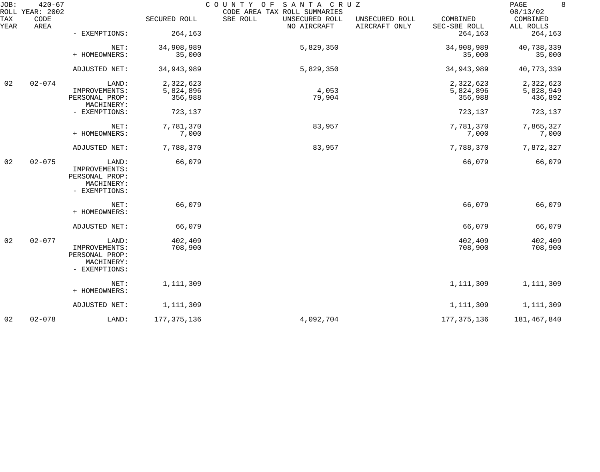| JOB:        | $420 - 67$<br>ROLL YEAR: 2002 |                              |               | SANTA CRUZ<br>COUNTY OF<br>CODE AREA TAX ROLL SUMMARIES |                                 |                          | 8<br>PAGE<br>08/13/02 |
|-------------|-------------------------------|------------------------------|---------------|---------------------------------------------------------|---------------------------------|--------------------------|-----------------------|
| TAX<br>YEAR | CODE<br>AREA                  |                              | SECURED ROLL  | SBE ROLL<br>UNSECURED ROLL<br>NO AIRCRAFT               | UNSECURED ROLL<br>AIRCRAFT ONLY | COMBINED<br>SEC-SBE ROLL | COMBINED<br>ALL ROLLS |
|             |                               | - EXEMPTIONS:                | 264,163       |                                                         |                                 | 264,163                  | 264,163               |
|             |                               | NET:                         | 34,908,989    | 5,829,350                                               |                                 | 34,908,989               | 40,738,339            |
|             |                               | + HOMEOWNERS:                | 35,000        |                                                         |                                 | 35,000                   | 35,000                |
|             |                               | ADJUSTED NET:                | 34,943,989    | 5,829,350                                               |                                 | 34, 943, 989             | 40,773,339            |
| 02          | $02 - 074$                    | LAND:                        | 2,322,623     |                                                         |                                 | 2,322,623                | 2,322,623             |
|             |                               | IMPROVEMENTS:                | 5,824,896     | 4,053                                                   |                                 | 5,824,896                | 5,828,949             |
|             |                               | PERSONAL PROP:<br>MACHINERY: | 356,988       | 79,904                                                  |                                 | 356,988                  | 436,892               |
|             |                               | - EXEMPTIONS:                | 723,137       |                                                         |                                 | 723,137                  | 723,137               |
|             |                               | NET:                         | 7,781,370     | 83,957                                                  |                                 | 7,781,370                | 7,865,327             |
|             |                               | + HOMEOWNERS:                | 7,000         |                                                         |                                 | 7,000                    | 7,000                 |
|             |                               | ADJUSTED NET:                | 7,788,370     | 83,957                                                  |                                 | 7,788,370                | 7,872,327             |
| 02          | $02 - 075$                    | LAND:                        | 66,079        |                                                         |                                 | 66,079                   | 66,079                |
|             |                               | IMPROVEMENTS:                |               |                                                         |                                 |                          |                       |
|             |                               | PERSONAL PROP:<br>MACHINERY: |               |                                                         |                                 |                          |                       |
|             |                               | - EXEMPTIONS:                |               |                                                         |                                 |                          |                       |
|             |                               |                              |               |                                                         |                                 |                          |                       |
|             |                               | NET:<br>+ HOMEOWNERS:        | 66,079        |                                                         |                                 | 66,079                   | 66,079                |
|             |                               |                              |               |                                                         |                                 |                          |                       |
|             |                               | ADJUSTED NET:                | 66,079        |                                                         |                                 | 66,079                   | 66,079                |
| 02          | $02 - 077$                    | LAND:                        | 402,409       |                                                         |                                 | 402,409                  | 402,409               |
|             |                               | IMPROVEMENTS:                | 708,900       |                                                         |                                 | 708,900                  | 708,900               |
|             |                               | PERSONAL PROP:               |               |                                                         |                                 |                          |                       |
|             |                               | MACHINERY:                   |               |                                                         |                                 |                          |                       |
|             |                               | - EXEMPTIONS:                |               |                                                         |                                 |                          |                       |
|             |                               | NET:<br>+ HOMEOWNERS:        | 1,111,309     |                                                         |                                 | 1,111,309                | 1,111,309             |
|             |                               |                              |               |                                                         |                                 |                          |                       |
|             |                               | ADJUSTED NET:                | 1, 111, 309   |                                                         |                                 | 1,111,309                | 1,111,309             |
| 02          | $02 - 078$                    | LAND:                        | 177, 375, 136 | 4,092,704                                               |                                 | 177, 375, 136            | 181,467,840           |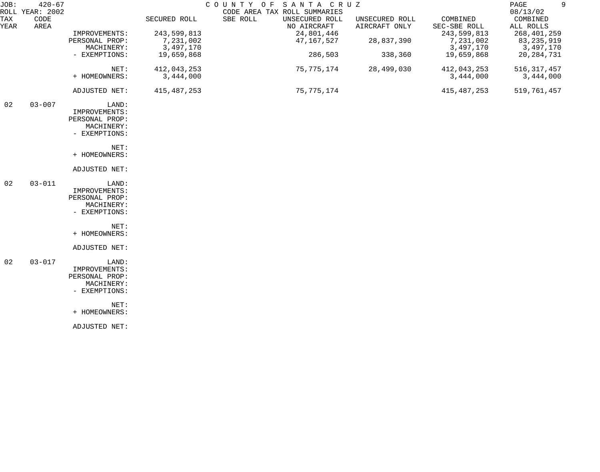| JOB:               | $420 - 67$<br>ROLL YEAR: 2002 |                |              | COUNTY OF | SANTA CRUZ<br>CODE AREA TAX ROLL SUMMARIES |                                 |                          | 9<br>PAGE<br>08/13/02 |
|--------------------|-------------------------------|----------------|--------------|-----------|--------------------------------------------|---------------------------------|--------------------------|-----------------------|
| <b>TAX</b><br>YEAR | CODE<br>AREA                  |                | SECURED ROLL | SBE ROLL  | UNSECURED ROLL<br>NO AIRCRAFT              | UNSECURED ROLL<br>AIRCRAFT ONLY | COMBINED<br>SEC-SBE ROLL | COMBINED<br>ALL ROLLS |
|                    |                               | IMPROVEMENTS:  | 243,599,813  |           | 24,801,446                                 |                                 | 243,599,813              | 268, 401, 259         |
|                    |                               | PERSONAL PROP: | 7,231,002    |           | 47,167,527                                 | 28,837,390                      | 7,231,002                | 83,235,919            |
|                    |                               | MACHINERY:     | 3,497,170    |           |                                            |                                 | 3,497,170                | 3,497,170             |
|                    |                               | - EXEMPTIONS:  | 19,659,868   |           | 286,503                                    | 338,360                         | 19,659,868               | 20, 284, 731          |
|                    |                               | NET:           | 412,043,253  |           | 75,775,174                                 | 28,499,030                      | 412,043,253              | 516, 317, 457         |
|                    |                               | + HOMEOWNERS:  | 3,444,000    |           |                                            |                                 | 3,444,000                | 3,444,000             |
|                    |                               | ADJUSTED NET:  | 415,487,253  |           | 75,775,174                                 |                                 | 415, 487, 253            | 519,761,457           |
| 02                 | $03 - 007$                    | LAND:          |              |           |                                            |                                 |                          |                       |
|                    |                               | IMPROVEMENTS:  |              |           |                                            |                                 |                          |                       |
|                    |                               | PERSONAL PROP: |              |           |                                            |                                 |                          |                       |
|                    |                               | MACHINERY:     |              |           |                                            |                                 |                          |                       |
|                    |                               | - EXEMPTIONS:  |              |           |                                            |                                 |                          |                       |
|                    |                               | NET:           |              |           |                                            |                                 |                          |                       |
|                    |                               | + HOMEOWNERS:  |              |           |                                            |                                 |                          |                       |
|                    |                               | ADJUSTED NET:  |              |           |                                            |                                 |                          |                       |
| 02                 | $03 - 011$                    | LAND:          |              |           |                                            |                                 |                          |                       |
|                    |                               | IMPROVEMENTS:  |              |           |                                            |                                 |                          |                       |
|                    |                               | PERSONAL PROP: |              |           |                                            |                                 |                          |                       |
|                    |                               | MACHINERY:     |              |           |                                            |                                 |                          |                       |
|                    |                               | - EXEMPTIONS:  |              |           |                                            |                                 |                          |                       |
|                    |                               | NET:           |              |           |                                            |                                 |                          |                       |
|                    |                               | + HOMEOWNERS:  |              |           |                                            |                                 |                          |                       |
|                    |                               | ADJUSTED NET:  |              |           |                                            |                                 |                          |                       |
| 02                 | $03 - 017$                    | LAND:          |              |           |                                            |                                 |                          |                       |
|                    |                               | IMPROVEMENTS:  |              |           |                                            |                                 |                          |                       |
|                    |                               | PERSONAL PROP: |              |           |                                            |                                 |                          |                       |
|                    |                               | MACHINERY:     |              |           |                                            |                                 |                          |                       |
|                    |                               | - EXEMPTIONS:  |              |           |                                            |                                 |                          |                       |
|                    |                               | NET:           |              |           |                                            |                                 |                          |                       |
|                    |                               | + HOMEOWNERS:  |              |           |                                            |                                 |                          |                       |
|                    |                               | ADJUSTED NET:  |              |           |                                            |                                 |                          |                       |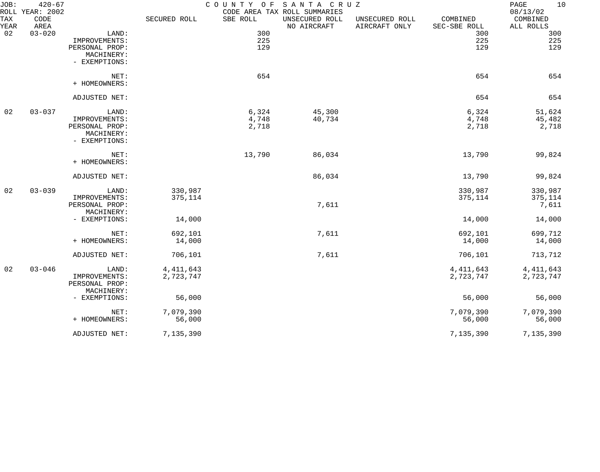| JOB:               | $420 - 67$<br>ROLL YEAR: 2002 |                |              |          | COUNTY OF SANTA CRUZ<br>CODE AREA TAX ROLL SUMMARIES |                                 |                          | 10<br>PAGE<br>08/13/02 |
|--------------------|-------------------------------|----------------|--------------|----------|------------------------------------------------------|---------------------------------|--------------------------|------------------------|
| <b>TAX</b><br>YEAR | CODE<br>AREA                  |                | SECURED ROLL | SBE ROLL | UNSECURED ROLL<br>NO AIRCRAFT                        | UNSECURED ROLL<br>AIRCRAFT ONLY | COMBINED<br>SEC-SBE ROLL | COMBINED<br>ALL ROLLS  |
| 02                 | $03 - 020$                    | LAND:          |              | 300      |                                                      |                                 | 300                      | 300                    |
|                    |                               | IMPROVEMENTS:  |              | 225      |                                                      |                                 | 225                      | 225                    |
|                    |                               | PERSONAL PROP: |              | 129      |                                                      |                                 | 129                      | 129                    |
|                    |                               | MACHINERY:     |              |          |                                                      |                                 |                          |                        |
|                    |                               | - EXEMPTIONS:  |              |          |                                                      |                                 |                          |                        |
|                    |                               | NET:           |              | 654      |                                                      |                                 | 654                      | 654                    |
|                    |                               | + HOMEOWNERS:  |              |          |                                                      |                                 |                          |                        |
|                    |                               | ADJUSTED NET:  |              |          |                                                      |                                 | 654                      | 654                    |
| 02                 | $03 - 037$                    | LAND:          |              | 6,324    | 45,300                                               |                                 | 6,324                    | 51,624                 |
|                    |                               | IMPROVEMENTS:  |              | 4,748    | 40,734                                               |                                 | 4,748                    | 45,482                 |
|                    |                               | PERSONAL PROP: |              | 2,718    |                                                      |                                 | 2,718                    | 2,718                  |
|                    |                               | MACHINERY:     |              |          |                                                      |                                 |                          |                        |
|                    |                               | - EXEMPTIONS:  |              |          |                                                      |                                 |                          |                        |
|                    |                               | NET:           |              | 13,790   | 86,034                                               |                                 | 13,790                   | 99,824                 |
|                    |                               | + HOMEOWNERS:  |              |          |                                                      |                                 |                          |                        |
|                    |                               | ADJUSTED NET:  |              |          | 86,034                                               |                                 | 13,790                   | 99,824                 |
| 02                 | $03 - 039$                    | LAND:          | 330,987      |          |                                                      |                                 | 330,987                  | 330,987                |
|                    |                               | IMPROVEMENTS:  | 375,114      |          |                                                      |                                 | 375,114                  | 375,114                |
|                    |                               | PERSONAL PROP: |              |          | 7,611                                                |                                 |                          | 7,611                  |
|                    |                               | MACHINERY:     |              |          |                                                      |                                 |                          |                        |
|                    |                               | - EXEMPTIONS:  | 14,000       |          |                                                      |                                 | 14,000                   | 14,000                 |
|                    |                               | NET:           | 692,101      |          | 7,611                                                |                                 | 692,101                  | 699,712                |
|                    |                               | + HOMEOWNERS:  | 14,000       |          |                                                      |                                 | 14,000                   | 14,000                 |
|                    |                               |                |              |          |                                                      |                                 |                          |                        |
|                    |                               | ADJUSTED NET:  | 706,101      |          | 7,611                                                |                                 | 706,101                  | 713,712                |
| 02                 | $03 - 046$                    | LAND:          | 4, 411, 643  |          |                                                      |                                 | 4, 411, 643              | 4, 411, 643            |
|                    |                               | IMPROVEMENTS:  | 2,723,747    |          |                                                      |                                 | 2,723,747                | 2,723,747              |
|                    |                               | PERSONAL PROP: |              |          |                                                      |                                 |                          |                        |
|                    |                               | MACHINERY:     |              |          |                                                      |                                 |                          |                        |
|                    |                               | - EXEMPTIONS:  | 56,000       |          |                                                      |                                 | 56,000                   | 56,000                 |
|                    |                               | NET:           | 7,079,390    |          |                                                      |                                 | 7,079,390                | 7,079,390              |
|                    |                               | + HOMEOWNERS:  | 56,000       |          |                                                      |                                 | 56,000                   | 56,000                 |
|                    |                               | ADJUSTED NET:  | 7,135,390    |          |                                                      |                                 | 7,135,390                | 7,135,390              |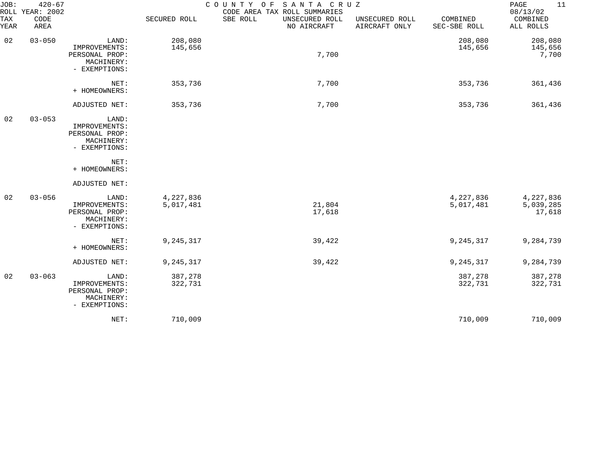| JOB:<br>ROLL | $420 - 67$<br>YEAR: 2002 | COUNTY OF<br>SANTA CRUZ<br>CODE AREA TAX ROLL SUMMARIES                 |                        |                                           |                                 |                          |                                  |  |
|--------------|--------------------------|-------------------------------------------------------------------------|------------------------|-------------------------------------------|---------------------------------|--------------------------|----------------------------------|--|
| TAX<br>YEAR  | CODE<br>AREA             |                                                                         | SECURED ROLL           | SBE ROLL<br>UNSECURED ROLL<br>NO AIRCRAFT | UNSECURED ROLL<br>AIRCRAFT ONLY | COMBINED<br>SEC-SBE ROLL | COMBINED<br>ALL ROLLS            |  |
| 02           | $03 - 050$               | LAND:<br>IMPROVEMENTS:<br>PERSONAL PROP:<br>MACHINERY:<br>- EXEMPTIONS: | 208,080<br>145,656     | 7,700                                     |                                 | 208,080<br>145,656       | 208,080<br>145,656<br>7,700      |  |
|              |                          | NET:<br>+ HOMEOWNERS:                                                   | 353,736                | 7,700                                     |                                 | 353,736                  | 361,436                          |  |
|              |                          | ADJUSTED NET:                                                           | 353,736                | 7,700                                     |                                 | 353,736                  | 361,436                          |  |
| 02           | $03 - 053$               | LAND:<br>IMPROVEMENTS:<br>PERSONAL PROP:<br>MACHINERY:<br>- EXEMPTIONS: |                        |                                           |                                 |                          |                                  |  |
|              |                          | NET:<br>+ HOMEOWNERS:                                                   |                        |                                           |                                 |                          |                                  |  |
|              |                          | ADJUSTED NET:                                                           |                        |                                           |                                 |                          |                                  |  |
| 02           | $03 - 056$               | LAND:<br>IMPROVEMENTS:<br>PERSONAL PROP:<br>MACHINERY:<br>- EXEMPTIONS: | 4,227,836<br>5,017,481 | 21,804<br>17,618                          |                                 | 4,227,836<br>5,017,481   | 4,227,836<br>5,039,285<br>17,618 |  |
|              |                          | NET:<br>+ HOMEOWNERS:                                                   | 9,245,317              | 39,422                                    |                                 | 9, 245, 317              | 9,284,739                        |  |
|              |                          | ADJUSTED NET:                                                           | 9,245,317              | 39,422                                    |                                 | 9, 245, 317              | 9,284,739                        |  |
| 02           | $03 - 063$               | LAND:<br>IMPROVEMENTS:<br>PERSONAL PROP:<br>MACHINERY:<br>- EXEMPTIONS: | 387,278<br>322,731     |                                           |                                 | 387,278<br>322,731       | 387,278<br>322,731               |  |
|              |                          | NET:                                                                    | 710,009                |                                           |                                 | 710,009                  | 710,009                          |  |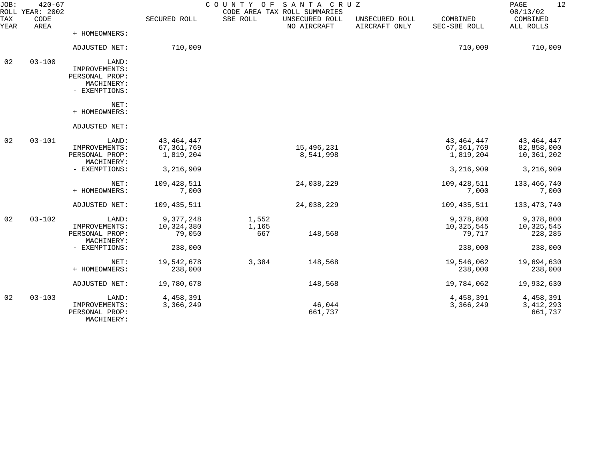| JOB:               | $420 - 67$<br>ROLL YEAR: 2002 |                                                                         |                                           | COUNTY OF             | SANTA CRUZ<br>CODE AREA TAX ROLL SUMMARIES |                                 |                                         | 12<br>PAGE<br>08/13/02                   |
|--------------------|-------------------------------|-------------------------------------------------------------------------|-------------------------------------------|-----------------------|--------------------------------------------|---------------------------------|-----------------------------------------|------------------------------------------|
| <b>TAX</b><br>YEAR | CODE<br>AREA                  |                                                                         | SECURED ROLL                              | SBE ROLL              | UNSECURED ROLL<br>NO AIRCRAFT              | UNSECURED ROLL<br>AIRCRAFT ONLY | COMBINED<br>SEC-SBE ROLL                | COMBINED<br>ALL ROLLS                    |
|                    |                               | + HOMEOWNERS:                                                           |                                           |                       |                                            |                                 |                                         |                                          |
|                    |                               | ADJUSTED NET:                                                           | 710,009                                   |                       |                                            |                                 | 710,009                                 | 710,009                                  |
| 02                 | $03 - 100$                    | LAND:<br>IMPROVEMENTS:<br>PERSONAL PROP:<br>MACHINERY:<br>- EXEMPTIONS: |                                           |                       |                                            |                                 |                                         |                                          |
|                    |                               | NET:<br>+ HOMEOWNERS:                                                   |                                           |                       |                                            |                                 |                                         |                                          |
|                    |                               | ADJUSTED NET:                                                           |                                           |                       |                                            |                                 |                                         |                                          |
| 02                 | $03 - 101$                    | LAND:<br>IMPROVEMENTS:<br>PERSONAL PROP:<br>MACHINERY:                  | 43, 464, 447<br>67, 361, 769<br>1,819,204 |                       | 15,496,231<br>8,541,998                    |                                 | 43, 464, 447<br>67,361,769<br>1,819,204 | 43, 464, 447<br>82,858,000<br>10,361,202 |
|                    |                               | - EXEMPTIONS:                                                           | 3,216,909                                 |                       |                                            |                                 | 3,216,909                               | 3,216,909                                |
|                    |                               | NET:<br>+ HOMEOWNERS:                                                   | 109, 428, 511<br>7,000                    |                       | 24,038,229                                 |                                 | 109, 428, 511<br>7,000                  | 133,466,740<br>7,000                     |
|                    |                               | ADJUSTED NET:                                                           | 109,435,511                               |                       | 24,038,229                                 |                                 | 109,435,511                             | 133, 473, 740                            |
| 02                 | $03 - 102$                    | LAND:<br>IMPROVEMENTS:<br>PERSONAL PROP:<br>MACHINERY:                  | 9,377,248<br>10,324,380<br>79,050         | 1,552<br>1,165<br>667 | 148,568                                    |                                 | 9,378,800<br>10,325,545<br>79,717       | 9,378,800<br>10,325,545<br>228,285       |
|                    |                               | - EXEMPTIONS:                                                           | 238,000                                   |                       |                                            |                                 | 238,000                                 | 238,000                                  |
|                    |                               | NET:<br>+ HOMEOWNERS:                                                   | 19,542,678<br>238,000                     | 3,384                 | 148,568                                    |                                 | 19,546,062<br>238,000                   | 19,694,630<br>238,000                    |
|                    |                               | ADJUSTED NET:                                                           | 19,780,678                                |                       | 148,568                                    |                                 | 19,784,062                              | 19,932,630                               |
| 02                 | $03 - 103$                    | LAND:<br>IMPROVEMENTS:<br>PERSONAL PROP:<br>MACHINERY:                  | 4,458,391<br>3,366,249                    |                       | 46,044<br>661,737                          |                                 | 4,458,391<br>3,366,249                  | 4,458,391<br>3, 412, 293<br>661,737      |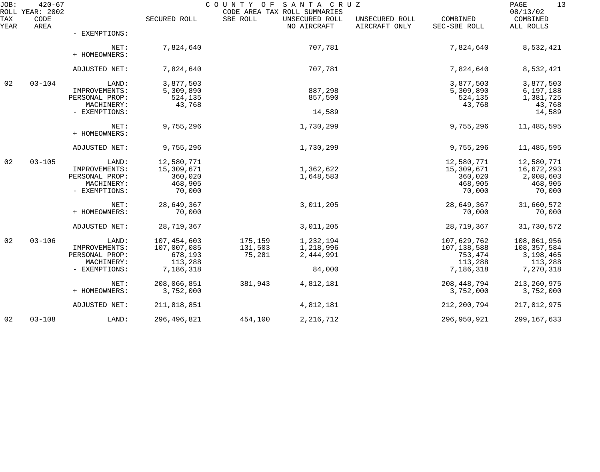| JOB:        | $420 - 67$<br>ROLL YEAR: 2002 |                       |               | COUNTY OF | SANTA CRUZ<br>CODE AREA TAX ROLL SUMMARIES |                                 |                          | 13<br>PAGE<br>08/13/02 |
|-------------|-------------------------------|-----------------------|---------------|-----------|--------------------------------------------|---------------------------------|--------------------------|------------------------|
| TAX<br>YEAR | CODE<br>AREA                  |                       | SECURED ROLL  | SBE ROLL  | UNSECURED ROLL<br>NO AIRCRAFT              | UNSECURED ROLL<br>AIRCRAFT ONLY | COMBINED<br>SEC-SBE ROLL | COMBINED<br>ALL ROLLS  |
|             |                               | - EXEMPTIONS:         |               |           |                                            |                                 |                          |                        |
|             |                               | NET:<br>+ HOMEOWNERS: | 7,824,640     |           | 707,781                                    |                                 | 7,824,640                | 8,532,421              |
|             |                               | ADJUSTED NET:         | 7,824,640     |           | 707,781                                    |                                 | 7,824,640                | 8,532,421              |
| 02          | $03 - 104$                    | LAND:                 | 3,877,503     |           |                                            |                                 | 3,877,503                | 3,877,503              |
|             |                               | IMPROVEMENTS:         | 5,309,890     |           | 887,298                                    |                                 | 5,309,890                | 6,197,188              |
|             |                               | PERSONAL PROP:        | 524,135       |           | 857,590                                    |                                 | 524,135                  | 1,381,725              |
|             |                               | MACHINERY:            | 43,768        |           |                                            |                                 | 43,768                   | 43,768                 |
|             |                               | - EXEMPTIONS:         |               |           | 14,589                                     |                                 |                          | 14,589                 |
|             |                               | NET:<br>+ HOMEOWNERS: | 9,755,296     |           | 1,730,299                                  |                                 | 9,755,296                | 11,485,595             |
|             |                               | ADJUSTED NET:         | 9,755,296     |           | 1,730,299                                  |                                 | 9,755,296                | 11,485,595             |
| 02          | $03 - 105$                    | LAND:                 | 12,580,771    |           |                                            |                                 | 12,580,771               | 12,580,771             |
|             |                               | IMPROVEMENTS:         | 15,309,671    |           | 1,362,622                                  |                                 | 15,309,671               | 16,672,293             |
|             |                               | PERSONAL PROP:        | 360,020       |           | 1,648,583                                  |                                 | 360,020                  | 2,008,603              |
|             |                               | MACHINERY:            | 468,905       |           |                                            |                                 | 468,905                  | 468,905                |
|             |                               | - EXEMPTIONS:         | 70,000        |           |                                            |                                 | 70,000                   | 70,000                 |
|             |                               | NET:                  | 28,649,367    |           | 3,011,205                                  |                                 | 28,649,367               | 31,660,572             |
|             |                               | + HOMEOWNERS:         | 70,000        |           |                                            |                                 | 70,000                   | 70,000                 |
|             |                               | ADJUSTED NET:         | 28,719,367    |           | 3,011,205                                  |                                 | 28,719,367               | 31,730,572             |
| 02          | $03 - 106$                    | LAND:                 | 107,454,603   | 175,159   | 1,232,194                                  |                                 | 107,629,762              | 108,861,956            |
|             |                               | IMPROVEMENTS:         | 107,007,085   | 131,503   | 1,218,996                                  |                                 | 107,138,588              | 108,357,584            |
|             |                               | PERSONAL PROP:        | 678,193       | 75,281    | 2,444,991                                  |                                 | 753,474                  | 3,198,465              |
|             |                               | MACHINERY:            | 113,288       |           |                                            |                                 | 113,288                  | 113,288                |
|             |                               | - EXEMPTIONS:         | 7,186,318     |           | 84,000                                     |                                 | 7,186,318                | 7,270,318              |
|             |                               | NET:                  | 208,066,851   | 381,943   | 4,812,181                                  |                                 | 208, 448, 794            | 213, 260, 975          |
|             |                               | + HOMEOWNERS:         | 3,752,000     |           |                                            |                                 | 3,752,000                | 3,752,000              |
|             |                               | ADJUSTED NET:         | 211,818,851   |           | 4,812,181                                  |                                 | 212, 200, 794            | 217,012,975            |
| 02          | $03 - 108$                    | LAND:                 | 296, 496, 821 | 454,100   | 2, 216, 712                                |                                 | 296,950,921              | 299, 167, 633          |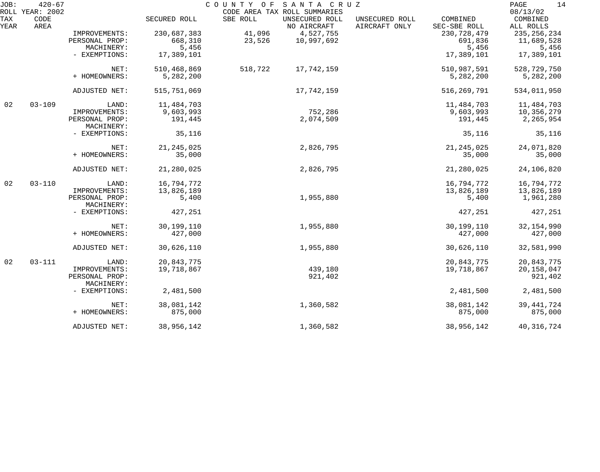| JOB:               | $420 - 67$<br>ROLL YEAR: 2002 |                              |              | COUNTY OF | SANTA CRUZ<br>CODE AREA TAX ROLL SUMMARIES |                                 |                          | 14<br>PAGE<br>08/13/02 |
|--------------------|-------------------------------|------------------------------|--------------|-----------|--------------------------------------------|---------------------------------|--------------------------|------------------------|
| <b>TAX</b><br>YEAR | CODE<br>AREA                  |                              | SECURED ROLL | SBE ROLL  | UNSECURED ROLL<br>NO AIRCRAFT              | UNSECURED ROLL<br>AIRCRAFT ONLY | COMBINED<br>SEC-SBE ROLL | COMBINED<br>ALL ROLLS  |
|                    |                               | IMPROVEMENTS:                | 230,687,383  | 41,096    | 4,527,755                                  |                                 | 230,728,479              | 235, 256, 234          |
|                    |                               | PERSONAL PROP:               | 668,310      | 23,526    | 10,997,692                                 |                                 | 691,836                  | 11,689,528             |
|                    |                               | MACHINERY:                   | 5,456        |           |                                            |                                 | 5,456                    | 5,456                  |
|                    |                               | - EXEMPTIONS:                | 17,389,101   |           |                                            |                                 | 17,389,101               | 17,389,101             |
|                    |                               | NET:                         | 510,468,869  | 518,722   | 17,742,159                                 |                                 | 510,987,591              | 528,729,750            |
|                    |                               | + HOMEOWNERS:                | 5,282,200    |           |                                            |                                 | 5,282,200                | 5,282,200              |
|                    |                               | ADJUSTED NET:                | 515,751,069  |           | 17,742,159                                 |                                 | 516, 269, 791            | 534,011,950            |
| 02                 | $03 - 109$                    | LAND:                        | 11,484,703   |           |                                            |                                 | 11,484,703               | 11,484,703             |
|                    |                               | IMPROVEMENTS:                | 9,603,993    |           | 752,286                                    |                                 | 9,603,993                | 10,356,279             |
|                    |                               | PERSONAL PROP:<br>MACHINERY: | 191,445      |           | 2,074,509                                  |                                 | 191,445                  | 2,265,954              |
|                    |                               | - EXEMPTIONS:                | 35,116       |           |                                            |                                 | 35,116                   | 35,116                 |
|                    |                               | NET:                         | 21, 245, 025 |           | 2,826,795                                  |                                 | 21, 245, 025             | 24,071,820             |
|                    |                               | + HOMEOWNERS:                | 35,000       |           |                                            |                                 | 35,000                   | 35,000                 |
|                    |                               | ADJUSTED NET:                | 21,280,025   |           | 2,826,795                                  |                                 | 21,280,025               | 24,106,820             |
| 02                 | $03 - 110$                    | LAND:                        | 16,794,772   |           |                                            |                                 | 16,794,772               | 16,794,772             |
|                    |                               | IMPROVEMENTS:                | 13,826,189   |           |                                            |                                 | 13,826,189               | 13,826,189             |
|                    |                               | PERSONAL PROP:<br>MACHINERY: | 5,400        |           | 1,955,880                                  |                                 | 5,400                    | 1,961,280              |
|                    |                               | - EXEMPTIONS:                | 427,251      |           |                                            |                                 | 427,251                  | 427,251                |
|                    |                               | NET:                         | 30,199,110   |           | 1,955,880                                  |                                 | 30,199,110               | 32, 154, 990           |
|                    |                               | + HOMEOWNERS:                | 427,000      |           |                                            |                                 | 427,000                  | 427,000                |
|                    |                               | ADJUSTED NET:                | 30,626,110   |           | 1,955,880                                  |                                 | 30,626,110               | 32,581,990             |
| 02                 | $03 - 111$                    | LAND:                        | 20,843,775   |           |                                            |                                 | 20,843,775               | 20,843,775             |
|                    |                               | IMPROVEMENTS:                | 19,718,867   |           | 439,180                                    |                                 | 19,718,867               | 20, 158, 047           |
|                    |                               | PERSONAL PROP:<br>MACHINERY: |              |           | 921,402                                    |                                 |                          | 921,402                |
|                    |                               | - EXEMPTIONS:                | 2,481,500    |           |                                            |                                 | 2,481,500                | 2,481,500              |
|                    |                               | NET:                         | 38,081,142   |           | 1,360,582                                  |                                 | 38,081,142               | 39, 441, 724           |
|                    |                               | + HOMEOWNERS:                | 875,000      |           |                                            |                                 | 875,000                  | 875,000                |
|                    |                               | ADJUSTED NET:                | 38,956,142   |           | 1,360,582                                  |                                 | 38,956,142               | 40, 316, 724           |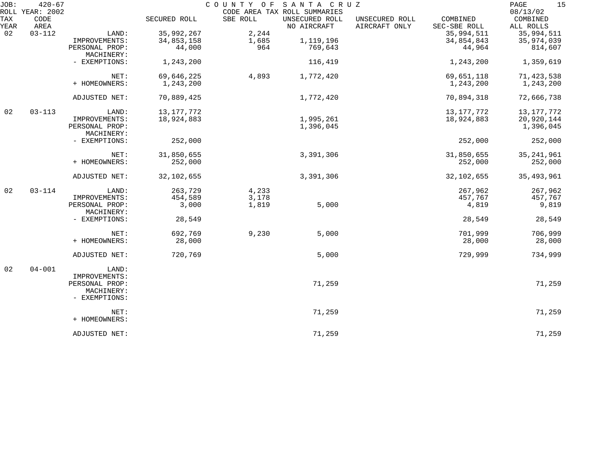| JOB:        | $420 - 67$                      |                                               |              |          | COUNTY OF SANTA CRUZ                                          |                                 |                          | 15<br>PAGE                        |
|-------------|---------------------------------|-----------------------------------------------|--------------|----------|---------------------------------------------------------------|---------------------------------|--------------------------|-----------------------------------|
| TAX<br>YEAR | ROLL YEAR: 2002<br>CODE<br>AREA |                                               | SECURED ROLL | SBE ROLL | CODE AREA TAX ROLL SUMMARIES<br>UNSECURED ROLL<br>NO AIRCRAFT | UNSECURED ROLL<br>AIRCRAFT ONLY | COMBINED<br>SEC-SBE ROLL | 08/13/02<br>COMBINED<br>ALL ROLLS |
| 02          | $03 - 112$                      | LAND:                                         | 35,992,267   | 2,244    |                                                               |                                 | 35,994,511               | 35,994,511                        |
|             |                                 | IMPROVEMENTS:                                 | 34,853,158   | 1,685    | 1,119,196                                                     |                                 | 34,854,843               | 35,974,039                        |
|             |                                 | PERSONAL PROP:                                | 44,000       | 964      | 769,643                                                       |                                 | 44,964                   | 814,607                           |
|             |                                 | MACHINERY:                                    |              |          |                                                               |                                 |                          |                                   |
|             |                                 | - EXEMPTIONS:                                 | 1,243,200    |          | 116,419                                                       |                                 | 1,243,200                | 1,359,619                         |
|             |                                 | NET:                                          | 69,646,225   | 4,893    | 1,772,420                                                     |                                 | 69,651,118               | 71,423,538                        |
|             |                                 | + HOMEOWNERS:                                 | 1,243,200    |          |                                                               |                                 | 1,243,200                | 1,243,200                         |
|             |                                 | ADJUSTED NET:                                 | 70,889,425   |          | 1,772,420                                                     |                                 | 70,894,318               | 72,666,738                        |
| 02          | $03 - 113$                      | LAND:                                         | 13, 177, 772 |          |                                                               |                                 | 13, 177, 772             | 13, 177, 772                      |
|             |                                 | IMPROVEMENTS:                                 | 18,924,883   |          | 1,995,261                                                     |                                 | 18,924,883               | 20,920,144                        |
|             |                                 | PERSONAL PROP:<br>MACHINERY:                  |              |          | 1,396,045                                                     |                                 |                          | 1,396,045                         |
|             |                                 | - EXEMPTIONS:                                 | 252,000      |          |                                                               |                                 | 252,000                  | 252,000                           |
|             |                                 | NET:                                          | 31,850,655   |          | 3,391,306                                                     |                                 | 31,850,655               | 35, 241, 961                      |
|             |                                 | + HOMEOWNERS:                                 | 252,000      |          |                                                               |                                 | 252,000                  | 252,000                           |
|             |                                 | ADJUSTED NET:                                 | 32,102,655   |          | 3,391,306                                                     |                                 | 32, 102, 655             | 35, 493, 961                      |
| 02          | $03 - 114$                      | LAND:                                         | 263,729      | 4,233    |                                                               |                                 | 267,962                  | 267,962                           |
|             |                                 | IMPROVEMENTS:                                 | 454,589      | 3,178    |                                                               |                                 | 457,767                  | 457,767                           |
|             |                                 | PERSONAL PROP:<br>MACHINERY:                  | 3,000        | 1,819    | 5,000                                                         |                                 | 4,819                    | 9,819                             |
|             |                                 | - EXEMPTIONS:                                 | 28,549       |          |                                                               |                                 | 28,549                   | 28,549                            |
|             |                                 | NET:                                          | 692,769      | 9,230    | 5,000                                                         |                                 | 701,999                  | 706,999                           |
|             |                                 | + HOMEOWNERS:                                 | 28,000       |          |                                                               |                                 | 28,000                   | 28,000                            |
|             |                                 | ADJUSTED NET:                                 | 720,769      |          | 5,000                                                         |                                 | 729,999                  | 734,999                           |
| 02          | $04 - 001$                      | LAND:                                         |              |          |                                                               |                                 |                          |                                   |
|             |                                 | IMPROVEMENTS:                                 |              |          |                                                               |                                 |                          |                                   |
|             |                                 | PERSONAL PROP:<br>MACHINERY:<br>- EXEMPTIONS: |              |          | 71,259                                                        |                                 |                          | 71,259                            |
|             |                                 | NET:                                          |              |          | 71,259                                                        |                                 |                          | 71,259                            |
|             |                                 | + HOMEOWNERS:                                 |              |          |                                                               |                                 |                          |                                   |
|             |                                 | ADJUSTED NET:                                 |              |          | 71,259                                                        |                                 |                          | 71,259                            |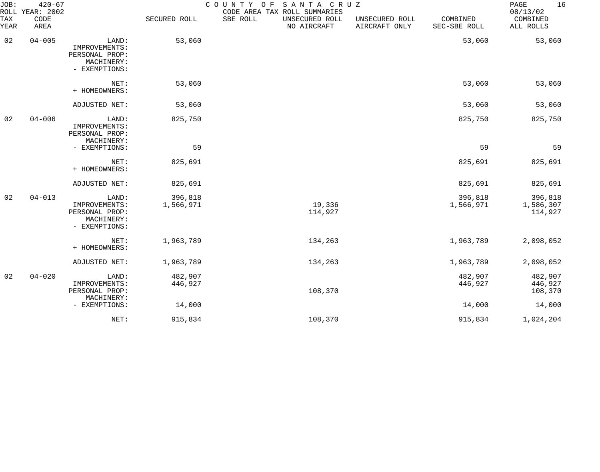| JOB:<br>ROLL     | $420 - 67$<br>YEAR: 2002 |                                                                         |                      | SANTA CRUZ<br>COUNTY OF<br>CODE AREA TAX ROLL SUMMARIES |                                 |                          | 16<br>PAGE<br>08/13/02          |
|------------------|--------------------------|-------------------------------------------------------------------------|----------------------|---------------------------------------------------------|---------------------------------|--------------------------|---------------------------------|
| TAX<br>YEAR      | CODE<br>AREA             |                                                                         | SECURED ROLL         | SBE ROLL<br>UNSECURED ROLL<br>NO AIRCRAFT               | UNSECURED ROLL<br>AIRCRAFT ONLY | COMBINED<br>SEC-SBE ROLL | COMBINED<br>ALL ROLLS           |
| 02<br>$04 - 005$ |                          | LAND:<br>IMPROVEMENTS:<br>PERSONAL PROP:<br>MACHINERY:<br>- EXEMPTIONS: | 53,060               |                                                         |                                 | 53,060                   | 53,060                          |
|                  |                          | NET:<br>+ HOMEOWNERS:                                                   | 53,060               |                                                         |                                 | 53,060                   | 53,060                          |
|                  |                          | ADJUSTED NET:                                                           | 53,060               |                                                         |                                 | 53,060                   | 53,060                          |
| 02               | $04 - 006$               | LAND:<br>IMPROVEMENTS:<br>PERSONAL PROP:<br>MACHINERY:                  | 825,750              |                                                         |                                 | 825,750                  | 825,750                         |
|                  |                          | - EXEMPTIONS:                                                           | 59                   |                                                         |                                 | 59                       | 59                              |
|                  |                          | NET:<br>+ HOMEOWNERS:                                                   | 825,691              |                                                         |                                 | 825,691                  | 825,691                         |
|                  |                          | ADJUSTED NET:                                                           | 825,691              |                                                         |                                 | 825,691                  | 825,691                         |
| 02               | $04 - 013$               | LAND:<br>IMPROVEMENTS:<br>PERSONAL PROP:<br>MACHINERY:<br>- EXEMPTIONS: | 396,818<br>1,566,971 | 19,336<br>114,927                                       |                                 | 396,818<br>1,566,971     | 396,818<br>1,586,307<br>114,927 |
|                  |                          | NET:<br>+ HOMEOWNERS:                                                   | 1,963,789            | 134,263                                                 |                                 | 1,963,789                | 2,098,052                       |
|                  |                          | ADJUSTED NET:                                                           | 1,963,789            | 134,263                                                 |                                 | 1,963,789                | 2,098,052                       |
| 02               | $04 - 020$               | LAND:<br>IMPROVEMENTS:<br>PERSONAL PROP:<br>MACHINERY:                  | 482,907<br>446,927   | 108,370                                                 |                                 | 482,907<br>446,927       | 482,907<br>446,927<br>108,370   |
|                  |                          | - EXEMPTIONS:                                                           | 14,000               |                                                         |                                 | 14,000                   | 14,000                          |
|                  |                          | NET:                                                                    | 915,834              | 108,370                                                 |                                 | 915,834                  | 1,024,204                       |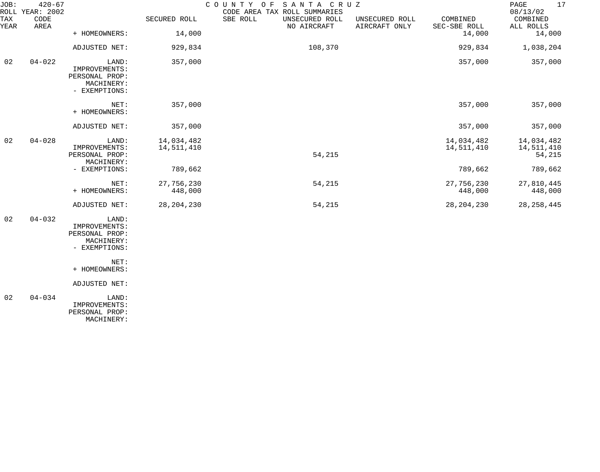| JOB:        | $420 - 67$<br>ROLL YEAR: 2002 |                                                                         |                          | COUNTY OF SANTA CRUZ<br>CODE AREA TAX ROLL SUMMARIES |                                 |                          | 17<br>PAGE<br>08/13/02             |
|-------------|-------------------------------|-------------------------------------------------------------------------|--------------------------|------------------------------------------------------|---------------------------------|--------------------------|------------------------------------|
| TAX<br>YEAR | CODE<br>AREA                  |                                                                         | SECURED ROLL             | SBE ROLL<br>UNSECURED ROLL<br>NO AIRCRAFT            | UNSECURED ROLL<br>AIRCRAFT ONLY | COMBINED<br>SEC-SBE ROLL | COMBINED<br>ALL ROLLS              |
|             |                               | + HOMEOWNERS:                                                           | 14,000                   |                                                      |                                 | 14,000                   | 14,000                             |
|             |                               | ADJUSTED NET:                                                           | 929,834                  | 108,370                                              |                                 | 929,834                  | 1,038,204                          |
| 02          | $04 - 022$                    | LAND:<br>IMPROVEMENTS:<br>PERSONAL PROP:<br>MACHINERY:<br>- EXEMPTIONS: | 357,000                  |                                                      |                                 | 357,000                  | 357,000                            |
|             |                               | NET:<br>+ HOMEOWNERS:                                                   | 357,000                  |                                                      |                                 | 357,000                  | 357,000                            |
|             |                               | ADJUSTED NET:                                                           | 357,000                  |                                                      |                                 | 357,000                  | 357,000                            |
| 02          | $04 - 028$                    | LAND:<br>IMPROVEMENTS:<br>PERSONAL PROP:                                | 14,034,482<br>14,511,410 | 54,215                                               |                                 | 14,034,482<br>14,511,410 | 14,034,482<br>14,511,410<br>54,215 |
|             |                               | MACHINERY:<br>- EXEMPTIONS:                                             | 789,662                  |                                                      |                                 | 789,662                  | 789,662                            |
|             |                               | NET:<br>+ HOMEOWNERS:                                                   | 27,756,230<br>448,000    | 54,215                                               |                                 | 27,756,230<br>448,000    | 27,810,445<br>448,000              |
|             |                               | ADJUSTED NET:                                                           | 28, 204, 230             | 54,215                                               |                                 | 28, 204, 230             | 28, 258, 445                       |
| 02          | $04 - 032$                    | LAND:<br>IMPROVEMENTS:<br>PERSONAL PROP:<br>MACHINERY:<br>- EXEMPTIONS: |                          |                                                      |                                 |                          |                                    |
|             |                               | NET:<br>+ HOMEOWNERS:                                                   |                          |                                                      |                                 |                          |                                    |
|             |                               | ADJUSTED NET:                                                           |                          |                                                      |                                 |                          |                                    |

 02 04-034 LAND: IMPROVEMENTS: PERSONAL PROP: MACHINERY: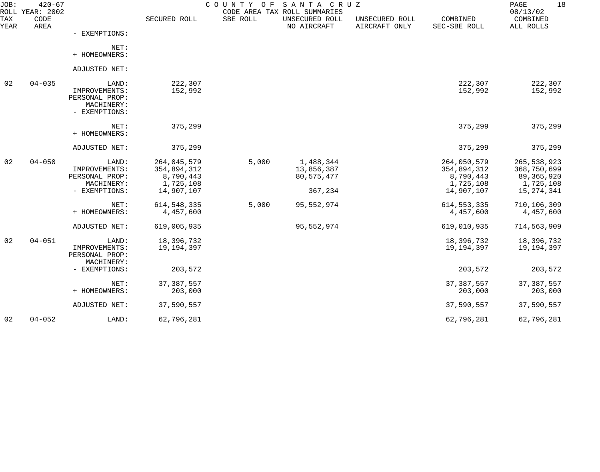| JOB:               | $420 - 67$<br>ROLL YEAR: 2002 |                                                                         |                                                                    |          | COUNTY OF SANTA CRUZ<br>CODE AREA TAX ROLL SUMMARIES |                                 |                                                                    | PAGE<br>18<br>08/13/02                                                  |
|--------------------|-------------------------------|-------------------------------------------------------------------------|--------------------------------------------------------------------|----------|------------------------------------------------------|---------------------------------|--------------------------------------------------------------------|-------------------------------------------------------------------------|
| <b>TAX</b><br>YEAR | CODE<br>AREA                  |                                                                         | SECURED ROLL                                                       | SBE ROLL | UNSECURED ROLL<br>NO AIRCRAFT                        | UNSECURED ROLL<br>AIRCRAFT ONLY | COMBINED<br>SEC-SBE ROLL                                           | COMBINED<br>ALL ROLLS                                                   |
|                    |                               | - EXEMPTIONS:                                                           |                                                                    |          |                                                      |                                 |                                                                    |                                                                         |
|                    |                               | NET:<br>+ HOMEOWNERS:                                                   |                                                                    |          |                                                      |                                 |                                                                    |                                                                         |
|                    |                               | ADJUSTED NET:                                                           |                                                                    |          |                                                      |                                 |                                                                    |                                                                         |
| 02                 | $04 - 035$                    | LAND:<br>IMPROVEMENTS:<br>PERSONAL PROP:<br>MACHINERY:<br>- EXEMPTIONS: | 222,307<br>152,992                                                 |          |                                                      |                                 | 222,307<br>152,992                                                 | 222,307<br>152,992                                                      |
|                    |                               | NET:<br>+ HOMEOWNERS:                                                   | 375,299                                                            |          |                                                      |                                 | 375,299                                                            | 375,299                                                                 |
|                    |                               | ADJUSTED NET:                                                           | 375,299                                                            |          |                                                      |                                 | 375,299                                                            | 375,299                                                                 |
| 02                 | $04 - 050$                    | LAND:<br>IMPROVEMENTS:<br>PERSONAL PROP:<br>MACHINERY:<br>- EXEMPTIONS: | 264,045,579<br>354,894,312<br>8,790,443<br>1,725,108<br>14,907,107 | 5,000    | 1,488,344<br>13,856,387<br>80, 575, 477<br>367,234   |                                 | 264,050,579<br>354,894,312<br>8,790,443<br>1,725,108<br>14,907,107 | 265, 538, 923<br>368,750,699<br>89,365,920<br>1,725,108<br>15, 274, 341 |
|                    |                               | NET:<br>+ HOMEOWNERS:                                                   | 614, 548, 335<br>4,457,600                                         | 5,000    | 95,552,974                                           |                                 | 614, 553, 335<br>4,457,600                                         | 710,106,309<br>4,457,600                                                |
|                    |                               | ADJUSTED NET:                                                           | 619,005,935                                                        |          | 95,552,974                                           |                                 | 619,010,935                                                        | 714,563,909                                                             |
| 02                 | $04 - 051$                    | LAND:<br>IMPROVEMENTS:<br>PERSONAL PROP:                                | 18,396,732<br>19,194,397                                           |          |                                                      |                                 | 18,396,732<br>19,194,397                                           | 18,396,732<br>19,194,397                                                |
|                    |                               | MACHINERY:<br>- EXEMPTIONS:                                             | 203,572                                                            |          |                                                      |                                 | 203,572                                                            | 203,572                                                                 |
|                    |                               | NET:<br>+ HOMEOWNERS:                                                   | 37, 387, 557<br>203,000                                            |          |                                                      |                                 | 37, 387, 557<br>203,000                                            | 37, 387, 557<br>203,000                                                 |
|                    |                               | ADJUSTED NET:                                                           | 37,590,557                                                         |          |                                                      |                                 | 37,590,557                                                         | 37,590,557                                                              |
| 02                 | $04 - 052$                    | LAND:                                                                   | 62,796,281                                                         |          |                                                      |                                 | 62,796,281                                                         | 62,796,281                                                              |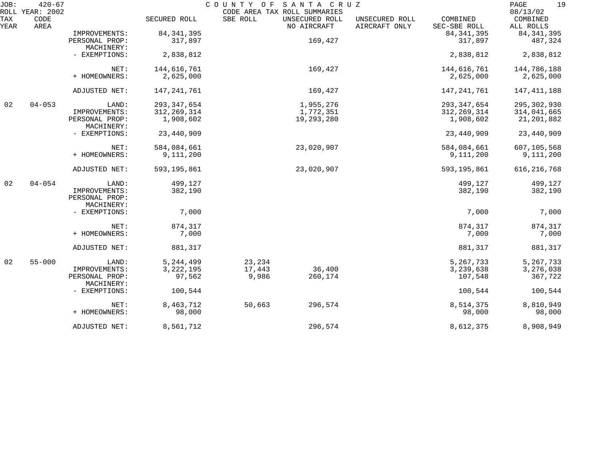| JOB:        | $420 - 67$<br>ROLL YEAR: 2002 |                                               |               | COUNTY OF | SANTA CRUZ<br>CODE AREA TAX ROLL SUMMARIES |                                 |                          | 19<br>$\mathop{\mathrm{PAGE}}$<br>08/13/02 |
|-------------|-------------------------------|-----------------------------------------------|---------------|-----------|--------------------------------------------|---------------------------------|--------------------------|--------------------------------------------|
| TAX<br>YEAR | CODE<br>AREA                  |                                               | SECURED ROLL  | SBE ROLL  | UNSECURED ROLL<br>NO AIRCRAFT              | UNSECURED ROLL<br>AIRCRAFT ONLY | COMBINED<br>SEC-SBE ROLL | COMBINED<br>ALL ROLLS                      |
|             |                               | IMPROVEMENTS:                                 | 84, 341, 395  |           |                                            |                                 | 84, 341, 395             | 84, 341, 395                               |
|             |                               | PERSONAL PROP:<br>MACHINERY:                  | 317,897       |           | 169,427                                    |                                 | 317,897                  | 487,324                                    |
|             |                               | - EXEMPTIONS:                                 | 2,838,812     |           |                                            |                                 | 2,838,812                | 2,838,812                                  |
|             |                               | NET:                                          | 144,616,761   |           | 169,427                                    |                                 | 144,616,761              | 144,786,188                                |
|             |                               | + HOMEOWNERS:                                 | 2,625,000     |           |                                            |                                 | 2,625,000                | 2,625,000                                  |
|             |                               | ADJUSTED NET:                                 | 147, 241, 761 |           | 169,427                                    |                                 | 147,241,761              | 147, 411, 188                              |
| 02          | $04 - 053$                    | LAND:                                         | 293, 347, 654 |           | 1,955,276                                  |                                 | 293, 347, 654            | 295,302,930                                |
|             |                               | IMPROVEMENTS:                                 | 312, 269, 314 |           | 1,772,351                                  |                                 | 312, 269, 314            | 314,041,665                                |
|             |                               | PERSONAL PROP:<br>MACHINERY:                  | 1,908,602     |           | 19,293,280                                 |                                 | 1,908,602                | 21,201,882                                 |
|             |                               | - EXEMPTIONS:                                 | 23,440,909    |           |                                            |                                 | 23,440,909               | 23,440,909                                 |
|             |                               | NET:                                          | 584,084,661   |           | 23,020,907                                 |                                 | 584,084,661              | 607,105,568                                |
|             |                               | + HOMEOWNERS:                                 | 9,111,200     |           |                                            |                                 | 9,111,200                | 9,111,200                                  |
|             |                               | ADJUSTED NET:                                 | 593, 195, 861 |           | 23,020,907                                 |                                 | 593, 195, 861            | 616, 216, 768                              |
| 02          | $04 - 054$                    | LAND:                                         | 499,127       |           |                                            |                                 | 499,127                  | 499,127                                    |
|             |                               | IMPROVEMENTS:<br>PERSONAL PROP:<br>MACHINERY: | 382,190       |           |                                            |                                 | 382,190                  | 382,190                                    |
|             |                               | - EXEMPTIONS:                                 | 7,000         |           |                                            |                                 | 7,000                    | 7,000                                      |
|             |                               | NET:                                          | 874,317       |           |                                            |                                 | 874,317                  | 874,317                                    |
|             |                               | + HOMEOWNERS:                                 | 7,000         |           |                                            |                                 | 7,000                    | 7,000                                      |
|             |                               | ADJUSTED NET:                                 | 881,317       |           |                                            |                                 | 881,317                  | 881,317                                    |
| 02          | $55 - 000$                    | LAND:                                         | 5, 244, 499   | 23,234    |                                            |                                 | 5, 267, 733              | 5, 267, 733                                |
|             |                               | IMPROVEMENTS:                                 | 3, 222, 195   | 17,443    | 36,400                                     |                                 | 3, 239, 638              | 3,276,038                                  |
|             |                               | PERSONAL PROP:<br>MACHINERY:                  | 97,562        | 9,986     | 260,174                                    |                                 | 107,548                  | 367,722                                    |
|             |                               | - EXEMPTIONS:                                 | 100,544       |           |                                            |                                 | 100,544                  | 100,544                                    |
|             |                               | NET:                                          | 8,463,712     | 50,663    | 296,574                                    |                                 | 8,514,375                | 8,810,949                                  |
|             |                               | + HOMEOWNERS:                                 | 98,000        |           |                                            |                                 | 98,000                   | 98,000                                     |
|             |                               | ADJUSTED NET:                                 | 8,561,712     |           | 296,574                                    |                                 | 8,612,375                | 8,908,949                                  |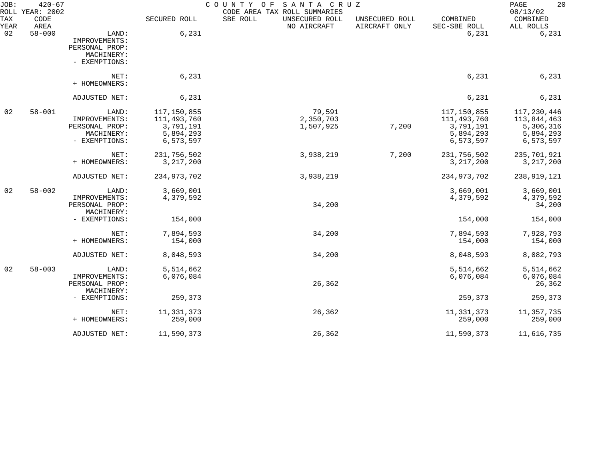| JOB:<br>ROLL | $420 - 67$<br>YEAR: 2002 |                                                                         |                                                                   | COUNTY OF<br>SANTA CRUZ<br>CODE AREA TAX ROLL SUMMARIES |                                 |                                                                     | 20<br>PAGE<br>08/13/02                                              |
|--------------|--------------------------|-------------------------------------------------------------------------|-------------------------------------------------------------------|---------------------------------------------------------|---------------------------------|---------------------------------------------------------------------|---------------------------------------------------------------------|
| TAX<br>YEAR  | CODE<br>AREA             |                                                                         | SECURED ROLL                                                      | SBE ROLL<br>UNSECURED ROLL<br>NO AIRCRAFT               | UNSECURED ROLL<br>AIRCRAFT ONLY | COMBINED<br>SEC-SBE ROLL                                            | COMBINED<br>ALL ROLLS                                               |
| 02           | $58 - 000$               | LAND:<br>IMPROVEMENTS:<br>PERSONAL PROP:<br>MACHINERY:<br>- EXEMPTIONS: | 6,231                                                             |                                                         |                                 | 6,231                                                               | 6,231                                                               |
|              |                          | NET:<br>+ HOMEOWNERS:                                                   | 6,231                                                             |                                                         |                                 | 6,231                                                               | 6,231                                                               |
|              |                          | ADJUSTED NET:                                                           | 6,231                                                             |                                                         |                                 | 6,231                                                               | 6,231                                                               |
| 02           | $58 - 001$               | LAND:<br>IMPROVEMENTS:<br>PERSONAL PROP:<br>MACHINERY:<br>- EXEMPTIONS: | 117,150,855<br>111,493,760<br>3,791,191<br>5,894,293<br>6,573,597 | 79,591<br>2,350,703<br>1,507,925                        | 7,200                           | 117,150,855<br>111, 493, 760<br>3,791,191<br>5,894,293<br>6,573,597 | 117, 230, 446<br>113,844,463<br>5,306,316<br>5,894,293<br>6,573,597 |
|              |                          | NET:<br>+ HOMEOWNERS:                                                   | 231,756,502<br>3, 217, 200                                        | 3,938,219                                               | 7,200                           | 231,756,502<br>3, 217, 200                                          | 235,701,921<br>3, 217, 200                                          |
|              |                          | ADJUSTED NET:                                                           | 234,973,702                                                       | 3,938,219                                               |                                 | 234,973,702                                                         | 238,919,121                                                         |
| 02           | $58 - 002$               | LAND:<br>IMPROVEMENTS:<br>PERSONAL PROP:<br>MACHINERY:                  | 3,669,001<br>4,379,592                                            | 34,200                                                  |                                 | 3,669,001<br>4,379,592                                              | 3,669,001<br>4,379,592<br>34,200                                    |
|              |                          | - EXEMPTIONS:                                                           | 154,000                                                           |                                                         |                                 | 154,000                                                             | 154,000                                                             |
|              |                          | NET:<br>+ HOMEOWNERS:                                                   | 7,894,593<br>154,000                                              | 34,200                                                  |                                 | 7,894,593<br>154,000                                                | 7,928,793<br>154,000                                                |
|              |                          | ADJUSTED NET:                                                           | 8,048,593                                                         | 34,200                                                  |                                 | 8,048,593                                                           | 8,082,793                                                           |
| 02           | $58 - 003$               | LAND:<br>IMPROVEMENTS:<br>PERSONAL PROP:                                | 5,514,662<br>6,076,084                                            | 26,362                                                  |                                 | 5,514,662<br>6,076,084                                              | 5,514,662<br>6,076,084<br>26,362                                    |
|              |                          | MACHINERY:<br>- EXEMPTIONS:                                             | 259,373                                                           |                                                         |                                 | 259,373                                                             | 259,373                                                             |
|              |                          | NET:<br>+ HOMEOWNERS:                                                   | 11, 331, 373<br>259,000                                           | 26,362                                                  |                                 | 11,331,373<br>259,000                                               | 11, 357, 735<br>259,000                                             |
|              |                          | ADJUSTED NET:                                                           | 11,590,373                                                        | 26,362                                                  |                                 | 11,590,373                                                          | 11,616,735                                                          |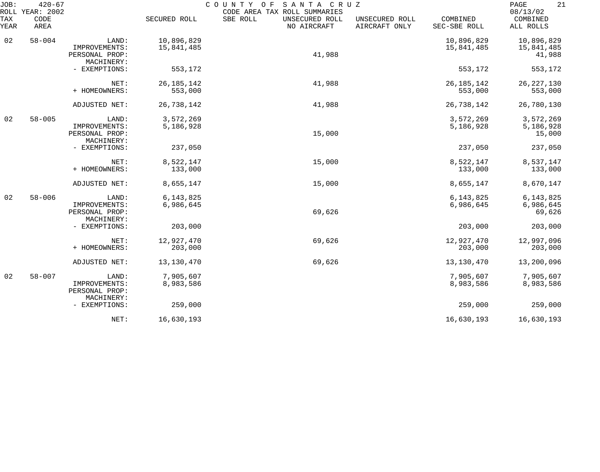| JOB:        | $420 - 67$<br>ROLL YEAR: 2002 |                                               |                          | COUNTY OF<br>SANTA CRUZ<br>CODE AREA TAX ROLL SUMMARIES |                                 |                          | 21<br>PAGE<br>08/13/02   |
|-------------|-------------------------------|-----------------------------------------------|--------------------------|---------------------------------------------------------|---------------------------------|--------------------------|--------------------------|
| TAX<br>YEAR | CODE<br>AREA                  |                                               | SECURED ROLL             | SBE ROLL<br>UNSECURED ROLL<br>NO AIRCRAFT               | UNSECURED ROLL<br>AIRCRAFT ONLY | COMBINED<br>SEC-SBE ROLL | COMBINED<br>ALL ROLLS    |
| 02          | $58 - 004$                    | LAND:<br>IMPROVEMENTS:                        | 10,896,829<br>15,841,485 |                                                         |                                 | 10,896,829<br>15,841,485 | 10,896,829<br>15,841,485 |
|             |                               | PERSONAL PROP:<br>MACHINERY:                  |                          | 41,988                                                  |                                 |                          | 41,988                   |
|             |                               | - EXEMPTIONS:                                 | 553,172                  |                                                         |                                 | 553,172                  | 553,172                  |
|             |                               | NET:<br>+ HOMEOWNERS:                         | 26, 185, 142<br>553,000  | 41,988                                                  |                                 | 26, 185, 142<br>553,000  | 26, 227, 130<br>553,000  |
|             |                               | ADJUSTED NET:                                 | 26,738,142               | 41,988                                                  |                                 | 26,738,142               | 26,780,130               |
| 02          | $58 - 005$                    | LAND:                                         | 3,572,269                |                                                         |                                 | 3,572,269                | 3,572,269                |
|             |                               | IMPROVEMENTS:<br>PERSONAL PROP:<br>MACHINERY: | 5,186,928                | 15,000                                                  |                                 | 5,186,928                | 5,186,928<br>15,000      |
|             |                               | - EXEMPTIONS:                                 | 237,050                  |                                                         |                                 | 237,050                  | 237,050                  |
|             |                               | NET:<br>+ HOMEOWNERS:                         | 8,522,147                | 15,000                                                  |                                 | 8,522,147                | 8,537,147                |
|             |                               |                                               | 133,000                  |                                                         |                                 | 133,000                  | 133,000                  |
|             |                               | ADJUSTED NET:                                 | 8,655,147                | 15,000                                                  |                                 | 8,655,147                | 8,670,147                |
| 02          | $58 - 006$                    | LAND:<br>IMPROVEMENTS:                        | 6, 143, 825<br>6,986,645 |                                                         |                                 | 6, 143, 825<br>6,986,645 | 6,143,825<br>6,986,645   |
|             |                               | PERSONAL PROP:<br>MACHINERY:                  |                          | 69,626                                                  |                                 |                          | 69,626                   |
|             |                               | - EXEMPTIONS:                                 | 203,000                  |                                                         |                                 | 203,000                  | 203,000                  |
|             |                               | NET:                                          | 12,927,470               | 69,626                                                  |                                 | 12,927,470               | 12,997,096               |
|             |                               | + HOMEOWNERS:                                 | 203,000                  |                                                         |                                 | 203,000                  | 203,000                  |
|             |                               | ADJUSTED NET:                                 | 13,130,470               | 69,626                                                  |                                 | 13, 130, 470             | 13,200,096               |
| 02          | $58 - 007$                    | LAND:                                         | 7,905,607                |                                                         |                                 | 7,905,607                | 7,905,607                |
|             |                               | IMPROVEMENTS:<br>PERSONAL PROP:<br>MACHINERY: | 8,983,586                |                                                         |                                 | 8,983,586                | 8,983,586                |
|             |                               | - EXEMPTIONS:                                 | 259,000                  |                                                         |                                 | 259,000                  | 259,000                  |
|             |                               | NET:                                          | 16,630,193               |                                                         |                                 | 16,630,193               | 16,630,193               |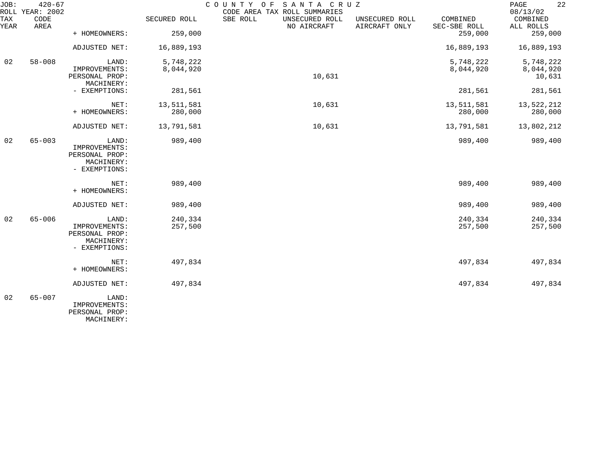| JOB:        | $420 - 67$<br>ROLL YEAR: 2002 |                                                                         |                    | COUNTY OF<br>SANTA CRUZ<br>CODE AREA TAX ROLL SUMMARIES |                                 |                          | 22<br>PAGE<br>08/13/02 |
|-------------|-------------------------------|-------------------------------------------------------------------------|--------------------|---------------------------------------------------------|---------------------------------|--------------------------|------------------------|
| TAX<br>YEAR | CODE<br>AREA                  |                                                                         | SECURED ROLL       | SBE ROLL<br>UNSECURED ROLL<br>NO AIRCRAFT               | UNSECURED ROLL<br>AIRCRAFT ONLY | COMBINED<br>SEC-SBE ROLL | COMBINED<br>ALL ROLLS  |
|             |                               | + HOMEOWNERS:                                                           | 259,000            |                                                         |                                 | 259,000                  | 259,000                |
|             |                               | ADJUSTED NET:                                                           | 16,889,193         |                                                         |                                 | 16,889,193               | 16,889,193             |
| 02          | $58 - 008$                    | LAND:                                                                   | 5,748,222          |                                                         |                                 | 5,748,222                | 5,748,222              |
|             |                               | IMPROVEMENTS:<br>PERSONAL PROP:<br>MACHINERY:                           | 8,044,920          | 10,631                                                  |                                 | 8,044,920                | 8,044,920<br>10,631    |
|             |                               | - EXEMPTIONS:                                                           | 281,561            |                                                         |                                 | 281,561                  | 281,561                |
|             |                               | NET:                                                                    | 13,511,581         | 10,631                                                  |                                 | 13,511,581               | 13,522,212             |
|             |                               | + HOMEOWNERS:                                                           | 280,000            |                                                         |                                 | 280,000                  | 280,000                |
|             |                               | ADJUSTED NET:                                                           | 13,791,581         | 10,631                                                  |                                 | 13,791,581               | 13,802,212             |
| 02          | $65 - 003$                    | LAND:<br>IMPROVEMENTS:<br>PERSONAL PROP:<br>MACHINERY:<br>- EXEMPTIONS: | 989,400            |                                                         |                                 | 989,400                  | 989,400                |
|             |                               | NET:<br>+ HOMEOWNERS:                                                   | 989,400            |                                                         |                                 | 989,400                  | 989,400                |
|             |                               | ADJUSTED NET:                                                           | 989,400            |                                                         |                                 | 989,400                  | 989,400                |
| 02          | $65 - 006$                    | LAND:<br>IMPROVEMENTS:<br>PERSONAL PROP:<br>MACHINERY:<br>- EXEMPTIONS: | 240,334<br>257,500 |                                                         |                                 | 240,334<br>257,500       | 240,334<br>257,500     |
|             |                               | NET:<br>+ HOMEOWNERS:                                                   | 497,834            |                                                         |                                 | 497,834                  | 497,834                |
|             |                               | ADJUSTED NET:                                                           | 497,834            |                                                         |                                 | 497,834                  | 497,834                |
| 02          | $65 - 007$                    | LAND:<br>IMPROVEMENTS:<br>PERSONAL PROP:                                |                    |                                                         |                                 |                          |                        |

MACHINERY: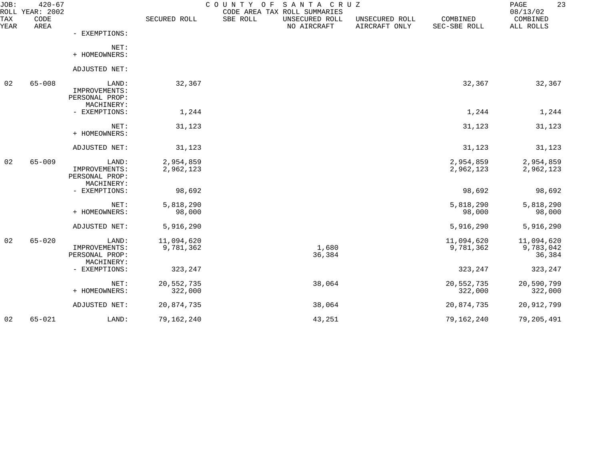| JOB:        | $420 - 67$<br>ROLL YEAR: 2002 |                                                        |                         | COUNTY OF SANTA CRUZ | CODE AREA TAX ROLL SUMMARIES  |                                 |                          | 23<br>PAGE<br>08/13/02            |
|-------------|-------------------------------|--------------------------------------------------------|-------------------------|----------------------|-------------------------------|---------------------------------|--------------------------|-----------------------------------|
| TAX<br>YEAR | CODE<br>AREA                  |                                                        | SECURED ROLL            | SBE ROLL             | UNSECURED ROLL<br>NO AIRCRAFT | UNSECURED ROLL<br>AIRCRAFT ONLY | COMBINED<br>SEC-SBE ROLL | COMBINED<br>ALL ROLLS             |
|             |                               | - EXEMPTIONS:                                          |                         |                      |                               |                                 |                          |                                   |
|             |                               | NET:<br>+ HOMEOWNERS:                                  |                         |                      |                               |                                 |                          |                                   |
|             |                               | ADJUSTED NET:                                          |                         |                      |                               |                                 |                          |                                   |
| 02          | $65 - 008$                    | LAND:<br>IMPROVEMENTS:<br>PERSONAL PROP:<br>MACHINERY: | 32,367                  |                      |                               |                                 | 32,367                   | 32,367                            |
|             |                               | - EXEMPTIONS:                                          | 1,244                   |                      |                               |                                 | 1,244                    | 1,244                             |
|             |                               | NET:<br>+ HOMEOWNERS:                                  | 31,123                  |                      |                               |                                 | 31,123                   | 31,123                            |
|             |                               | ADJUSTED NET:                                          | 31,123                  |                      |                               |                                 | 31,123                   | 31,123                            |
| 02          | $65 - 009$                    | LAND:<br>IMPROVEMENTS:<br>PERSONAL PROP:<br>MACHINERY: | 2,954,859<br>2,962,123  |                      |                               |                                 | 2,954,859<br>2,962,123   | 2,954,859<br>2,962,123            |
|             |                               | - EXEMPTIONS:                                          | 98,692                  |                      |                               |                                 | 98,692                   | 98,692                            |
|             |                               | NET:<br>+ HOMEOWNERS:                                  | 5,818,290<br>98,000     |                      |                               |                                 | 5,818,290<br>98,000      | 5,818,290<br>98,000               |
|             |                               | ADJUSTED NET:                                          | 5,916,290               |                      |                               |                                 | 5,916,290                | 5,916,290                         |
| 02          | $65 - 020$                    | LAND:<br>IMPROVEMENTS:<br>PERSONAL PROP:               | 11,094,620<br>9,781,362 |                      | 1,680<br>36,384               |                                 | 11,094,620<br>9,781,362  | 11,094,620<br>9,783,042<br>36,384 |
|             |                               | MACHINERY:<br>- EXEMPTIONS:                            | 323, 247                |                      |                               |                                 | 323,247                  | 323,247                           |
|             |                               | NET:<br>+ HOMEOWNERS:                                  | 20,552,735<br>322,000   |                      | 38,064                        |                                 | 20,552,735<br>322,000    | 20,590,799<br>322,000             |
|             |                               | ADJUSTED NET:                                          | 20,874,735              |                      | 38,064                        |                                 | 20,874,735               | 20,912,799                        |
| 02          | $65 - 021$                    | LAND:                                                  | 79,162,240              |                      | 43,251                        |                                 | 79,162,240               | 79,205,491                        |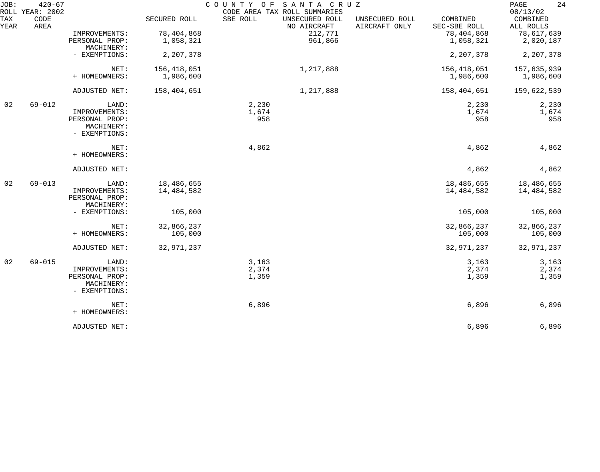| JOB:        | $420 - 67$<br>ROLL YEAR: 2002 |                                               |                          | COUNTY OF | SANTA CRUZ<br>CODE AREA TAX ROLL SUMMARIES |                                 |                          | 24<br>PAGE<br>08/13/02   |
|-------------|-------------------------------|-----------------------------------------------|--------------------------|-----------|--------------------------------------------|---------------------------------|--------------------------|--------------------------|
| TAX<br>YEAR | CODE<br>AREA                  |                                               | SECURED ROLL             | SBE ROLL  | UNSECURED ROLL<br>NO AIRCRAFT              | UNSECURED ROLL<br>AIRCRAFT ONLY | COMBINED<br>SEC-SBE ROLL | COMBINED<br>ALL ROLLS    |
|             |                               | IMPROVEMENTS:                                 | 78,404,868               |           | 212,771                                    |                                 | 78,404,868               | 78,617,639               |
|             |                               | PERSONAL PROP:<br>MACHINERY:                  | 1,058,321                |           | 961,866                                    |                                 | 1,058,321                | 2,020,187                |
|             |                               | - EXEMPTIONS:                                 | 2,207,378                |           |                                            |                                 | 2,207,378                | 2,207,378                |
|             |                               | NET:                                          | 156,418,051              |           | 1,217,888                                  |                                 | 156,418,051              | 157,635,939              |
|             |                               | + HOMEOWNERS:                                 | 1,986,600                |           |                                            |                                 | 1,986,600                | 1,986,600                |
|             |                               | ADJUSTED NET:                                 | 158,404,651              |           | 1,217,888                                  |                                 | 158,404,651              | 159,622,539              |
| 02          | $69 - 012$                    | LAND:                                         |                          | 2,230     |                                            |                                 | 2,230                    | 2,230                    |
|             |                               | IMPROVEMENTS:                                 |                          | 1,674     |                                            |                                 | 1,674                    | 1,674                    |
|             |                               | PERSONAL PROP:<br>MACHINERY:<br>- EXEMPTIONS: |                          | 958       |                                            |                                 | 958                      | 958                      |
|             |                               | NET:                                          |                          | 4,862     |                                            |                                 | 4,862                    | 4,862                    |
|             |                               | + HOMEOWNERS:                                 |                          |           |                                            |                                 |                          |                          |
|             |                               | ADJUSTED NET:                                 |                          |           |                                            |                                 | 4,862                    | 4,862                    |
| 02          | $69 - 013$                    | LAND:<br>IMPROVEMENTS:                        | 18,486,655<br>14,484,582 |           |                                            |                                 | 18,486,655<br>14,484,582 | 18,486,655<br>14,484,582 |
|             |                               | PERSONAL PROP:<br>MACHINERY:                  |                          |           |                                            |                                 |                          |                          |
|             |                               | - EXEMPTIONS:                                 | 105,000                  |           |                                            |                                 | 105,000                  | 105,000                  |
|             |                               | NET:                                          | 32,866,237               |           |                                            |                                 | 32,866,237               | 32,866,237               |
|             |                               | + HOMEOWNERS:                                 | 105,000                  |           |                                            |                                 | 105,000                  | 105,000                  |
|             |                               | ADJUSTED NET:                                 | 32,971,237               |           |                                            |                                 | 32,971,237               | 32,971,237               |
| 02          | $69 - 015$                    | LAND:                                         |                          | 3,163     |                                            |                                 | 3,163                    | 3,163                    |
|             |                               | IMPROVEMENTS:                                 |                          | 2,374     |                                            |                                 | 2,374                    | 2,374                    |
|             |                               | PERSONAL PROP:<br>MACHINERY:                  |                          | 1,359     |                                            |                                 | 1,359                    | 1,359                    |
|             |                               | - EXEMPTIONS:                                 |                          |           |                                            |                                 |                          |                          |
|             |                               | NET:                                          |                          | 6,896     |                                            |                                 | 6,896                    | 6,896                    |
|             |                               | + HOMEOWNERS:                                 |                          |           |                                            |                                 |                          |                          |
|             |                               | ADJUSTED NET:                                 |                          |           |                                            |                                 | 6,896                    | 6,896                    |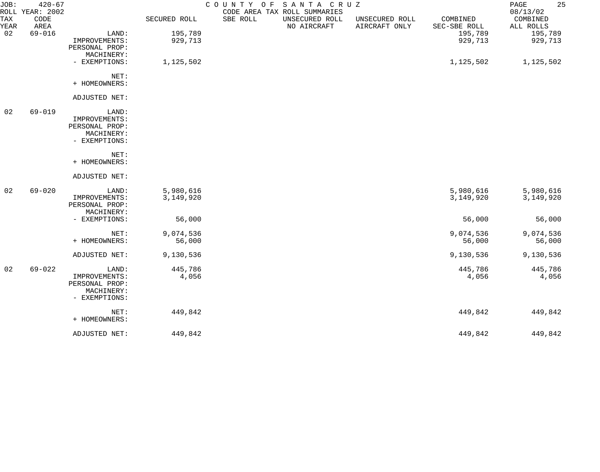| JOB:        | $420 - 67$<br>ROLL YEAR: 2002 |                |              | COUNTY OF | SANTA CRUZ<br>CODE AREA TAX ROLL SUMMARIES |                                 |                          | 25<br>PAGE<br>08/13/02 |
|-------------|-------------------------------|----------------|--------------|-----------|--------------------------------------------|---------------------------------|--------------------------|------------------------|
| TAX<br>YEAR | CODE<br>AREA                  |                | SECURED ROLL | SBE ROLL  | UNSECURED ROLL<br>NO AIRCRAFT              | UNSECURED ROLL<br>AIRCRAFT ONLY | COMBINED<br>SEC-SBE ROLL | COMBINED<br>ALL ROLLS  |
| 02          | $69 - 016$                    | LAND:          | 195,789      |           |                                            |                                 | 195,789                  | 195,789                |
|             |                               | IMPROVEMENTS:  | 929,713      |           |                                            |                                 | 929,713                  | 929,713                |
|             |                               | PERSONAL PROP: |              |           |                                            |                                 |                          |                        |
|             |                               | MACHINERY:     |              |           |                                            |                                 |                          |                        |
|             |                               | - EXEMPTIONS:  | 1,125,502    |           |                                            |                                 | 1,125,502                | 1,125,502              |
|             |                               | NET:           |              |           |                                            |                                 |                          |                        |
|             |                               | + HOMEOWNERS:  |              |           |                                            |                                 |                          |                        |
|             |                               | ADJUSTED NET:  |              |           |                                            |                                 |                          |                        |
| 02          | $69 - 019$                    | LAND:          |              |           |                                            |                                 |                          |                        |
|             |                               | IMPROVEMENTS:  |              |           |                                            |                                 |                          |                        |
|             |                               | PERSONAL PROP: |              |           |                                            |                                 |                          |                        |
|             |                               | MACHINERY:     |              |           |                                            |                                 |                          |                        |
|             |                               | - EXEMPTIONS:  |              |           |                                            |                                 |                          |                        |
|             |                               | NET:           |              |           |                                            |                                 |                          |                        |
|             |                               | + HOMEOWNERS:  |              |           |                                            |                                 |                          |                        |
|             |                               | ADJUSTED NET:  |              |           |                                            |                                 |                          |                        |
| 02          | $69 - 020$                    | LAND:          | 5,980,616    |           |                                            |                                 | 5,980,616                | 5,980,616              |
|             |                               | IMPROVEMENTS:  | 3,149,920    |           |                                            |                                 | 3,149,920                | 3,149,920              |
|             |                               | PERSONAL PROP: |              |           |                                            |                                 |                          |                        |
|             |                               | MACHINERY:     |              |           |                                            |                                 |                          |                        |
|             |                               | - EXEMPTIONS:  | 56,000       |           |                                            |                                 | 56,000                   | 56,000                 |
|             |                               | NET:           | 9,074,536    |           |                                            |                                 | 9,074,536                | 9,074,536              |
|             |                               | + HOMEOWNERS:  | 56,000       |           |                                            |                                 | 56,000                   | 56,000                 |
|             |                               | ADJUSTED NET:  | 9,130,536    |           |                                            |                                 | 9,130,536                | 9,130,536              |
| 02          | $69 - 022$                    | LAND:          | 445,786      |           |                                            |                                 | 445,786                  | 445,786                |
|             |                               | IMPROVEMENTS:  | 4,056        |           |                                            |                                 | 4,056                    | 4,056                  |
|             |                               | PERSONAL PROP: |              |           |                                            |                                 |                          |                        |
|             |                               | MACHINERY:     |              |           |                                            |                                 |                          |                        |
|             |                               | - EXEMPTIONS:  |              |           |                                            |                                 |                          |                        |
|             |                               | NET:           | 449,842      |           |                                            |                                 | 449,842                  | 449,842                |
|             |                               | + HOMEOWNERS:  |              |           |                                            |                                 |                          |                        |
|             |                               | ADJUSTED NET:  | 449,842      |           |                                            |                                 | 449,842                  | 449,842                |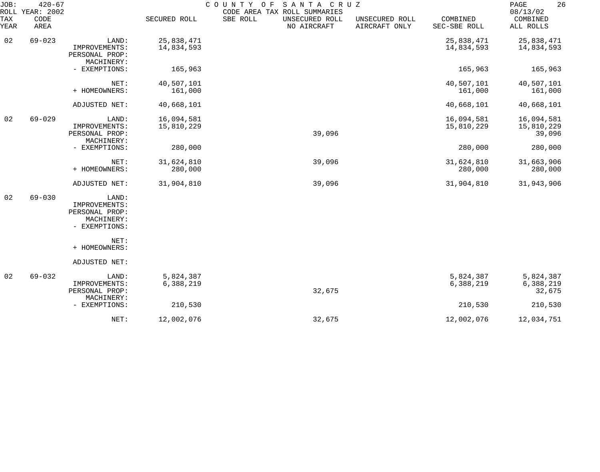| JOB:        | $420 - 67$<br>ROLL YEAR: 2002 |                                               |                       | COUNTY OF<br>SANTA CRUZ<br>CODE AREA TAX ROLL SUMMARIES |                                 |                          | 26<br>PAGE<br>08/13/02 |
|-------------|-------------------------------|-----------------------------------------------|-----------------------|---------------------------------------------------------|---------------------------------|--------------------------|------------------------|
| TAX<br>YEAR | CODE<br>AREA                  |                                               | SECURED ROLL          | SBE ROLL<br>UNSECURED ROLL<br>NO AIRCRAFT               | UNSECURED ROLL<br>AIRCRAFT ONLY | COMBINED<br>SEC-SBE ROLL | COMBINED<br>ALL ROLLS  |
| 02          | $69 - 023$                    | LAND:                                         | 25,838,471            |                                                         |                                 | 25,838,471               | 25,838,471             |
|             |                               | IMPROVEMENTS:<br>PERSONAL PROP:<br>MACHINERY: | 14,834,593            |                                                         |                                 | 14,834,593               | 14,834,593             |
|             |                               | - EXEMPTIONS:                                 | 165,963               |                                                         |                                 | 165,963                  | 165,963                |
|             |                               | NET:<br>+ HOMEOWNERS:                         | 40,507,101<br>161,000 |                                                         |                                 | 40,507,101<br>161,000    | 40,507,101<br>161,000  |
|             |                               | ADJUSTED NET:                                 | 40,668,101            |                                                         |                                 | 40,668,101               | 40,668,101             |
| 02          | $69 - 029$                    | LAND:                                         | 16,094,581            |                                                         |                                 | 16,094,581               | 16,094,581             |
|             |                               | IMPROVEMENTS:<br>PERSONAL PROP:               | 15,810,229            | 39,096                                                  |                                 | 15,810,229               | 15,810,229<br>39,096   |
|             |                               | MACHINERY:<br>- EXEMPTIONS:                   | 280,000               |                                                         |                                 | 280,000                  | 280,000                |
|             |                               | NET:<br>+ HOMEOWNERS:                         | 31,624,810<br>280,000 | 39,096                                                  |                                 | 31,624,810<br>280,000    | 31,663,906<br>280,000  |
|             |                               | ADJUSTED NET:                                 | 31,904,810            | 39,096                                                  |                                 | 31,904,810               | 31,943,906             |
| 02          | $69 - 030$                    | LAND:<br>IMPROVEMENTS:                        |                       |                                                         |                                 |                          |                        |
|             |                               | PERSONAL PROP:                                |                       |                                                         |                                 |                          |                        |
|             |                               | MACHINERY:<br>- EXEMPTIONS:                   |                       |                                                         |                                 |                          |                        |
|             |                               | NET:<br>+ HOMEOWNERS:                         |                       |                                                         |                                 |                          |                        |
|             |                               | ADJUSTED NET:                                 |                       |                                                         |                                 |                          |                        |
| 02          | $69 - 032$                    | LAND:                                         | 5,824,387             |                                                         |                                 | 5,824,387                | 5,824,387              |
|             |                               | IMPROVEMENTS:<br>PERSONAL PROP:               | 6,388,219             | 32,675                                                  |                                 | 6,388,219                | 6,388,219<br>32,675    |
|             |                               | MACHINERY:<br>- EXEMPTIONS:                   | 210,530               |                                                         |                                 | 210,530                  | 210,530                |
|             |                               | NET:                                          | 12,002,076            | 32,675                                                  |                                 | 12,002,076               | 12,034,751             |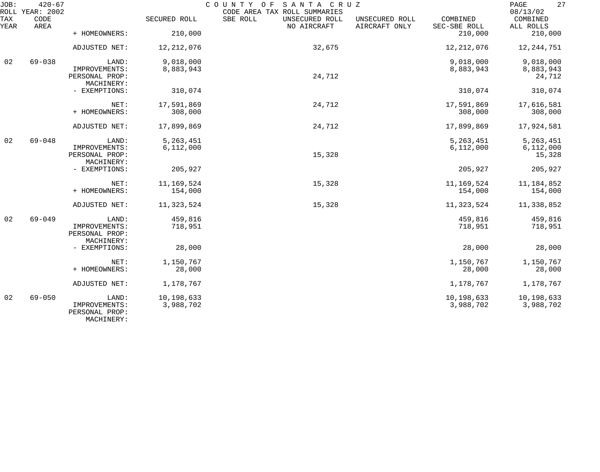| JOB:        | $420 - 67$<br>ROLL YEAR: 2002 |                                                        |                         | COUNTY<br>SANTA CRUZ<br>O F<br>CODE AREA TAX ROLL SUMMARIES |                                 |                          | 27<br>$\mathop{\mathrm{PAGE}}$<br>08/13/02 |
|-------------|-------------------------------|--------------------------------------------------------|-------------------------|-------------------------------------------------------------|---------------------------------|--------------------------|--------------------------------------------|
| TAX<br>YEAR | CODE<br>AREA                  |                                                        | SECURED ROLL            | SBE ROLL<br>UNSECURED ROLL<br>NO AIRCRAFT                   | UNSECURED ROLL<br>AIRCRAFT ONLY | COMBINED<br>SEC-SBE ROLL | COMBINED<br>ALL ROLLS                      |
|             |                               | + HOMEOWNERS:                                          | 210,000                 |                                                             |                                 | 210,000                  | 210,000                                    |
|             |                               | ADJUSTED NET:                                          | 12, 212, 076            | 32,675                                                      |                                 | 12, 212, 076             | 12,244,751                                 |
| 02          | $69 - 038$                    | LAND:                                                  | 9,018,000               |                                                             |                                 | 9,018,000                | 9,018,000                                  |
|             |                               | IMPROVEMENTS:<br>PERSONAL PROP:<br>MACHINERY:          | 8,883,943               | 24,712                                                      |                                 | 8,883,943                | 8,883,943<br>24,712                        |
|             |                               | - EXEMPTIONS:                                          | 310,074                 |                                                             |                                 | 310,074                  | 310,074                                    |
|             |                               | NET:                                                   | 17,591,869              | 24,712                                                      |                                 | 17,591,869               | 17,616,581                                 |
|             |                               | + HOMEOWNERS:                                          | 308,000                 |                                                             |                                 | 308,000                  | 308,000                                    |
|             |                               | ADJUSTED NET:                                          | 17,899,869              | 24,712                                                      |                                 | 17,899,869               | 17,924,581                                 |
| 02          | $69 - 048$                    | LAND:                                                  | 5, 263, 451             |                                                             |                                 | 5, 263, 451              | 5, 263, 451                                |
|             |                               | IMPROVEMENTS:<br>PERSONAL PROP:<br>MACHINERY:          | 6,112,000               | 15,328                                                      |                                 | 6,112,000                | 6,112,000<br>15,328                        |
|             |                               | - EXEMPTIONS:                                          | 205,927                 |                                                             |                                 | 205,927                  | 205,927                                    |
|             |                               | NET:                                                   | 11, 169, 524            | 15,328                                                      |                                 | 11,169,524               | 11,184,852                                 |
|             |                               | + HOMEOWNERS:                                          | 154,000                 |                                                             |                                 | 154,000                  | 154,000                                    |
|             |                               | ADJUSTED NET:                                          | 11,323,524              | 15,328                                                      |                                 | 11,323,524               | 11,338,852                                 |
| 02          | $69 - 049$                    | LAND:                                                  | 459,816                 |                                                             |                                 | 459,816                  | 459,816                                    |
|             |                               | IMPROVEMENTS:<br>PERSONAL PROP:<br>MACHINERY:          | 718,951                 |                                                             |                                 | 718,951                  | 718,951                                    |
|             |                               | - EXEMPTIONS:                                          | 28,000                  |                                                             |                                 | 28,000                   | 28,000                                     |
|             |                               | NET:                                                   | 1,150,767               |                                                             |                                 | 1,150,767                | 1,150,767                                  |
|             |                               | + HOMEOWNERS:                                          | 28,000                  |                                                             |                                 | 28,000                   | 28,000                                     |
|             |                               | ADJUSTED NET:                                          | 1,178,767               |                                                             |                                 | 1,178,767                | 1,178,767                                  |
| 02          | $69 - 050$                    | LAND:<br>IMPROVEMENTS:<br>PERSONAL PROP:<br>MACHINERY: | 10,198,633<br>3,988,702 |                                                             |                                 | 10,198,633<br>3,988,702  | 10,198,633<br>3,988,702                    |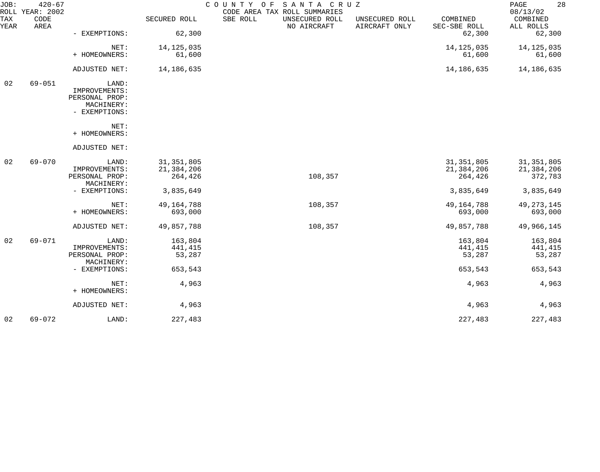| JOB:        | $420 - 67$<br>ROLL YEAR: 2002 |                              |              | COUNTY OF SANTA CRUZ<br>CODE AREA TAX ROLL SUMMARIES |                                 |                          | 28<br>PAGE<br>08/13/02 |
|-------------|-------------------------------|------------------------------|--------------|------------------------------------------------------|---------------------------------|--------------------------|------------------------|
| TAX<br>YEAR | CODE<br>AREA                  |                              | SECURED ROLL | SBE ROLL<br>UNSECURED ROLL<br>NO AIRCRAFT            | UNSECURED ROLL<br>AIRCRAFT ONLY | COMBINED<br>SEC-SBE ROLL | COMBINED<br>ALL ROLLS  |
|             |                               | - EXEMPTIONS:                | 62,300       |                                                      |                                 | 62,300                   | 62,300                 |
|             |                               | NET:                         | 14, 125, 035 |                                                      |                                 | 14, 125, 035             | 14, 125, 035           |
|             |                               | + HOMEOWNERS:                | 61,600       |                                                      |                                 | 61,600                   | 61,600                 |
|             |                               | ADJUSTED NET:                | 14,186,635   |                                                      |                                 | 14,186,635               | 14,186,635             |
| 02          | $69 - 051$                    | LAND:                        |              |                                                      |                                 |                          |                        |
|             |                               | IMPROVEMENTS:                |              |                                                      |                                 |                          |                        |
|             |                               | PERSONAL PROP:<br>MACHINERY: |              |                                                      |                                 |                          |                        |
|             |                               | - EXEMPTIONS:                |              |                                                      |                                 |                          |                        |
|             |                               | NET:                         |              |                                                      |                                 |                          |                        |
|             |                               | + HOMEOWNERS:                |              |                                                      |                                 |                          |                        |
|             |                               | ADJUSTED NET:                |              |                                                      |                                 |                          |                        |
| 02          | $69 - 070$                    | LAND:                        | 31, 351, 805 |                                                      |                                 | 31, 351, 805             | 31, 351, 805           |
|             |                               | IMPROVEMENTS:                | 21,384,206   |                                                      |                                 | 21,384,206               | 21,384,206             |
|             |                               | PERSONAL PROP:               | 264,426      | 108,357                                              |                                 | 264,426                  | 372,783                |
|             |                               | MACHINERY:                   |              |                                                      |                                 |                          |                        |
|             |                               | - EXEMPTIONS:                | 3,835,649    |                                                      |                                 | 3,835,649                | 3,835,649              |
|             |                               | NET:                         | 49, 164, 788 | 108,357                                              |                                 | 49, 164, 788             | 49, 273, 145           |
|             |                               | + HOMEOWNERS:                | 693,000      |                                                      |                                 | 693,000                  | 693,000                |
|             |                               | ADJUSTED NET:                | 49,857,788   | 108,357                                              |                                 | 49,857,788               | 49,966,145             |
| 02          | $69 - 071$                    | LAND:                        | 163,804      |                                                      |                                 | 163,804                  | 163,804                |
|             |                               | IMPROVEMENTS:                | 441,415      |                                                      |                                 | 441,415                  | 441,415                |
|             |                               | PERSONAL PROP:               | 53,287       |                                                      |                                 | 53,287                   | 53,287                 |
|             |                               | MACHINERY:                   |              |                                                      |                                 |                          |                        |
|             |                               | - EXEMPTIONS:                | 653,543      |                                                      |                                 | 653,543                  | 653,543                |
|             |                               | NET:                         | 4,963        |                                                      |                                 | 4,963                    | 4,963                  |
|             |                               | + HOMEOWNERS:                |              |                                                      |                                 |                          |                        |
|             |                               | ADJUSTED NET:                | 4,963        |                                                      |                                 | 4,963                    | 4,963                  |
| 02          | $69 - 072$                    | LAND:                        | 227,483      |                                                      |                                 | 227,483                  | 227,483                |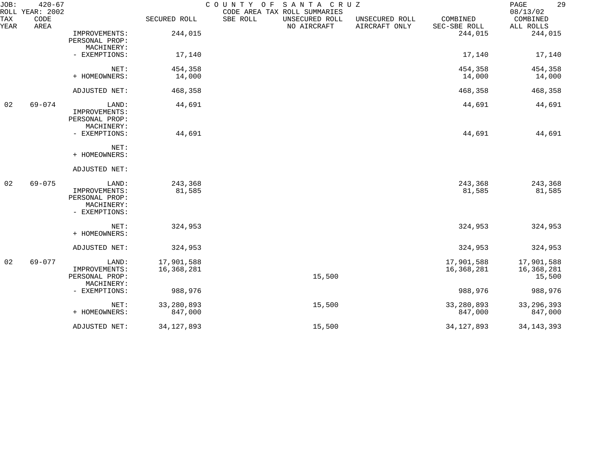| JOB:        | $420 - 67$<br>ROLL YEAR: 2002 |                                                                         |                          | COUNTY OF SANTA CRUZ<br>CODE AREA TAX ROLL SUMMARIES |                                 |                          | 29<br>PAGE<br>08/13/02             |
|-------------|-------------------------------|-------------------------------------------------------------------------|--------------------------|------------------------------------------------------|---------------------------------|--------------------------|------------------------------------|
| TAX<br>YEAR | CODE<br>AREA                  |                                                                         | SECURED ROLL             | SBE ROLL<br>UNSECURED ROLL<br>NO AIRCRAFT            | UNSECURED ROLL<br>AIRCRAFT ONLY | COMBINED<br>SEC-SBE ROLL | COMBINED<br>ALL ROLLS              |
|             |                               | IMPROVEMENTS:<br>PERSONAL PROP:                                         | 244,015                  |                                                      |                                 | 244,015                  | 244,015                            |
|             |                               | MACHINERY:<br>- EXEMPTIONS:                                             | 17,140                   |                                                      |                                 | 17,140                   | 17,140                             |
|             |                               | NET:                                                                    | 454,358                  |                                                      |                                 | 454,358                  | 454,358                            |
|             |                               | + HOMEOWNERS:                                                           | 14,000                   |                                                      |                                 | 14,000                   | 14,000                             |
|             |                               | ADJUSTED NET:                                                           | 468,358                  |                                                      |                                 | 468,358                  | 468,358                            |
| 02          | $69 - 074$                    | LAND:<br>IMPROVEMENTS:<br>PERSONAL PROP:<br>MACHINERY:                  | 44,691                   |                                                      |                                 | 44,691                   | 44,691                             |
|             |                               | - EXEMPTIONS:                                                           | 44,691                   |                                                      |                                 | 44,691                   | 44,691                             |
|             |                               | NET:<br>+ HOMEOWNERS:                                                   |                          |                                                      |                                 |                          |                                    |
|             |                               | ADJUSTED NET:                                                           |                          |                                                      |                                 |                          |                                    |
| 02          | $69 - 075$                    | LAND:<br>IMPROVEMENTS:<br>PERSONAL PROP:<br>MACHINERY:<br>- EXEMPTIONS: | 243,368<br>81,585        |                                                      |                                 | 243,368<br>81,585        | 243,368<br>81,585                  |
|             |                               | NET:<br>+ HOMEOWNERS:                                                   | 324,953                  |                                                      |                                 | 324,953                  | 324,953                            |
|             |                               | ADJUSTED NET:                                                           | 324,953                  |                                                      |                                 | 324,953                  | 324,953                            |
| 02          | $69 - 077$                    | LAND:<br>IMPROVEMENTS:<br>PERSONAL PROP:<br>MACHINERY:                  | 17,901,588<br>16,368,281 | 15,500                                               |                                 | 17,901,588<br>16,368,281 | 17,901,588<br>16,368,281<br>15,500 |
|             |                               | - EXEMPTIONS:                                                           | 988,976                  |                                                      |                                 | 988,976                  | 988,976                            |
|             |                               | NET:<br>+ HOMEOWNERS:                                                   | 33, 280, 893<br>847,000  | 15,500                                               |                                 | 33,280,893<br>847,000    | 33, 296, 393<br>847,000            |
|             |                               |                                                                         |                          |                                                      |                                 |                          |                                    |
|             |                               | ADJUSTED NET:                                                           | 34, 127, 893             | 15,500                                               |                                 | 34, 127, 893             | 34, 143, 393                       |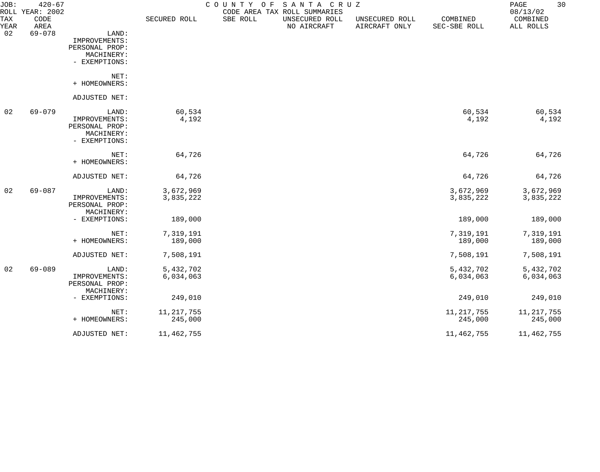| JOB:        | $420 - 67$<br>ROLL YEAR: 2002 |                                 |              | COUNTY OF | SANTA CRUZ<br>CODE AREA TAX ROLL SUMMARIES |                                 |                          | 30<br>PAGE<br>08/13/02 |
|-------------|-------------------------------|---------------------------------|--------------|-----------|--------------------------------------------|---------------------------------|--------------------------|------------------------|
| TAX<br>YEAR | CODE<br>AREA                  |                                 | SECURED ROLL | SBE ROLL  | UNSECURED ROLL<br>NO AIRCRAFT              | UNSECURED ROLL<br>AIRCRAFT ONLY | COMBINED<br>SEC-SBE ROLL | COMBINED<br>ALL ROLLS  |
| 02          | $69 - 078$                    | LAND:                           |              |           |                                            |                                 |                          |                        |
|             |                               | IMPROVEMENTS:                   |              |           |                                            |                                 |                          |                        |
|             |                               | PERSONAL PROP:                  |              |           |                                            |                                 |                          |                        |
|             |                               | MACHINERY:                      |              |           |                                            |                                 |                          |                        |
|             |                               | - EXEMPTIONS:                   |              |           |                                            |                                 |                          |                        |
|             |                               | NET:                            |              |           |                                            |                                 |                          |                        |
|             |                               | + HOMEOWNERS:                   |              |           |                                            |                                 |                          |                        |
|             |                               | ADJUSTED NET:                   |              |           |                                            |                                 |                          |                        |
| 02          | 69-079                        | LAND:                           | 60,534       |           |                                            |                                 | 60,534                   | 60,534                 |
|             |                               | IMPROVEMENTS:<br>PERSONAL PROP: | 4,192        |           |                                            |                                 | 4,192                    | 4,192                  |
|             |                               | MACHINERY:                      |              |           |                                            |                                 |                          |                        |
|             |                               | - EXEMPTIONS:                   |              |           |                                            |                                 |                          |                        |
|             |                               | NET:                            | 64,726       |           |                                            |                                 | 64,726                   | 64,726                 |
|             |                               | + HOMEOWNERS:                   |              |           |                                            |                                 |                          |                        |
|             |                               | ADJUSTED NET:                   | 64,726       |           |                                            |                                 | 64,726                   | 64,726                 |
| 02          | $69 - 087$                    | LAND:                           | 3,672,969    |           |                                            |                                 | 3,672,969                | 3,672,969              |
|             |                               | IMPROVEMENTS:                   | 3,835,222    |           |                                            |                                 | 3,835,222                | 3,835,222              |
|             |                               | PERSONAL PROP:<br>MACHINERY:    |              |           |                                            |                                 |                          |                        |
|             |                               | - EXEMPTIONS:                   | 189,000      |           |                                            |                                 | 189,000                  | 189,000                |
|             |                               | NET:                            | 7,319,191    |           |                                            |                                 | 7,319,191                | 7,319,191              |
|             |                               | + HOMEOWNERS:                   | 189,000      |           |                                            |                                 | 189,000                  | 189,000                |
|             |                               | ADJUSTED NET:                   | 7,508,191    |           |                                            |                                 | 7,508,191                | 7,508,191              |
| 02          | 69-089                        | LAND:                           | 5,432,702    |           |                                            |                                 | 5,432,702                | 5,432,702              |
|             |                               | IMPROVEMENTS:                   | 6,034,063    |           |                                            |                                 | 6,034,063                | 6,034,063              |
|             |                               | PERSONAL PROP:                  |              |           |                                            |                                 |                          |                        |
|             |                               | MACHINERY:                      |              |           |                                            |                                 |                          |                        |
|             |                               | - EXEMPTIONS:                   | 249,010      |           |                                            |                                 | 249,010                  | 249,010                |
|             |                               | NET:                            | 11, 217, 755 |           |                                            |                                 | 11, 217, 755             | 11, 217, 755           |
|             |                               | + HOMEOWNERS:                   | 245,000      |           |                                            |                                 | 245,000                  | 245,000                |
|             |                               | ADJUSTED NET:                   | 11,462,755   |           |                                            |                                 | 11,462,755               | 11, 462, 755           |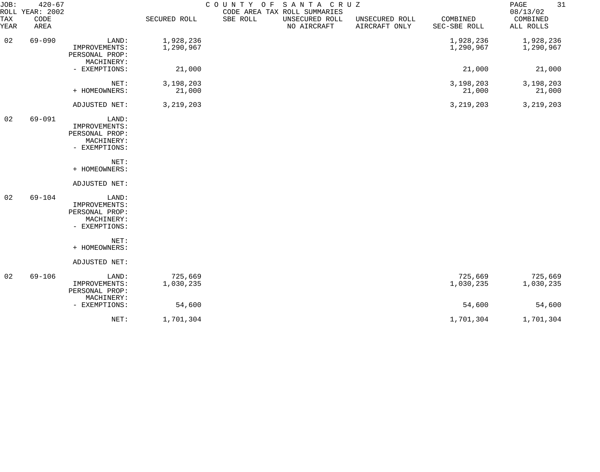| JOB:        | $420 - 67$<br>ROLL YEAR: 2002 |                                                                         |                        | COUNTY OF SANTA CRUZ | CODE AREA TAX ROLL SUMMARIES  |                                 |                          | 31<br>PAGE<br>08/13/02 |
|-------------|-------------------------------|-------------------------------------------------------------------------|------------------------|----------------------|-------------------------------|---------------------------------|--------------------------|------------------------|
| TAX<br>YEAR | CODE<br>AREA                  |                                                                         | SECURED ROLL           | SBE ROLL             | UNSECURED ROLL<br>NO AIRCRAFT | UNSECURED ROLL<br>AIRCRAFT ONLY | COMBINED<br>SEC-SBE ROLL | COMBINED<br>ALL ROLLS  |
| 02          | $69 - 090$                    | LAND:<br>IMPROVEMENTS:<br>PERSONAL PROP:<br>MACHINERY:                  | 1,928,236<br>1,290,967 |                      |                               |                                 | 1,928,236<br>1,290,967   | 1,928,236<br>1,290,967 |
|             |                               | - EXEMPTIONS:                                                           | 21,000                 |                      |                               |                                 | 21,000                   | 21,000                 |
|             |                               | NET:<br>+ HOMEOWNERS:                                                   | 3,198,203<br>21,000    |                      |                               |                                 | 3,198,203<br>21,000      | 3,198,203<br>21,000    |
|             |                               | ADJUSTED NET:                                                           | 3, 219, 203            |                      |                               |                                 | 3, 219, 203              | 3, 219, 203            |
| 02          | 69-091                        | LAND:<br>IMPROVEMENTS:<br>PERSONAL PROP:<br>MACHINERY:<br>- EXEMPTIONS: |                        |                      |                               |                                 |                          |                        |
|             |                               | NET:<br>+ HOMEOWNERS:                                                   |                        |                      |                               |                                 |                          |                        |
|             |                               | ADJUSTED NET:                                                           |                        |                      |                               |                                 |                          |                        |
| 02          | $69 - 104$                    | LAND:<br>IMPROVEMENTS:<br>PERSONAL PROP:<br>MACHINERY:<br>- EXEMPTIONS: |                        |                      |                               |                                 |                          |                        |
|             |                               | NET:                                                                    |                        |                      |                               |                                 |                          |                        |
|             |                               | + HOMEOWNERS:                                                           |                        |                      |                               |                                 |                          |                        |
|             |                               | ADJUSTED NET:                                                           |                        |                      |                               |                                 |                          |                        |
| 02          | $69 - 106$                    | LAND:<br>IMPROVEMENTS:<br>PERSONAL PROP:<br>MACHINERY:                  | 725,669<br>1,030,235   |                      |                               |                                 | 725,669<br>1,030,235     | 725,669<br>1,030,235   |
|             |                               | - EXEMPTIONS:                                                           | 54,600                 |                      |                               |                                 | 54,600                   | 54,600                 |
|             |                               | NET:                                                                    | 1,701,304              |                      |                               |                                 | 1,701,304                | 1,701,304              |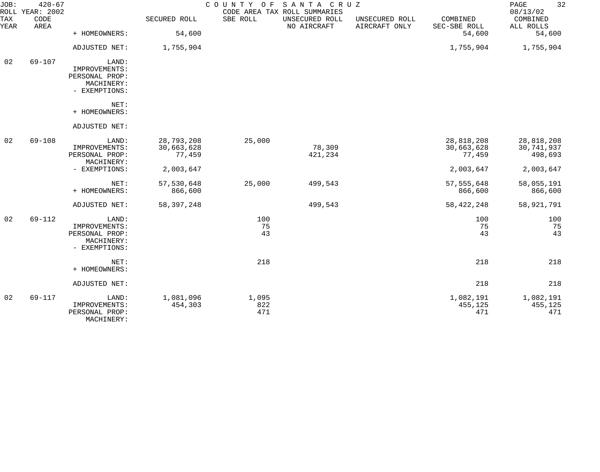| JOB:        | $420 - 67$<br>ROLL YEAR: 2002 |                                                                         |                                    | COUNTY OF           | SANTA CRUZ<br>CODE AREA TAX ROLL SUMMARIES |                                 |                                    | 32<br>PAGE<br>08/13/02              |
|-------------|-------------------------------|-------------------------------------------------------------------------|------------------------------------|---------------------|--------------------------------------------|---------------------------------|------------------------------------|-------------------------------------|
| TAX<br>YEAR | CODE<br>AREA                  |                                                                         | SECURED ROLL                       | SBE ROLL            | UNSECURED ROLL<br>NO AIRCRAFT              | UNSECURED ROLL<br>AIRCRAFT ONLY | COMBINED<br>SEC-SBE ROLL           | COMBINED<br>ALL ROLLS               |
|             |                               | + HOMEOWNERS:                                                           | 54,600                             |                     |                                            |                                 | 54,600                             | 54,600                              |
|             |                               | ADJUSTED NET:                                                           | 1,755,904                          |                     |                                            |                                 | 1,755,904                          | 1,755,904                           |
| 02          | 69-107                        | LAND:<br>IMPROVEMENTS:<br>PERSONAL PROP:<br>MACHINERY:<br>- EXEMPTIONS: |                                    |                     |                                            |                                 |                                    |                                     |
|             |                               | NET:<br>+ HOMEOWNERS:                                                   |                                    |                     |                                            |                                 |                                    |                                     |
|             |                               | ADJUSTED NET:                                                           |                                    |                     |                                            |                                 |                                    |                                     |
| 02          | $69 - 108$                    | LAND:<br>IMPROVEMENTS:<br>PERSONAL PROP:<br>MACHINERY:                  | 28,793,208<br>30,663,628<br>77,459 | 25,000              | 78,309<br>421,234                          |                                 | 28,818,208<br>30,663,628<br>77,459 | 28,818,208<br>30,741,937<br>498,693 |
|             |                               | - EXEMPTIONS:                                                           | 2,003,647                          |                     |                                            |                                 | 2,003,647                          | 2,003,647                           |
|             |                               | NET:<br>+ HOMEOWNERS:                                                   | 57,530,648<br>866,600              | 25,000              | 499,543                                    |                                 | 57, 555, 648<br>866,600            | 58,055,191<br>866,600               |
|             |                               | ADJUSTED NET:                                                           | 58, 397, 248                       |                     | 499,543                                    |                                 | 58, 422, 248                       | 58,921,791                          |
| 02          | 69-112                        | LAND:<br>IMPROVEMENTS:<br>PERSONAL PROP:<br>MACHINERY:<br>- EXEMPTIONS: |                                    | 100<br>75<br>43     |                                            |                                 | 100<br>75<br>43                    | 100<br>75<br>43                     |
|             |                               | NET:<br>+ HOMEOWNERS:                                                   |                                    | 218                 |                                            |                                 | 218                                | 218                                 |
|             |                               | ADJUSTED NET:                                                           |                                    |                     |                                            |                                 | 218                                | 218                                 |
| 02          | 69-117                        | LAND:<br>IMPROVEMENTS:<br>PERSONAL PROP:<br>MACHINERY:                  | 1,081,096<br>454,303               | 1,095<br>822<br>471 |                                            |                                 | 1,082,191<br>455,125<br>471        | 1,082,191<br>455,125<br>471         |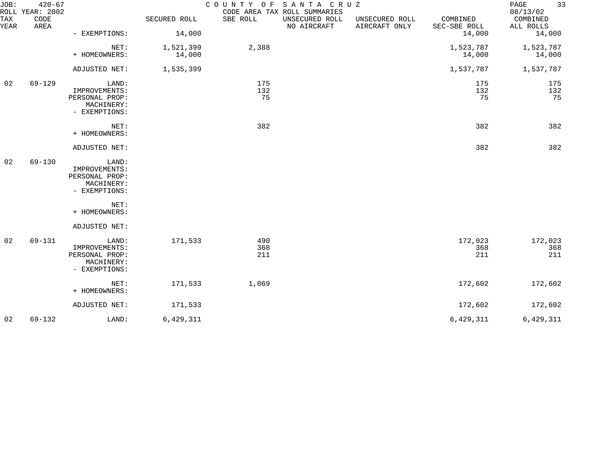| JOB:<br>TAX | $420 - 67$<br>ROLL YEAR: 2002<br>CODE |                                                                         | SECURED ROLL        | COUNTY OF SANTA CRUZ<br>SBE ROLL | CODE AREA TAX ROLL SUMMARIES<br>UNSECURED ROLL | UNSECURED ROLL | COMBINED               | 33<br>PAGE<br>08/13/02<br>COMBINED |
|-------------|---------------------------------------|-------------------------------------------------------------------------|---------------------|----------------------------------|------------------------------------------------|----------------|------------------------|------------------------------------|
| YEAR        | AREA                                  | - EXEMPTIONS:                                                           | 14,000              |                                  | NO AIRCRAFT                                    | AIRCRAFT ONLY  | SEC-SBE ROLL<br>14,000 | ALL ROLLS<br>14,000                |
|             |                                       | NET:<br>+ HOMEOWNERS:                                                   | 1,521,399<br>14,000 | 2,388                            |                                                |                | 1,523,787<br>14,000    | 1,523,787<br>14,000                |
|             |                                       | ADJUSTED NET:                                                           | 1,535,399           |                                  |                                                |                | 1,537,787              | 1,537,787                          |
| 02          | $69 - 129$                            | LAND:<br>IMPROVEMENTS:<br>PERSONAL PROP:<br>MACHINERY:<br>- EXEMPTIONS: |                     | 175<br>132<br>75                 |                                                |                | 175<br>132<br>75       | 175<br>132<br>75                   |
|             |                                       | NET:<br>+ HOMEOWNERS:                                                   |                     | 382                              |                                                |                | 382                    | 382                                |
|             |                                       | ADJUSTED NET:                                                           |                     |                                  |                                                |                | 382                    | 382                                |
| 02          | $69 - 130$                            | LAND:<br>IMPROVEMENTS:<br>PERSONAL PROP:<br>MACHINERY:<br>- EXEMPTIONS: |                     |                                  |                                                |                |                        |                                    |
|             |                                       | NET:<br>+ HOMEOWNERS:                                                   |                     |                                  |                                                |                |                        |                                    |
|             |                                       | ADJUSTED NET:                                                           |                     |                                  |                                                |                |                        |                                    |
| 02          | 69-131                                | LAND:<br>IMPROVEMENTS:<br>PERSONAL PROP:<br>MACHINERY:<br>- EXEMPTIONS: | 171,533             | 490<br>368<br>211                |                                                |                | 172,023<br>368<br>211  | 172,023<br>368<br>211              |
|             |                                       | NET:<br>+ HOMEOWNERS:                                                   | 171,533             | 1,069                            |                                                |                | 172,602                | 172,602                            |
|             |                                       | ADJUSTED NET:                                                           | 171,533             |                                  |                                                |                | 172,602                | 172,602                            |
| 02          | 69-132                                | LAND:                                                                   | 6,429,311           |                                  |                                                |                | 6,429,311              | 6,429,311                          |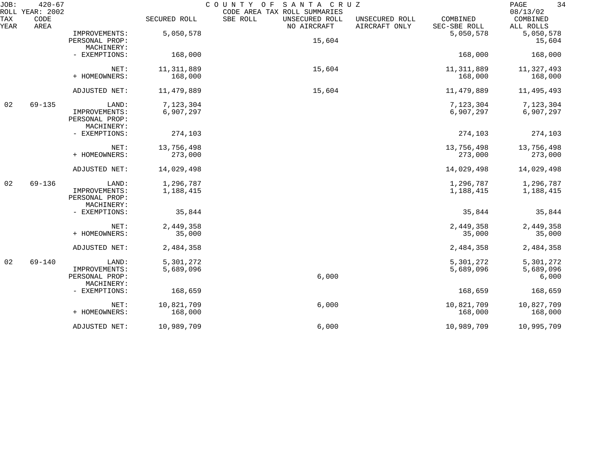| JOB:<br>ROLL | $420 - 67$<br>YEAR: 2002 |                                               |              | SANTA CRUZ<br>COUNTY OF<br>CODE AREA TAX ROLL SUMMARIES |                                 |                          | 34<br>PAGE<br>08/13/02 |
|--------------|--------------------------|-----------------------------------------------|--------------|---------------------------------------------------------|---------------------------------|--------------------------|------------------------|
| TAX<br>YEAR  | CODE<br>AREA             |                                               | SECURED ROLL | SBE ROLL<br>UNSECURED ROLL<br>NO AIRCRAFT               | UNSECURED ROLL<br>AIRCRAFT ONLY | COMBINED<br>SEC-SBE ROLL | COMBINED<br>ALL ROLLS  |
|              |                          | IMPROVEMENTS:                                 | 5,050,578    |                                                         |                                 | 5,050,578                | 5,050,578              |
|              |                          | PERSONAL PROP:                                |              | 15,604                                                  |                                 |                          | 15,604                 |
|              |                          | MACHINERY:                                    |              |                                                         |                                 |                          |                        |
|              |                          | - EXEMPTIONS:                                 | 168,000      |                                                         |                                 | 168,000                  | 168,000                |
|              |                          | NET:                                          | 11, 311, 889 | 15,604                                                  |                                 | 11, 311, 889             | 11,327,493             |
|              |                          | + HOMEOWNERS:                                 | 168,000      |                                                         |                                 | 168,000                  | 168,000                |
|              |                          | ADJUSTED NET:                                 | 11,479,889   | 15,604                                                  |                                 | 11,479,889               | 11,495,493             |
| 02           | $69 - 135$               | LAND:                                         | 7,123,304    |                                                         |                                 | 7,123,304                | 7,123,304              |
|              |                          | IMPROVEMENTS:                                 | 6,907,297    |                                                         |                                 | 6,907,297                | 6,907,297              |
|              |                          | PERSONAL PROP:                                |              |                                                         |                                 |                          |                        |
|              |                          | MACHINERY:                                    |              |                                                         |                                 |                          |                        |
|              |                          | - EXEMPTIONS:                                 | 274,103      |                                                         |                                 | 274,103                  | 274,103                |
|              |                          | NET:                                          | 13,756,498   |                                                         |                                 | 13,756,498               | 13,756,498             |
|              |                          | + HOMEOWNERS:                                 | 273,000      |                                                         |                                 | 273,000                  | 273,000                |
|              |                          | ADJUSTED NET:                                 | 14,029,498   |                                                         |                                 | 14,029,498               | 14,029,498             |
| 02           | $69 - 136$               | LAND:                                         | 1,296,787    |                                                         |                                 | 1,296,787                | 1,296,787              |
|              |                          | IMPROVEMENTS:<br>PERSONAL PROP:<br>MACHINERY: | 1,188,415    |                                                         |                                 | 1,188,415                | 1,188,415              |
|              |                          | - EXEMPTIONS:                                 | 35,844       |                                                         |                                 | 35,844                   | 35,844                 |
|              |                          | NET:                                          | 2,449,358    |                                                         |                                 | 2,449,358                | 2,449,358              |
|              |                          | + HOMEOWNERS:                                 | 35,000       |                                                         |                                 | 35,000                   | 35,000                 |
|              |                          | ADJUSTED NET:                                 | 2,484,358    |                                                         |                                 | 2,484,358                | 2,484,358              |
| 02           | $69 - 140$               | LAND:                                         | 5,301,272    |                                                         |                                 | 5,301,272                | 5,301,272              |
|              |                          | IMPROVEMENTS:                                 | 5,689,096    |                                                         |                                 | 5,689,096                | 5,689,096              |
|              |                          | PERSONAL PROP:                                |              | 6,000                                                   |                                 |                          | 6,000                  |
|              |                          | MACHINERY:                                    |              |                                                         |                                 |                          |                        |
|              |                          | - EXEMPTIONS:                                 | 168,659      |                                                         |                                 | 168,659                  | 168,659                |
|              |                          | NET:                                          | 10,821,709   | 6,000                                                   |                                 | 10,821,709               | 10,827,709             |
|              |                          | + HOMEOWNERS:                                 | 168,000      |                                                         |                                 | 168,000                  | 168,000                |
|              |                          | ADJUSTED NET:                                 | 10,989,709   | 6,000                                                   |                                 | 10,989,709               | 10,995,709             |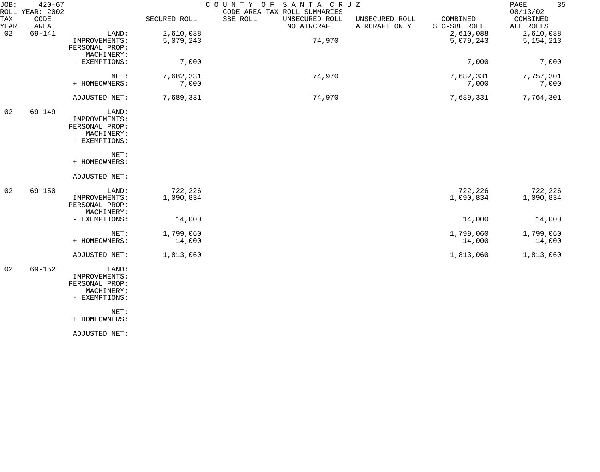| JOB:        | $420 - 67$<br>ROLL YEAR: 2002 |                |              | COUNTY OF SANTA CRUZ<br>CODE AREA TAX ROLL SUMMARIES |                                 |                          | 35<br>PAGE<br>08/13/02 |
|-------------|-------------------------------|----------------|--------------|------------------------------------------------------|---------------------------------|--------------------------|------------------------|
| TAX<br>YEAR | CODE<br>AREA                  |                | SECURED ROLL | SBE ROLL<br>UNSECURED ROLL<br>NO AIRCRAFT            | UNSECURED ROLL<br>AIRCRAFT ONLY | COMBINED<br>SEC-SBE ROLL | COMBINED<br>ALL ROLLS  |
| 02          | $69 - 141$                    | LAND:          | 2,610,088    |                                                      |                                 | 2,610,088                | 2,610,088              |
|             |                               | IMPROVEMENTS:  | 5,079,243    | 74,970                                               |                                 | 5,079,243                | 5, 154, 213            |
|             |                               | PERSONAL PROP: |              |                                                      |                                 |                          |                        |
|             |                               | MACHINERY:     |              |                                                      |                                 |                          |                        |
|             |                               | - EXEMPTIONS:  | 7,000        |                                                      |                                 | 7,000                    | 7,000                  |
|             |                               | NET:           | 7,682,331    | 74,970                                               |                                 | 7,682,331                | 7,757,301              |
|             |                               | + HOMEOWNERS:  | 7,000        |                                                      |                                 | 7,000                    | 7,000                  |
|             |                               | ADJUSTED NET:  | 7,689,331    | 74,970                                               |                                 | 7,689,331                | 7,764,301              |
| 02          | 69-149                        | LAND:          |              |                                                      |                                 |                          |                        |
|             |                               | IMPROVEMENTS:  |              |                                                      |                                 |                          |                        |
|             |                               | PERSONAL PROP: |              |                                                      |                                 |                          |                        |
|             |                               | MACHINERY:     |              |                                                      |                                 |                          |                        |
|             |                               | - EXEMPTIONS:  |              |                                                      |                                 |                          |                        |
|             |                               | NET:           |              |                                                      |                                 |                          |                        |
|             |                               | + HOMEOWNERS:  |              |                                                      |                                 |                          |                        |
|             |                               | ADJUSTED NET:  |              |                                                      |                                 |                          |                        |
| 02          | $69 - 150$                    | LAND:          | 722,226      |                                                      |                                 | 722,226                  | 722,226                |
|             |                               | IMPROVEMENTS:  | 1,090,834    |                                                      |                                 | 1,090,834                | 1,090,834              |
|             |                               | PERSONAL PROP: |              |                                                      |                                 |                          |                        |
|             |                               | MACHINERY:     |              |                                                      |                                 |                          |                        |
|             |                               | - EXEMPTIONS:  | 14,000       |                                                      |                                 | 14,000                   | 14,000                 |
|             |                               | NET:           | 1,799,060    |                                                      |                                 | 1,799,060                | 1,799,060              |
|             |                               | + HOMEOWNERS:  | 14,000       |                                                      |                                 | 14,000                   | 14,000                 |
|             |                               | ADJUSTED NET:  | 1,813,060    |                                                      |                                 | 1,813,060                | 1,813,060              |
| 02          | $69 - 152$                    | LAND:          |              |                                                      |                                 |                          |                        |
|             |                               | IMPROVEMENTS:  |              |                                                      |                                 |                          |                        |
|             |                               | PERSONAL PROP: |              |                                                      |                                 |                          |                        |
|             |                               | MACHINERY:     |              |                                                      |                                 |                          |                        |
|             |                               | - EXEMPTIONS:  |              |                                                      |                                 |                          |                        |

NET:

+ HOMEOWNERS:

ADJUSTED NET: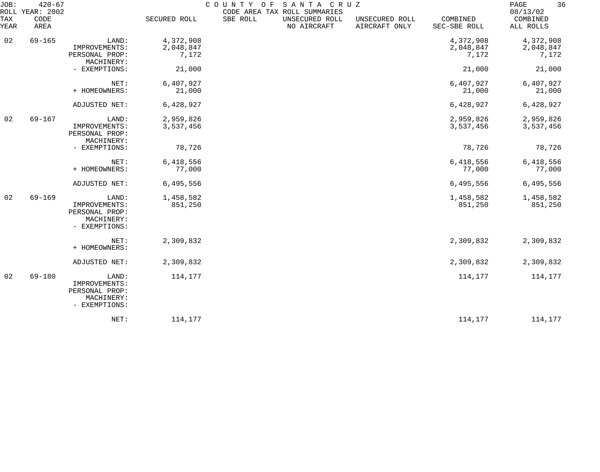| JOB:<br>TAX<br>YEAR | $420 - 67$<br>ROLL YEAR: 2002<br>CODE<br>AREA |                                                                         | SECURED ROLL                    | COUNTY OF SANTA CRUZ<br>SBE ROLL | CODE AREA TAX ROLL SUMMARIES<br>UNSECURED ROLL<br>NO AIRCRAFT | UNSECURED ROLL<br>AIRCRAFT ONLY | COMBINED<br>SEC-SBE ROLL        | 36<br>PAGE<br>08/13/02<br>COMBINED<br>ALL ROLLS |
|---------------------|-----------------------------------------------|-------------------------------------------------------------------------|---------------------------------|----------------------------------|---------------------------------------------------------------|---------------------------------|---------------------------------|-------------------------------------------------|
| 02                  | $69 - 165$                                    | LAND:<br>IMPROVEMENTS:<br>PERSONAL PROP:<br>MACHINERY:                  | 4,372,908<br>2,048,847<br>7,172 |                                  |                                                               |                                 | 4,372,908<br>2,048,847<br>7,172 | 4,372,908<br>2,048,847<br>7,172                 |
|                     |                                               | - EXEMPTIONS:                                                           | 21,000                          |                                  |                                                               |                                 | 21,000                          | 21,000                                          |
|                     |                                               | NET:<br>+ HOMEOWNERS:                                                   | 6,407,927<br>21,000             |                                  |                                                               |                                 | 6,407,927<br>21,000             | 6,407,927<br>21,000                             |
|                     |                                               | ADJUSTED NET:                                                           | 6,428,927                       |                                  |                                                               |                                 | 6,428,927                       | 6,428,927                                       |
| 02                  | $69 - 167$                                    | LAND:<br>IMPROVEMENTS:<br>PERSONAL PROP:<br>MACHINERY:                  | 2,959,826<br>3,537,456          |                                  |                                                               |                                 | 2,959,826<br>3,537,456          | 2,959,826<br>3,537,456                          |
|                     |                                               | - EXEMPTIONS:                                                           | 78,726                          |                                  |                                                               |                                 | 78,726                          | 78,726                                          |
|                     |                                               | NET:<br>+ HOMEOWNERS:                                                   | 6,418,556<br>77,000             |                                  |                                                               |                                 | 6,418,556<br>77,000             | 6,418,556<br>77,000                             |
|                     |                                               | ADJUSTED NET:                                                           | 6,495,556                       |                                  |                                                               |                                 | 6,495,556                       | 6,495,556                                       |
| 02                  | $69 - 169$                                    | LAND:<br>IMPROVEMENTS:<br>PERSONAL PROP:<br>MACHINERY:<br>- EXEMPTIONS: | 1,458,582<br>851,250            |                                  |                                                               |                                 | 1,458,582<br>851,250            | 1,458,582<br>851,250                            |
|                     |                                               | NET:<br>+ HOMEOWNERS:                                                   | 2,309,832                       |                                  |                                                               |                                 | 2,309,832                       | 2,309,832                                       |
|                     |                                               | ADJUSTED NET:                                                           | 2,309,832                       |                                  |                                                               |                                 | 2,309,832                       | 2,309,832                                       |
| 02                  | $69 - 180$                                    | LAND:<br>IMPROVEMENTS:<br>PERSONAL PROP:<br>MACHINERY:<br>- EXEMPTIONS: | 114,177                         |                                  |                                                               |                                 | 114,177                         | 114,177                                         |
|                     |                                               | NET:                                                                    | 114,177                         |                                  |                                                               |                                 | 114,177                         | 114,177                                         |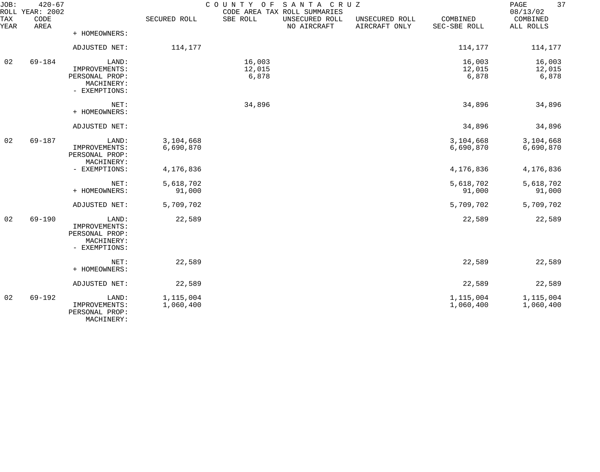| JOB:        | $420 - 67$<br>ROLL YEAR: 2002 |                                                                         |                        |                           | COUNTY OF SANTA CRUZ<br>CODE AREA TAX ROLL SUMMARIES |                                 |                           | 37<br>PAGE<br>08/13/02    |
|-------------|-------------------------------|-------------------------------------------------------------------------|------------------------|---------------------------|------------------------------------------------------|---------------------------------|---------------------------|---------------------------|
| TAX<br>YEAR | CODE<br>AREA                  |                                                                         | SECURED ROLL           | SBE ROLL                  | UNSECURED ROLL<br>NO AIRCRAFT                        | UNSECURED ROLL<br>AIRCRAFT ONLY | COMBINED<br>SEC-SBE ROLL  | COMBINED<br>ALL ROLLS     |
|             |                               | + HOMEOWNERS:                                                           |                        |                           |                                                      |                                 |                           |                           |
|             |                               | ADJUSTED NET:                                                           | 114,177                |                           |                                                      |                                 | 114,177                   | 114,177                   |
| 02          | $69 - 184$                    | LAND:<br>IMPROVEMENTS:<br>PERSONAL PROP:<br>MACHINERY:<br>- EXEMPTIONS: |                        | 16,003<br>12,015<br>6,878 |                                                      |                                 | 16,003<br>12,015<br>6,878 | 16,003<br>12,015<br>6,878 |
|             |                               | NET:<br>+ HOMEOWNERS:                                                   |                        | 34,896                    |                                                      |                                 | 34,896                    | 34,896                    |
|             |                               | ADJUSTED NET:                                                           |                        |                           |                                                      |                                 | 34,896                    | 34,896                    |
| 02          | 69-187                        | LAND:<br>IMPROVEMENTS:<br>PERSONAL PROP:<br>MACHINERY:                  | 3,104,668<br>6,690,870 |                           |                                                      |                                 | 3,104,668<br>6,690,870    | 3,104,668<br>6,690,870    |
|             |                               | - EXEMPTIONS:                                                           | 4,176,836              |                           |                                                      |                                 | 4,176,836                 | 4,176,836                 |
|             |                               | NET:<br>+ HOMEOWNERS:                                                   | 5,618,702<br>91,000    |                           |                                                      |                                 | 5,618,702<br>91,000       | 5,618,702<br>91,000       |
|             |                               | ADJUSTED NET:                                                           | 5,709,702              |                           |                                                      |                                 | 5,709,702                 | 5,709,702                 |
| 02          | $69 - 190$                    | LAND:<br>IMPROVEMENTS:<br>PERSONAL PROP:<br>MACHINERY:<br>- EXEMPTIONS: | 22,589                 |                           |                                                      |                                 | 22,589                    | 22,589                    |
|             |                               | NET:<br>+ HOMEOWNERS:                                                   | 22,589                 |                           |                                                      |                                 | 22,589                    | 22,589                    |
|             |                               | ADJUSTED NET:                                                           | 22,589                 |                           |                                                      |                                 | 22,589                    | 22,589                    |
| 02          | $69 - 192$                    | LAND:<br>IMPROVEMENTS:<br>PERSONAL PROP:<br>MACHINERY:                  | 1,115,004<br>1,060,400 |                           |                                                      |                                 | 1,115,004<br>1,060,400    | 1,115,004<br>1,060,400    |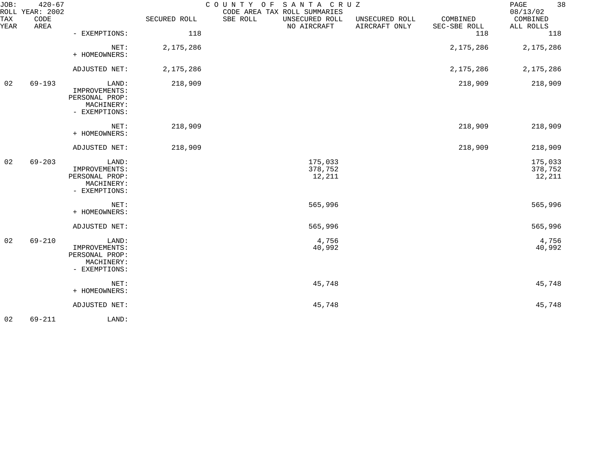| JOB:        | $420 - 67$<br>ROLL YEAR: 2002 |                                                                         |              | SANTA CRUZ<br>COUNTY OF<br>CODE AREA TAX ROLL SUMMARIES |                                 |                          | 38<br>PAGE<br>08/13/02       |
|-------------|-------------------------------|-------------------------------------------------------------------------|--------------|---------------------------------------------------------|---------------------------------|--------------------------|------------------------------|
| TAX<br>YEAR | CODE<br>AREA                  |                                                                         | SECURED ROLL | SBE ROLL<br>UNSECURED ROLL<br>NO AIRCRAFT               | UNSECURED ROLL<br>AIRCRAFT ONLY | COMBINED<br>SEC-SBE ROLL | COMBINED<br>ALL ROLLS        |
|             |                               | - EXEMPTIONS:                                                           | 118          |                                                         |                                 | 118                      | 118                          |
|             |                               | NET:<br>+ HOMEOWNERS:                                                   | 2,175,286    |                                                         |                                 | 2,175,286                | 2,175,286                    |
|             |                               | ADJUSTED NET:                                                           | 2,175,286    |                                                         |                                 | 2,175,286                | 2,175,286                    |
| 02          | $69 - 193$                    | LAND:<br>IMPROVEMENTS:<br>PERSONAL PROP:<br>MACHINERY:<br>- EXEMPTIONS: | 218,909      |                                                         |                                 | 218,909                  | 218,909                      |
|             |                               | NET:<br>+ HOMEOWNERS:                                                   | 218,909      |                                                         |                                 | 218,909                  | 218,909                      |
|             |                               | ADJUSTED NET:                                                           | 218,909      |                                                         |                                 | 218,909                  | 218,909                      |
| 02          | $69 - 203$                    | LAND:<br>IMPROVEMENTS:<br>PERSONAL PROP:<br>MACHINERY:<br>- EXEMPTIONS: |              | 175,033<br>378,752<br>12,211                            |                                 |                          | 175,033<br>378,752<br>12,211 |
|             |                               | NET:<br>+ HOMEOWNERS:                                                   |              | 565,996                                                 |                                 |                          | 565,996                      |
|             |                               | ADJUSTED NET:                                                           |              | 565,996                                                 |                                 |                          | 565,996                      |
| 02          | $69 - 210$                    | LAND:<br>IMPROVEMENTS:<br>PERSONAL PROP:<br>MACHINERY:<br>- EXEMPTIONS: |              | 4,756<br>40,992                                         |                                 |                          | 4,756<br>40,992              |
|             |                               | NET:<br>+ HOMEOWNERS:                                                   |              | 45,748                                                  |                                 |                          | 45,748                       |
|             |                               | ADJUSTED NET:                                                           |              | 45,748                                                  |                                 |                          | 45,748                       |
| 02          | $69 - 211$                    | LAND:                                                                   |              |                                                         |                                 |                          |                              |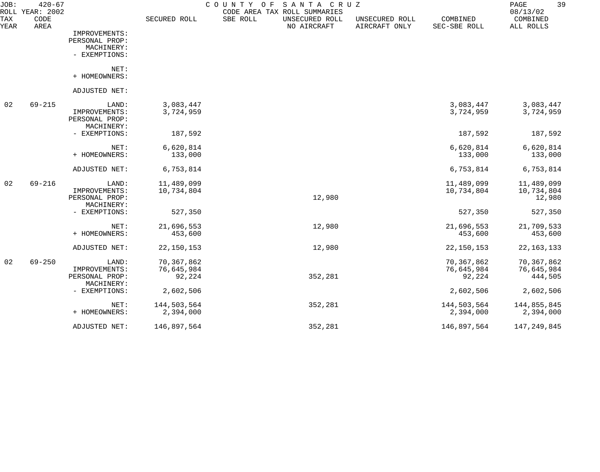| JOB:        | $420 - 67$<br>ROLL YEAR: 2002 |                              |              | COUNTY<br>SANTA CRUZ<br>O F<br>CODE AREA TAX ROLL SUMMARIES |                                 |                          | 39<br>PAGE<br>08/13/02 |
|-------------|-------------------------------|------------------------------|--------------|-------------------------------------------------------------|---------------------------------|--------------------------|------------------------|
| TAX<br>YEAR | CODE<br>AREA                  |                              | SECURED ROLL | SBE ROLL<br>UNSECURED ROLL<br>NO AIRCRAFT                   | UNSECURED ROLL<br>AIRCRAFT ONLY | COMBINED<br>SEC-SBE ROLL | COMBINED<br>ALL ROLLS  |
|             |                               | IMPROVEMENTS:                |              |                                                             |                                 |                          |                        |
|             |                               | PERSONAL PROP:               |              |                                                             |                                 |                          |                        |
|             |                               | MACHINERY:                   |              |                                                             |                                 |                          |                        |
|             |                               | - EXEMPTIONS:                |              |                                                             |                                 |                          |                        |
|             |                               | NET:                         |              |                                                             |                                 |                          |                        |
|             |                               | + HOMEOWNERS:                |              |                                                             |                                 |                          |                        |
|             |                               | ADJUSTED NET:                |              |                                                             |                                 |                          |                        |
| 02          | $69 - 215$                    | LAND:                        | 3,083,447    |                                                             |                                 | 3,083,447                | 3,083,447              |
|             |                               | IMPROVEMENTS:                | 3,724,959    |                                                             |                                 | 3,724,959                | 3,724,959              |
|             |                               | PERSONAL PROP:               |              |                                                             |                                 |                          |                        |
|             |                               | MACHINERY:                   |              |                                                             |                                 |                          |                        |
|             |                               | - EXEMPTIONS:                | 187,592      |                                                             |                                 | 187,592                  | 187,592                |
|             |                               | NET:                         | 6,620,814    |                                                             |                                 | 6,620,814                | 6,620,814              |
|             |                               | + HOMEOWNERS:                | 133,000      |                                                             |                                 | 133,000                  | 133,000                |
|             |                               | ADJUSTED NET:                | 6,753,814    |                                                             |                                 | 6,753,814                | 6,753,814              |
| 02          | $69 - 216$                    | LAND:                        | 11,489,099   |                                                             |                                 | 11,489,099               | 11,489,099             |
|             |                               | IMPROVEMENTS:                | 10,734,804   |                                                             |                                 | 10,734,804               | 10,734,804             |
|             |                               | PERSONAL PROP:               |              | 12,980                                                      |                                 |                          | 12,980                 |
|             |                               | MACHINERY:                   |              |                                                             |                                 |                          |                        |
|             |                               | - EXEMPTIONS:                | 527,350      |                                                             |                                 | 527,350                  | 527,350                |
|             |                               | NET:                         | 21,696,553   | 12,980                                                      |                                 | 21,696,553               | 21,709,533             |
|             |                               | + HOMEOWNERS:                | 453,600      |                                                             |                                 | 453,600                  | 453,600                |
|             |                               | ADJUSTED NET:                | 22, 150, 153 | 12,980                                                      |                                 | 22, 150, 153             | 22, 163, 133           |
| 02          | $69 - 250$                    | LAND:                        | 70,367,862   |                                                             |                                 | 70,367,862               | 70,367,862             |
|             |                               | IMPROVEMENTS:                | 76,645,984   |                                                             |                                 | 76,645,984               | 76,645,984             |
|             |                               | PERSONAL PROP:<br>MACHINERY: | 92,224       | 352,281                                                     |                                 | 92,224                   | 444,505                |
|             |                               | - EXEMPTIONS:                | 2,602,506    |                                                             |                                 | 2,602,506                | 2,602,506              |
|             |                               | NET:                         | 144,503,564  | 352,281                                                     |                                 | 144,503,564              | 144,855,845            |
|             |                               | + HOMEOWNERS:                | 2,394,000    |                                                             |                                 | 2,394,000                | 2,394,000              |
|             |                               | ADJUSTED NET:                | 146,897,564  | 352,281                                                     |                                 | 146,897,564              | 147,249,845            |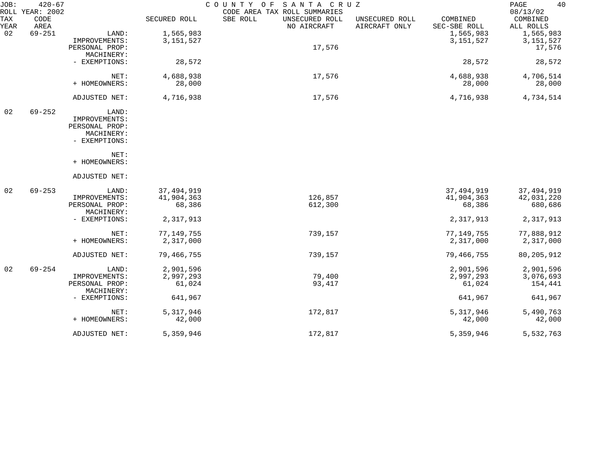| JOB:        | $420 - 67$<br>ROLL YEAR: 2002 |                              |              | COUNTY OF SANTA CRUZ<br>CODE AREA TAX ROLL SUMMARIES |                                 |                          | 40<br>PAGE<br>08/13/02 |
|-------------|-------------------------------|------------------------------|--------------|------------------------------------------------------|---------------------------------|--------------------------|------------------------|
| TAX<br>YEAR | CODE<br>AREA                  |                              | SECURED ROLL | SBE ROLL<br>UNSECURED ROLL<br>NO AIRCRAFT            | UNSECURED ROLL<br>AIRCRAFT ONLY | COMBINED<br>SEC-SBE ROLL | COMBINED<br>ALL ROLLS  |
| 02          | $69 - 251$                    | LAND:                        | 1,565,983    |                                                      |                                 | 1,565,983                | 1,565,983              |
|             |                               | IMPROVEMENTS:                | 3, 151, 527  |                                                      |                                 | 3, 151, 527              | 3, 151, 527            |
|             |                               | PERSONAL PROP:               |              | 17,576                                               |                                 |                          | 17,576                 |
|             |                               | MACHINERY:                   |              |                                                      |                                 |                          |                        |
|             |                               | - EXEMPTIONS:                | 28,572       |                                                      |                                 | 28,572                   | 28,572                 |
|             |                               | NET:                         | 4,688,938    | 17,576                                               |                                 | 4,688,938                | 4,706,514              |
|             |                               | + HOMEOWNERS:                | 28,000       |                                                      |                                 | 28,000                   | 28,000                 |
|             |                               | ADJUSTED NET:                | 4,716,938    | 17,576                                               |                                 | 4,716,938                | 4,734,514              |
| 02          | $69 - 252$                    | LAND:                        |              |                                                      |                                 |                          |                        |
|             |                               | IMPROVEMENTS:                |              |                                                      |                                 |                          |                        |
|             |                               | PERSONAL PROP:               |              |                                                      |                                 |                          |                        |
|             |                               | MACHINERY:                   |              |                                                      |                                 |                          |                        |
|             |                               | - EXEMPTIONS:                |              |                                                      |                                 |                          |                        |
|             |                               | NET:                         |              |                                                      |                                 |                          |                        |
|             |                               | + HOMEOWNERS:                |              |                                                      |                                 |                          |                        |
|             |                               | ADJUSTED NET:                |              |                                                      |                                 |                          |                        |
| 02          | $69 - 253$                    | LAND:                        | 37, 494, 919 |                                                      |                                 | 37, 494, 919             | 37, 494, 919           |
|             |                               | IMPROVEMENTS:                | 41,904,363   | 126,857                                              |                                 | 41,904,363               | 42,031,220             |
|             |                               | PERSONAL PROP:               | 68,386       | 612,300                                              |                                 | 68,386                   | 680,686                |
|             |                               | MACHINERY:                   |              |                                                      |                                 |                          |                        |
|             |                               | - EXEMPTIONS:                | 2,317,913    |                                                      |                                 | 2,317,913                | 2,317,913              |
|             |                               | NET:                         | 77, 149, 755 | 739,157                                              |                                 | 77, 149, 755             | 77,888,912             |
|             |                               | + HOMEOWNERS:                | 2,317,000    |                                                      |                                 | 2,317,000                | 2,317,000              |
|             |                               | ADJUSTED NET:                | 79,466,755   | 739,157                                              |                                 | 79,466,755               | 80, 205, 912           |
| 02          | $69 - 254$                    | LAND:                        | 2,901,596    |                                                      |                                 | 2,901,596                | 2,901,596              |
|             |                               | IMPROVEMENTS:                | 2,997,293    | 79,400                                               |                                 | 2,997,293                | 3,076,693              |
|             |                               | PERSONAL PROP:<br>MACHINERY: | 61,024       | 93,417                                               |                                 | 61,024                   | 154,441                |
|             |                               | - EXEMPTIONS:                | 641,967      |                                                      |                                 | 641,967                  | 641,967                |
|             |                               | NET:                         | 5,317,946    | 172,817                                              |                                 | 5, 317, 946              | 5,490,763              |
|             |                               | + HOMEOWNERS:                | 42,000       |                                                      |                                 | 42,000                   | 42,000                 |
|             |                               | ADJUSTED NET:                | 5,359,946    | 172,817                                              |                                 | 5,359,946                | 5,532,763              |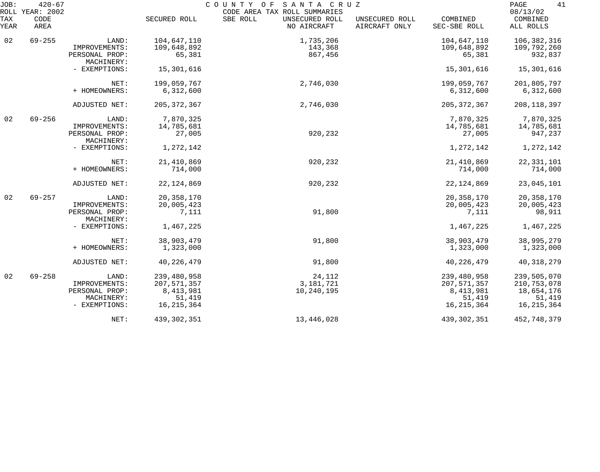| JOB:        | $420 - 67$<br>ROLL YEAR: 2002 |                              |               | COUNTY OF<br>SANTA CRUZ<br>CODE AREA TAX ROLL SUMMARIES |                                 |                          | 41<br>PAGE<br>08/13/02 |
|-------------|-------------------------------|------------------------------|---------------|---------------------------------------------------------|---------------------------------|--------------------------|------------------------|
| TAX<br>YEAR | CODE<br>AREA                  |                              | SECURED ROLL  | SBE ROLL<br>UNSECURED ROLL<br>NO AIRCRAFT               | UNSECURED ROLL<br>AIRCRAFT ONLY | COMBINED<br>SEC-SBE ROLL | COMBINED<br>ALL ROLLS  |
| 02          | $69 - 255$                    | LAND:                        | 104,647,110   | 1,735,206                                               |                                 | 104,647,110              | 106,382,316            |
|             |                               | IMPROVEMENTS:                | 109,648,892   | 143,368                                                 |                                 | 109,648,892              | 109,792,260            |
|             |                               | PERSONAL PROP:<br>MACHINERY: | 65,381        | 867,456                                                 |                                 | 65,381                   | 932,837                |
|             |                               | - EXEMPTIONS:                | 15,301,616    |                                                         |                                 | 15,301,616               | 15,301,616             |
|             |                               | NET:                         | 199,059,767   | 2,746,030                                               |                                 | 199,059,767              | 201,805,797            |
|             |                               | + HOMEOWNERS:                | 6,312,600     |                                                         |                                 | 6,312,600                | 6,312,600              |
|             |                               | ADJUSTED NET:                | 205, 372, 367 | 2,746,030                                               |                                 | 205, 372, 367            | 208, 118, 397          |
| 02          | $69 - 256$                    | LAND:                        | 7,870,325     |                                                         |                                 | 7,870,325                | 7,870,325              |
|             |                               | IMPROVEMENTS:                | 14,785,681    |                                                         |                                 | 14,785,681               | 14,785,681             |
|             |                               | PERSONAL PROP:<br>MACHINERY: | 27,005        | 920,232                                                 |                                 | 27,005                   | 947,237                |
|             |                               | - EXEMPTIONS:                | 1,272,142     |                                                         |                                 | 1,272,142                | 1,272,142              |
|             |                               | NET:                         | 21,410,869    | 920,232                                                 |                                 | 21, 410, 869             | 22, 331, 101           |
|             |                               | + HOMEOWNERS:                | 714,000       |                                                         |                                 | 714,000                  | 714,000                |
|             |                               | ADJUSTED NET:                | 22, 124, 869  | 920,232                                                 |                                 | 22, 124, 869             | 23,045,101             |
| 02          | $69 - 257$                    | LAND:                        | 20, 358, 170  |                                                         |                                 | 20, 358, 170             | 20, 358, 170           |
|             |                               | IMPROVEMENTS:                | 20,005,423    |                                                         |                                 | 20,005,423               | 20,005,423             |
|             |                               | PERSONAL PROP:<br>MACHINERY: | 7,111         | 91,800                                                  |                                 | 7,111                    | 98,911                 |
|             |                               | - EXEMPTIONS:                | 1,467,225     |                                                         |                                 | 1,467,225                | 1,467,225              |
|             |                               | NET:                         | 38,903,479    | 91,800                                                  |                                 | 38,903,479               | 38,995,279             |
|             |                               | + HOMEOWNERS:                | 1,323,000     |                                                         |                                 | 1,323,000                | 1,323,000              |
|             |                               | ADJUSTED NET:                | 40, 226, 479  | 91,800                                                  |                                 | 40, 226, 479             | 40, 318, 279           |
| 02          | $69 - 258$                    | LAND:                        | 239,480,958   | 24,112                                                  |                                 | 239,480,958              | 239,505,070            |
|             |                               | IMPROVEMENTS:                | 207,571,357   | 3, 181, 721                                             |                                 | 207, 571, 357            | 210, 753, 078          |
|             |                               | PERSONAL PROP:               | 8, 413, 981   | 10,240,195                                              |                                 | 8,413,981                | 18,654,176             |
|             |                               | MACHINERY:                   | 51,419        |                                                         |                                 | 51,419                   | 51,419                 |
|             |                               | - EXEMPTIONS:                | 16, 215, 364  |                                                         |                                 | 16, 215, 364             | 16, 215, 364           |
|             |                               | NET:                         | 439, 302, 351 | 13,446,028                                              |                                 | 439, 302, 351            | 452,748,379            |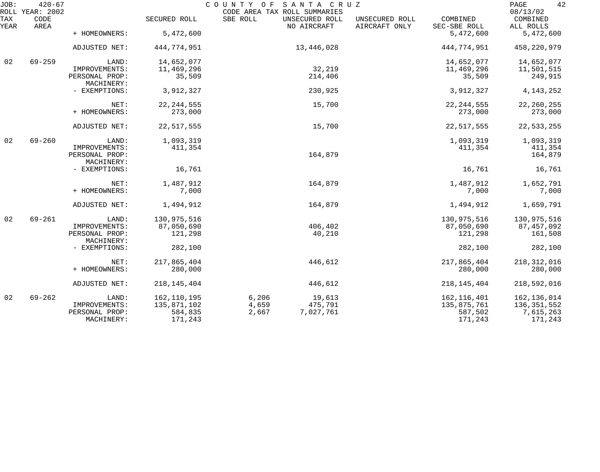| JOB:        | $420 - 67$<br>ROLL YEAR: 2002 |                              |                    | COUNTY OF SANTA CRUZ<br>CODE AREA TAX ROLL SUMMARIES |                               |                                 |                          | 42<br>PAGE<br>08/13/02 |
|-------------|-------------------------------|------------------------------|--------------------|------------------------------------------------------|-------------------------------|---------------------------------|--------------------------|------------------------|
| TAX<br>YEAR | CODE<br>AREA                  |                              | SECURED ROLL       | SBE ROLL                                             | UNSECURED ROLL<br>NO AIRCRAFT | UNSECURED ROLL<br>AIRCRAFT ONLY | COMBINED<br>SEC-SBE ROLL | COMBINED<br>ALL ROLLS  |
|             |                               | + HOMEOWNERS:                | 5,472,600          |                                                      |                               |                                 | 5,472,600                | 5,472,600              |
|             |                               | ADJUSTED NET:                | 444,774,951        |                                                      | 13,446,028                    |                                 | 444,774,951              | 458, 220, 979          |
| 02          | $69 - 259$                    | LAND:                        | 14,652,077         |                                                      |                               |                                 | 14,652,077               | 14,652,077             |
|             |                               | IMPROVEMENTS:                | 11,469,296         |                                                      | 32,219                        |                                 | 11,469,296               | 11,501,515             |
|             |                               | PERSONAL PROP:<br>MACHINERY: | 35,509             |                                                      | 214,406                       |                                 | 35,509                   | 249,915                |
|             |                               | - EXEMPTIONS:                | 3,912,327          |                                                      | 230,925                       |                                 | 3,912,327                | 4, 143, 252            |
|             |                               | NET:                         | 22, 244, 555       |                                                      | 15,700                        |                                 | 22, 244, 555             | 22, 260, 255           |
|             |                               | + HOMEOWNERS:                | 273,000            |                                                      |                               |                                 | 273,000                  | 273,000                |
|             |                               | ADJUSTED NET:                | 22, 517, 555       |                                                      | 15,700                        |                                 | 22, 517, 555             | 22,533,255             |
| 02          | $69 - 260$                    | LAND:                        | 1,093,319          |                                                      |                               |                                 | 1,093,319                | 1,093,319              |
|             |                               | IMPROVEMENTS:                | 411,354            |                                                      |                               |                                 | 411,354                  | 411,354                |
|             |                               | PERSONAL PROP:<br>MACHINERY: |                    |                                                      | 164,879                       |                                 |                          | 164,879                |
|             |                               | - EXEMPTIONS:                | 16,761             |                                                      |                               |                                 | 16,761                   | 16,761                 |
|             |                               | NET:                         | 1,487,912          |                                                      | 164,879                       |                                 | 1,487,912                | 1,652,791              |
|             |                               | + HOMEOWNERS:                | 7,000              |                                                      |                               |                                 | 7,000                    | 7,000                  |
|             |                               | ADJUSTED NET:                | 1,494,912          |                                                      | 164,879                       |                                 | 1,494,912                | 1,659,791              |
| 02          | $69 - 261$                    | LAND:                        | 130,975,516        |                                                      |                               |                                 | 130,975,516              | 130,975,516            |
|             |                               | IMPROVEMENTS:                | 87,050,690         |                                                      | 406,402                       |                                 | 87,050,690               | 87, 457, 092           |
|             |                               | PERSONAL PROP:<br>MACHINERY: | 121,298            |                                                      | 40,210                        |                                 | 121,298                  | 161,508                |
|             |                               | - EXEMPTIONS:                | 282,100            |                                                      |                               |                                 | 282,100                  | 282,100                |
|             |                               | NET:                         | 217,865,404        |                                                      | 446,612                       |                                 | 217,865,404              | 218, 312, 016          |
|             |                               | + HOMEOWNERS:                | 280,000            |                                                      |                               |                                 | 280,000                  | 280,000                |
|             |                               | ADJUSTED NET:                | 218, 145, 404      |                                                      | 446,612                       |                                 | 218, 145, 404            | 218,592,016            |
| 02          | $69 - 262$                    | LAND:                        | 162,110,195        | 6,206                                                | 19,613                        |                                 | 162, 116, 401            | 162, 136, 014          |
|             |                               | IMPROVEMENTS:                | 135,871,102        | 4,659                                                | 475,791                       |                                 | 135,875,761              | 136, 351, 552          |
|             |                               | PERSONAL PROP:<br>MACHINERY: | 584,835<br>171,243 | 2,667                                                | 7,027,761                     |                                 | 587,502<br>171,243       | 7,615,263<br>171,243   |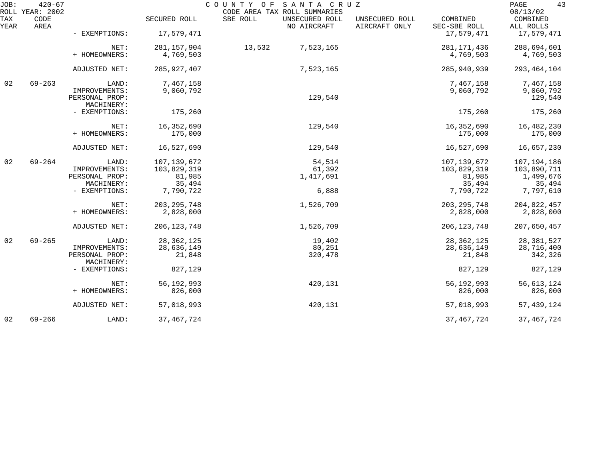| JOB:        | $420 - 67$<br>ROLL YEAR: 2002 |                                 |               | COUNTY OF SANTA CRUZ<br>CODE AREA TAX ROLL SUMMARIES |                                 |                          | 43<br>PAGE<br>08/13/02 |
|-------------|-------------------------------|---------------------------------|---------------|------------------------------------------------------|---------------------------------|--------------------------|------------------------|
| TAX<br>YEAR | CODE<br>AREA                  |                                 | SECURED ROLL  | SBE ROLL<br>UNSECURED ROLL<br>NO AIRCRAFT            | UNSECURED ROLL<br>AIRCRAFT ONLY | COMBINED<br>SEC-SBE ROLL | COMBINED<br>ALL ROLLS  |
|             |                               | - EXEMPTIONS:                   | 17,579,471    |                                                      |                                 | 17,579,471               | 17,579,471             |
|             |                               | NET:                            | 281, 157, 904 | 13,532<br>7,523,165                                  |                                 | 281, 171, 436            | 288,694,601            |
|             |                               | + HOMEOWNERS:                   | 4,769,503     |                                                      |                                 | 4,769,503                | 4,769,503              |
|             |                               | ADJUSTED NET:                   | 285, 927, 407 | 7,523,165                                            |                                 | 285,940,939              | 293, 464, 104          |
| 02          | $69 - 263$                    | LAND:                           | 7,467,158     |                                                      |                                 | 7,467,158                | 7,467,158              |
|             |                               | IMPROVEMENTS:<br>PERSONAL PROP: | 9,060,792     | 129,540                                              |                                 | 9,060,792                | 9,060,792<br>129,540   |
|             |                               | MACHINERY:                      |               |                                                      |                                 |                          |                        |
|             |                               | - EXEMPTIONS:                   | 175,260       |                                                      |                                 | 175,260                  | 175,260                |
|             |                               | NET:                            | 16,352,690    | 129,540                                              |                                 | 16,352,690               | 16,482,230             |
|             |                               | + HOMEOWNERS:                   | 175,000       |                                                      |                                 | 175,000                  | 175,000                |
|             |                               | ADJUSTED NET:                   | 16,527,690    | 129,540                                              |                                 | 16,527,690               | 16,657,230             |
| 02          | $69 - 264$                    | LAND:                           | 107,139,672   | 54,514                                               |                                 | 107, 139, 672            | 107,194,186            |
|             |                               | IMPROVEMENTS:                   | 103,829,319   | 61,392                                               |                                 | 103,829,319              | 103,890,711            |
|             |                               | PERSONAL PROP:                  | 81,985        | 1,417,691                                            |                                 | 81,985                   | 1,499,676              |
|             |                               | MACHINERY:                      | 35,494        |                                                      |                                 | 35,494                   | 35,494                 |
|             |                               | - EXEMPTIONS:                   | 7,790,722     | 6,888                                                |                                 | 7,790,722                | 7,797,610              |
|             |                               | NET:                            | 203, 295, 748 | 1,526,709                                            |                                 | 203, 295, 748            | 204,822,457            |
|             |                               | + HOMEOWNERS:                   | 2,828,000     |                                                      |                                 | 2,828,000                | 2,828,000              |
|             |                               | ADJUSTED NET:                   | 206, 123, 748 | 1,526,709                                            |                                 | 206, 123, 748            | 207,650,457            |
| 02          | $69 - 265$                    | LAND:                           | 28, 362, 125  | 19,402                                               |                                 | 28, 362, 125             | 28, 381, 527           |
|             |                               | IMPROVEMENTS:                   | 28,636,149    | 80,251                                               |                                 | 28,636,149               | 28,716,400             |
|             |                               | PERSONAL PROP:<br>MACHINERY:    | 21,848        | 320,478                                              |                                 | 21,848                   | 342,326                |
|             |                               | - EXEMPTIONS:                   | 827,129       |                                                      |                                 | 827,129                  | 827,129                |
|             |                               | NET:                            | 56, 192, 993  | 420,131                                              |                                 | 56, 192, 993             | 56,613,124             |
|             |                               | + HOMEOWNERS:                   | 826,000       |                                                      |                                 | 826,000                  | 826,000                |
|             |                               | ADJUSTED NET:                   | 57,018,993    | 420,131                                              |                                 | 57,018,993               | 57, 439, 124           |
| 02          | $69 - 266$                    | LAND:                           | 37, 467, 724  |                                                      |                                 | 37, 467, 724             | 37, 467, 724           |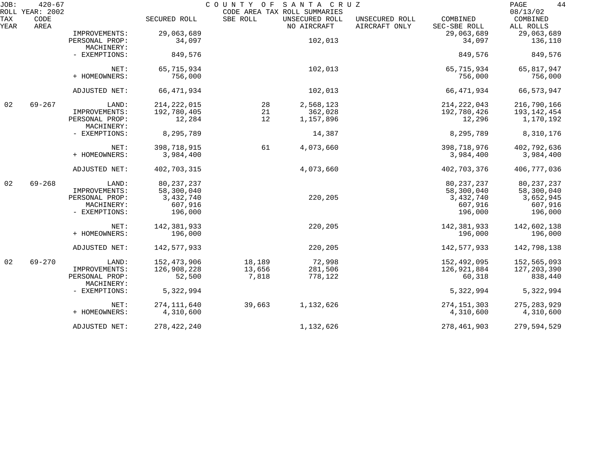| JOB:        | $420 - 67$                      |                              |               | COUNTY OF | SANTA CRUZ                                                    |                                 |                          | 44<br>PAGE<br>08/13/02 |
|-------------|---------------------------------|------------------------------|---------------|-----------|---------------------------------------------------------------|---------------------------------|--------------------------|------------------------|
| TAX<br>YEAR | ROLL YEAR: 2002<br>CODE<br>AREA |                              | SECURED ROLL  | SBE ROLL  | CODE AREA TAX ROLL SUMMARIES<br>UNSECURED ROLL<br>NO AIRCRAFT | UNSECURED ROLL<br>AIRCRAFT ONLY | COMBINED<br>SEC-SBE ROLL | COMBINED<br>ALL ROLLS  |
|             |                                 | IMPROVEMENTS:                | 29,063,689    |           |                                                               |                                 | 29,063,689               | 29,063,689             |
|             |                                 | PERSONAL PROP:<br>MACHINERY: | 34,097        |           | 102,013                                                       |                                 | 34,097                   | 136,110                |
|             |                                 | - EXEMPTIONS:                | 849,576       |           |                                                               |                                 | 849,576                  | 849,576                |
|             |                                 | NET:                         | 65,715,934    |           | 102,013                                                       |                                 | 65,715,934               | 65,817,947             |
|             |                                 | + HOMEOWNERS:                | 756,000       |           |                                                               |                                 | 756,000                  | 756,000                |
|             |                                 | ADJUSTED NET:                | 66,471,934    |           | 102,013                                                       |                                 | 66,471,934               | 66, 573, 947           |
| 02          | $69 - 267$                      | LAND:                        | 214, 222, 015 | 28        | 2,568,123                                                     |                                 | 214, 222, 043            | 216,790,166            |
|             |                                 | IMPROVEMENTS:                | 192,780,405   | 21        | 362,028                                                       |                                 | 192,780,426              | 193,142,454            |
|             |                                 | PERSONAL PROP:<br>MACHINERY: | 12,284        | 12        | 1,157,896                                                     |                                 | 12,296                   | 1,170,192              |
|             |                                 | - EXEMPTIONS:                | 8,295,789     |           | 14,387                                                        |                                 | 8,295,789                | 8,310,176              |
|             |                                 | NET:                         | 398,718,915   | 61        | 4,073,660                                                     |                                 | 398,718,976              | 402,792,636            |
|             |                                 | + HOMEOWNERS:                | 3,984,400     |           |                                                               |                                 | 3,984,400                | 3,984,400              |
|             |                                 | ADJUSTED NET:                | 402,703,315   |           | 4,073,660                                                     |                                 | 402,703,376              | 406,777,036            |
| 02          | $69 - 268$                      | LAND:                        | 80, 237, 237  |           |                                                               |                                 | 80, 237, 237             | 80, 237, 237           |
|             |                                 | IMPROVEMENTS:                | 58,300,040    |           |                                                               |                                 | 58,300,040               | 58,300,040             |
|             |                                 | PERSONAL PROP:               | 3,432,740     |           | 220,205                                                       |                                 | 3,432,740                | 3,652,945              |
|             |                                 | MACHINERY:                   | 607,916       |           |                                                               |                                 | 607,916                  | 607,916                |
|             |                                 | - EXEMPTIONS:                | 196,000       |           |                                                               |                                 | 196,000                  | 196,000                |
|             |                                 | NET:                         | 142,381,933   |           | 220,205                                                       |                                 | 142,381,933              | 142,602,138            |
|             |                                 | + HOMEOWNERS:                | 196,000       |           |                                                               |                                 | 196,000                  | 196,000                |
|             |                                 | ADJUSTED NET:                | 142,577,933   |           | 220,205                                                       |                                 | 142,577,933              | 142,798,138            |
| 02          | $69 - 270$                      | LAND:                        | 152,473,906   | 18,189    | 72,998                                                        |                                 | 152,492,095              | 152,565,093            |
|             |                                 | IMPROVEMENTS:                | 126,908,228   | 13,656    | 281,506                                                       |                                 | 126,921,884              | 127, 203, 390          |
|             |                                 | PERSONAL PROP:<br>MACHINERY: | 52,500        | 7,818     | 778,122                                                       |                                 | 60,318                   | 838,440                |
|             |                                 | - EXEMPTIONS:                | 5,322,994     |           |                                                               |                                 | 5,322,994                | 5,322,994              |
|             |                                 | NET:                         | 274, 111, 640 | 39,663    | 1,132,626                                                     |                                 | 274, 151, 303            | 275, 283, 929          |
|             |                                 | + HOMEOWNERS:                | 4,310,600     |           |                                                               |                                 | 4,310,600                | 4,310,600              |
|             |                                 | ADJUSTED NET:                | 278,422,240   |           | 1,132,626                                                     |                                 | 278,461,903              | 279,594,529            |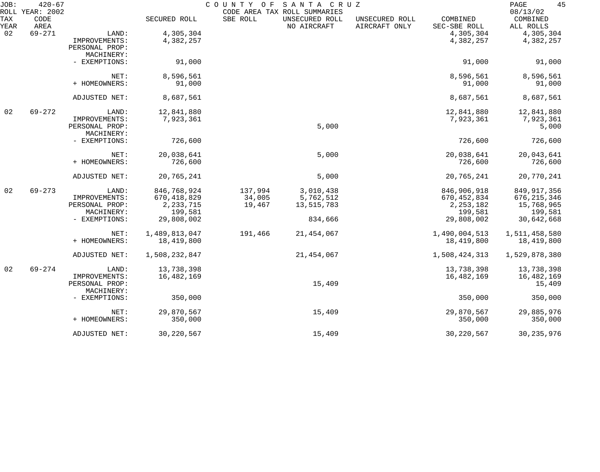| JOB:        | $420 - 67$<br>ROLL YEAR: 2002 |                              |               | COUNTY OF | SANTA CRUZ<br>CODE AREA TAX ROLL SUMMARIES |                                 |                          | 45<br>PAGE<br>08/13/02 |
|-------------|-------------------------------|------------------------------|---------------|-----------|--------------------------------------------|---------------------------------|--------------------------|------------------------|
| TAX<br>YEAR | CODE<br>AREA                  |                              | SECURED ROLL  | SBE ROLL  | UNSECURED ROLL<br>NO AIRCRAFT              | UNSECURED ROLL<br>AIRCRAFT ONLY | COMBINED<br>SEC-SBE ROLL | COMBINED<br>ALL ROLLS  |
| 02          | $69 - 271$                    | LAND:                        | 4,305,304     |           |                                            |                                 | 4,305,304                | 4,305,304              |
|             |                               | IMPROVEMENTS:                | 4,382,257     |           |                                            |                                 | 4,382,257                | 4,382,257              |
|             |                               | PERSONAL PROP:               |               |           |                                            |                                 |                          |                        |
|             |                               | MACHINERY:                   |               |           |                                            |                                 |                          |                        |
|             |                               | - EXEMPTIONS:                | 91,000        |           |                                            |                                 | 91,000                   | 91,000                 |
|             |                               | NET:                         | 8,596,561     |           |                                            |                                 | 8,596,561                | 8,596,561              |
|             |                               | + HOMEOWNERS:                | 91,000        |           |                                            |                                 | 91,000                   | 91,000                 |
|             |                               | ADJUSTED NET:                | 8,687,561     |           |                                            |                                 | 8,687,561                | 8,687,561              |
| 02          | $69 - 272$                    | LAND:                        | 12,841,880    |           |                                            |                                 | 12,841,880               | 12,841,880             |
|             |                               | IMPROVEMENTS:                | 7,923,361     |           |                                            |                                 | 7,923,361                | 7,923,361              |
|             |                               | PERSONAL PROP:               |               |           | 5,000                                      |                                 |                          | 5,000                  |
|             |                               | MACHINERY:                   |               |           |                                            |                                 |                          |                        |
|             |                               | - EXEMPTIONS:                | 726,600       |           |                                            |                                 | 726,600                  | 726,600                |
|             |                               | NET:                         | 20,038,641    |           | 5,000                                      |                                 | 20,038,641               | 20,043,641             |
|             |                               | + HOMEOWNERS:                | 726,600       |           |                                            |                                 | 726,600                  | 726,600                |
|             |                               | ADJUSTED NET:                | 20,765,241    |           | 5,000                                      |                                 | 20,765,241               | 20,770,241             |
| 02          | $69 - 273$                    | LAND:                        | 846,768,924   | 137,994   | 3,010,438                                  |                                 | 846,906,918              | 849, 917, 356          |
|             |                               | IMPROVEMENTS:                | 670, 418, 829 | 34,005    | 5,762,512                                  |                                 | 670, 452, 834            | 676, 215, 346          |
|             |                               | PERSONAL PROP:               | 2, 233, 715   | 19,467    | 13,515,783                                 |                                 | 2, 253, 182              | 15,768,965             |
|             |                               | MACHINERY:                   | 199,581       |           |                                            |                                 | 199,581                  | 199,581                |
|             |                               | - EXEMPTIONS:                | 29,808,002    |           | 834,666                                    |                                 | 29,808,002               | 30,642,668             |
|             |                               | NET:                         | 1,489,813,047 | 191,466   | 21,454,067                                 |                                 | 1,490,004,513            | 1,511,458,580          |
|             |                               | + HOMEOWNERS:                | 18,419,800    |           |                                            |                                 | 18,419,800               | 18,419,800             |
|             |                               | ADJUSTED NET:                | 1,508,232,847 |           | 21, 454, 067                               |                                 | 1,508,424,313            | 1,529,878,380          |
| 02          | $69 - 274$                    | LAND:                        | 13,738,398    |           |                                            |                                 | 13,738,398               | 13,738,398             |
|             |                               | IMPROVEMENTS:                | 16,482,169    |           |                                            |                                 | 16,482,169               | 16,482,169             |
|             |                               | PERSONAL PROP:<br>MACHINERY: |               |           | 15,409                                     |                                 |                          | 15,409                 |
|             |                               | - EXEMPTIONS:                | 350,000       |           |                                            |                                 | 350,000                  | 350,000                |
|             |                               | NET:                         | 29,870,567    |           | 15,409                                     |                                 | 29,870,567               | 29,885,976             |
|             |                               | + HOMEOWNERS:                | 350,000       |           |                                            |                                 | 350,000                  | 350,000                |
|             |                               | ADJUSTED NET:                | 30,220,567    |           | 15,409                                     |                                 | 30, 220, 567             | 30, 235, 976           |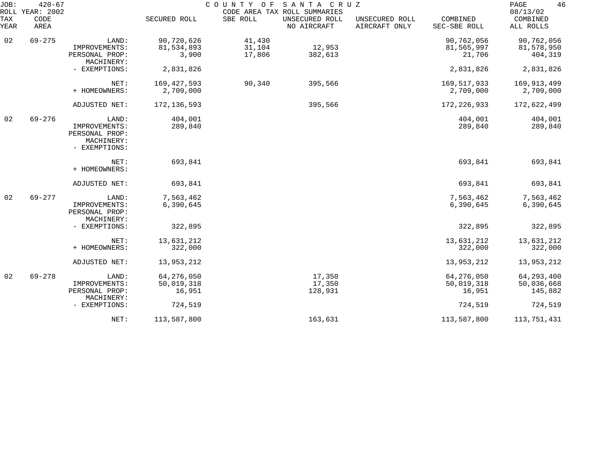| JOB:<br>ROLL | $420 - 67$<br>YEAR: 2002 |                                                                |               | COUNTY OF | SANTA CRUZ<br>CODE AREA TAX ROLL SUMMARIES |                                 |                          | 46<br>PAGE<br>08/13/02 |
|--------------|--------------------------|----------------------------------------------------------------|---------------|-----------|--------------------------------------------|---------------------------------|--------------------------|------------------------|
| TAX<br>YEAR  | CODE<br>AREA             |                                                                | SECURED ROLL  | SBE ROLL  | UNSECURED ROLL<br>NO AIRCRAFT              | UNSECURED ROLL<br>AIRCRAFT ONLY | COMBINED<br>SEC-SBE ROLL | COMBINED<br>ALL ROLLS  |
| 02           | $69 - 275$               | LAND:                                                          | 90,720,626    | 41,430    |                                            |                                 | 90,762,056               | 90,762,056             |
|              |                          | IMPROVEMENTS:                                                  | 81,534,893    | 31,104    | 12,953                                     |                                 | 81,565,997               | 81,578,950             |
|              |                          | PERSONAL PROP:<br>MACHINERY:                                   | 3,900         | 17,806    | 382,613                                    |                                 | 21,706                   | 404,319                |
|              |                          | - EXEMPTIONS:                                                  | 2,831,826     |           |                                            |                                 | 2,831,826                | 2,831,826              |
|              |                          |                                                                |               |           |                                            |                                 |                          |                        |
|              |                          | NET:                                                           | 169, 427, 593 | 90,340    | 395,566                                    |                                 | 169,517,933              | 169,913,499            |
|              |                          | + HOMEOWNERS:                                                  | 2,709,000     |           |                                            |                                 | 2,709,000                | 2,709,000              |
|              |                          | ADJUSTED NET:                                                  | 172, 136, 593 |           | 395,566                                    |                                 | 172, 226, 933            | 172,622,499            |
| 02           | $69 - 276$               | LAND:                                                          | 404,001       |           |                                            |                                 | 404,001                  | 404,001                |
|              |                          | IMPROVEMENTS:<br>PERSONAL PROP:<br>MACHINERY:<br>- EXEMPTIONS: | 289,840       |           |                                            |                                 | 289,840                  | 289,840                |
|              |                          | NET:                                                           | 693,841       |           |                                            |                                 | 693,841                  | 693,841                |
|              |                          | + HOMEOWNERS:                                                  |               |           |                                            |                                 |                          |                        |
|              |                          | ADJUSTED NET:                                                  | 693,841       |           |                                            |                                 | 693,841                  | 693,841                |
| 02           | $69 - 277$               | LAND:                                                          | 7,563,462     |           |                                            |                                 | 7,563,462                | 7,563,462              |
|              |                          | IMPROVEMENTS:<br>PERSONAL PROP:<br>MACHINERY:                  | 6,390,645     |           |                                            |                                 | 6,390,645                | 6,390,645              |
|              |                          | - EXEMPTIONS:                                                  | 322,895       |           |                                            |                                 | 322,895                  | 322,895                |
|              |                          | NET:                                                           | 13,631,212    |           |                                            |                                 | 13,631,212               | 13,631,212             |
|              |                          | + HOMEOWNERS:                                                  | 322,000       |           |                                            |                                 | 322,000                  | 322,000                |
|              |                          | ADJUSTED NET:                                                  | 13,953,212    |           |                                            |                                 | 13,953,212               | 13,953,212             |
| 02           | $69 - 278$               | LAND:                                                          | 64, 276, 050  |           | 17,350                                     |                                 | 64, 276, 050             | 64, 293, 400           |
|              |                          | IMPROVEMENTS:                                                  | 50,019,318    |           | 17,350                                     |                                 | 50,019,318               | 50,036,668             |
|              |                          | PERSONAL PROP:                                                 | 16,951        |           | 128,931                                    |                                 | 16,951                   | 145,882                |
|              |                          | MACHINERY:<br>- EXEMPTIONS:                                    | 724,519       |           |                                            |                                 | 724,519                  | 724,519                |
|              |                          |                                                                |               |           |                                            |                                 |                          |                        |
|              |                          | NET:                                                           | 113,587,800   |           | 163,631                                    |                                 | 113,587,800              | 113,751,431            |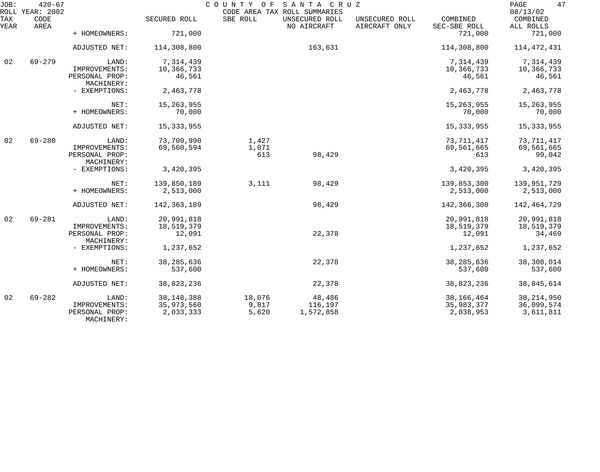| JOB:        | $420 - 67$<br>ROLL YEAR: 2002 |                                               |                         | COUNTY OF      | SANTA CRUZ<br>CODE AREA TAX ROLL SUMMARIES |                                 |                          | 47<br>PAGE<br>08/13/02  |
|-------------|-------------------------------|-----------------------------------------------|-------------------------|----------------|--------------------------------------------|---------------------------------|--------------------------|-------------------------|
| TAX<br>YEAR | CODE<br>AREA                  |                                               | SECURED ROLL            | SBE ROLL       | UNSECURED ROLL<br>NO AIRCRAFT              | UNSECURED ROLL<br>AIRCRAFT ONLY | COMBINED<br>SEC-SBE ROLL | COMBINED<br>ALL ROLLS   |
|             |                               | + HOMEOWNERS:                                 | 721,000                 |                |                                            |                                 | 721,000                  | 721,000                 |
|             |                               | ADJUSTED NET:                                 | 114,308,800             |                | 163,631                                    |                                 | 114,308,800              | 114, 472, 431           |
| 02          | $69 - 279$                    | LAND:                                         | 7,314,439               |                |                                            |                                 | 7,314,439                | 7,314,439               |
|             |                               | IMPROVEMENTS:<br>PERSONAL PROP:<br>MACHINERY: | 10,366,733<br>46,561    |                |                                            |                                 | 10,366,733<br>46,561     | 10,366,733<br>46,561    |
|             |                               | - EXEMPTIONS:                                 | 2,463,778               |                |                                            |                                 | 2,463,778                | 2,463,778               |
|             |                               | NET:                                          | 15, 263, 955            |                |                                            |                                 | 15, 263, 955             | 15, 263, 955            |
|             |                               | + HOMEOWNERS:                                 | 70,000                  |                |                                            |                                 | 70,000                   | 70,000                  |
|             |                               | ADJUSTED NET:                                 | 15, 333, 955            |                |                                            |                                 | 15, 333, 955             | 15, 333, 955            |
| 02          | $69 - 280$                    | LAND:                                         | 73,709,990              | 1,427          |                                            |                                 | 73, 711, 417             | 73,711,417              |
|             |                               | IMPROVEMENTS:<br>PERSONAL PROP:<br>MACHINERY: | 69,560,594              | 1,071<br>613   | 98,429                                     |                                 | 69,561,665<br>613        | 69,561,665<br>99,042    |
|             |                               | - EXEMPTIONS:                                 | 3,420,395               |                |                                            |                                 | 3,420,395                | 3,420,395               |
|             |                               | NET:                                          | 139,850,189             | 3,111          | 98,429                                     |                                 | 139,853,300              | 139,951,729             |
|             |                               | + HOMEOWNERS:                                 | 2,513,000               |                |                                            |                                 | 2,513,000                | 2,513,000               |
|             |                               | ADJUSTED NET:                                 | 142, 363, 189           |                | 98,429                                     |                                 | 142,366,300              | 142,464,729             |
| 02          | $69 - 281$                    | LAND:                                         | 20,991,818              |                |                                            |                                 | 20,991,818               | 20,991,818              |
|             |                               | IMPROVEMENTS:<br>PERSONAL PROP:               | 18,519,379<br>12,091    |                | 22,378                                     |                                 | 18,519,379<br>12,091     | 18,519,379<br>34,469    |
|             |                               | MACHINERY:                                    |                         |                |                                            |                                 |                          |                         |
|             |                               | - EXEMPTIONS:                                 | 1,237,652               |                |                                            |                                 | 1,237,652                | 1,237,652               |
|             |                               | NET:                                          | 38, 285, 636            |                | 22,378                                     |                                 | 38, 285, 636             | 38,308,014              |
|             |                               | + HOMEOWNERS:                                 | 537,600                 |                |                                            |                                 | 537,600                  | 537,600                 |
|             |                               | ADJUSTED NET:                                 | 38,823,236              |                | 22,378                                     |                                 | 38,823,236               | 38,845,614              |
| 02          | $69 - 282$                    | LAND:                                         | 38, 148, 388            | 18,076         | 48,486                                     |                                 | 38,166,464               | 38, 214, 950            |
|             |                               | IMPROVEMENTS:<br>PERSONAL PROP:<br>MACHINERY: | 35,973,560<br>2,033,333 | 9,817<br>5,620 | 116,197<br>1,572,858                       |                                 | 35,983,377<br>2,038,953  | 36,099,574<br>3,611,811 |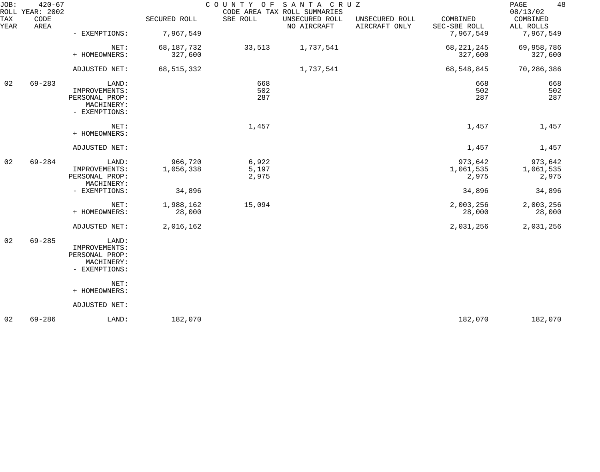| $420 - 67$<br>CODE<br>AREA |                                                                         | SECURED ROLL                                      | COUNTY OF<br>SBE ROLL   | UNSECURED ROLL<br>NO AIRCRAFT | UNSECURED ROLL<br>AIRCRAFT ONLY | COMBINED<br>SEC-SBE ROLL                | 48<br>PAGE<br>08/13/02<br>COMBINED<br>ALL ROLLS |
|----------------------------|-------------------------------------------------------------------------|---------------------------------------------------|-------------------------|-------------------------------|---------------------------------|-----------------------------------------|-------------------------------------------------|
|                            | NET:                                                                    | 68,187,732                                        | 33,513                  | 1,737,541                     |                                 | 68, 221, 245                            | 7,967,549<br>69,958,786<br>327,600              |
|                            | ADJUSTED NET:                                                           | 68,515,332                                        |                         | 1,737,541                     |                                 | 68,548,845                              | 70,286,386                                      |
| $69 - 283$                 | LAND:<br>IMPROVEMENTS:<br>PERSONAL PROP:<br>MACHINERY:<br>- EXEMPTIONS: |                                                   | 668<br>502<br>287       |                               |                                 | 668<br>502<br>287                       | 668<br>502<br>287                               |
|                            | NET:<br>+ HOMEOWNERS:                                                   |                                                   | 1,457                   |                               |                                 | 1,457                                   | 1,457                                           |
|                            | ADJUSTED NET:                                                           |                                                   |                         |                               |                                 | 1,457                                   | 1,457                                           |
| $69 - 284$                 | LAND:<br>IMPROVEMENTS:<br>PERSONAL PROP:<br>MACHINERY:<br>- EXEMPTIONS: | 966,720<br>1,056,338<br>34,896                    | 6,922<br>5,197<br>2,975 |                               |                                 | 973,642<br>1,061,535<br>2,975<br>34,896 | 973,642<br>1,061,535<br>2,975<br>34,896         |
|                            | NET:<br>+ HOMEOWNERS:                                                   | 1,988,162<br>28,000                               | 15,094                  |                               |                                 | 2,003,256<br>28,000                     | 2,003,256<br>28,000                             |
|                            | ADJUSTED NET:                                                           | 2,016,162                                         |                         |                               |                                 | 2,031,256                               | 2,031,256                                       |
| $69 - 285$                 | LAND:<br>IMPROVEMENTS:<br>PERSONAL PROP:<br>MACHINERY:<br>- EXEMPTIONS: |                                                   |                         |                               |                                 |                                         |                                                 |
|                            | NET:<br>+ HOMEOWNERS:                                                   |                                                   |                         |                               |                                 |                                         |                                                 |
|                            | ADJUSTED NET:                                                           |                                                   |                         |                               |                                 |                                         |                                                 |
| $69 - 286$                 | LAND:                                                                   | 182,070                                           |                         |                               |                                 | 182,070                                 | 182,070                                         |
|                            |                                                                         | ROLL YEAR: 2002<br>- EXEMPTIONS:<br>+ HOMEOWNERS: | 7,967,549<br>327,600    |                               | CODE AREA TAX ROLL SUMMARIES    | SANTA CRUZ                              | 7,967,549<br>327,600                            |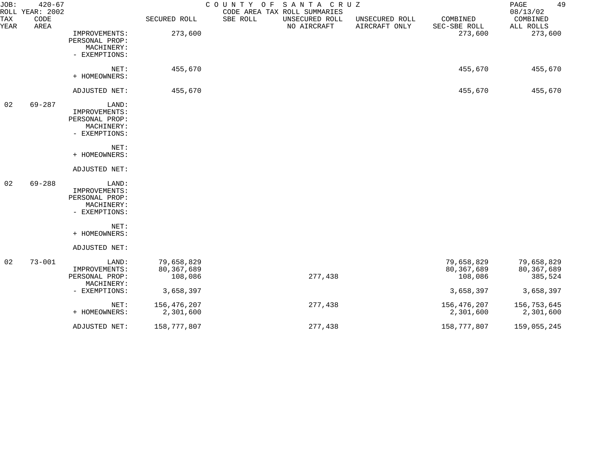| JOB:        | $420 - 67$<br>ROLL YEAR: 2002 |                                                                         |                                     | COUNTY OF SANTA CRUZ<br>CODE AREA TAX ROLL SUMMARIES |                                 |                                       | 49<br>PAGE<br>08/13/02                |
|-------------|-------------------------------|-------------------------------------------------------------------------|-------------------------------------|------------------------------------------------------|---------------------------------|---------------------------------------|---------------------------------------|
| TAX<br>YEAR | CODE<br>AREA                  |                                                                         | SECURED ROLL                        | SBE ROLL<br>UNSECURED ROLL<br>NO AIRCRAFT            | UNSECURED ROLL<br>AIRCRAFT ONLY | COMBINED<br>SEC-SBE ROLL              | COMBINED<br>ALL ROLLS                 |
|             |                               | IMPROVEMENTS:<br>PERSONAL PROP:<br>MACHINERY:<br>- EXEMPTIONS:          | 273,600                             |                                                      |                                 | 273,600                               | 273,600                               |
|             |                               | NET:<br>+ HOMEOWNERS:                                                   | 455,670                             |                                                      |                                 | 455,670                               | 455,670                               |
|             |                               | ADJUSTED NET:                                                           | 455,670                             |                                                      |                                 | 455,670                               | 455,670                               |
| 02          | $69 - 287$                    | LAND:<br>IMPROVEMENTS:<br>PERSONAL PROP:<br>MACHINERY:<br>- EXEMPTIONS: |                                     |                                                      |                                 |                                       |                                       |
|             |                               | NET:<br>+ HOMEOWNERS:                                                   |                                     |                                                      |                                 |                                       |                                       |
|             |                               | ADJUSTED NET:                                                           |                                     |                                                      |                                 |                                       |                                       |
| 02          | $69 - 288$                    | LAND:<br>IMPROVEMENTS:<br>PERSONAL PROP:<br>MACHINERY:<br>- EXEMPTIONS: |                                     |                                                      |                                 |                                       |                                       |
|             |                               | NET:<br>+ HOMEOWNERS:                                                   |                                     |                                                      |                                 |                                       |                                       |
|             |                               | ADJUSTED NET:                                                           |                                     |                                                      |                                 |                                       |                                       |
| 02          | $73 - 001$                    | LAND:<br>IMPROVEMENTS:<br>PERSONAL PROP:<br>MACHINERY:                  | 79,658,829<br>80,367,689<br>108,086 | 277,438                                              |                                 | 79,658,829<br>80, 367, 689<br>108,086 | 79,658,829<br>80, 367, 689<br>385,524 |
|             |                               | - EXEMPTIONS:                                                           | 3,658,397                           |                                                      |                                 | 3,658,397                             | 3,658,397                             |
|             |                               | NET:<br>+ HOMEOWNERS:                                                   | 156,476,207<br>2,301,600            | 277,438                                              |                                 | 156,476,207<br>2,301,600              | 156,753,645<br>2,301,600              |
|             |                               | ADJUSTED NET:                                                           | 158,777,807                         | 277,438                                              |                                 | 158,777,807                           | 159,055,245                           |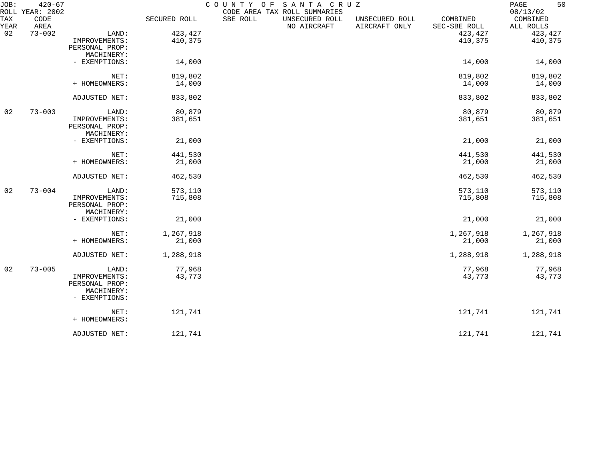| JOB:        | $420 - 67$<br>ROLL YEAR: 2002 |                             |              | COUNTY OF | SANTA CRUZ<br>CODE AREA TAX ROLL SUMMARIES |                                 |                          | 50<br>$\mathop{\mathrm{PAGE}}$<br>08/13/02 |
|-------------|-------------------------------|-----------------------------|--------------|-----------|--------------------------------------------|---------------------------------|--------------------------|--------------------------------------------|
| TAX<br>YEAR | CODE<br>AREA                  |                             | SECURED ROLL | SBE ROLL  | UNSECURED ROLL<br>NO AIRCRAFT              | UNSECURED ROLL<br>AIRCRAFT ONLY | COMBINED<br>SEC-SBE ROLL | COMBINED<br>ALL ROLLS                      |
| 02          | $73 - 002$                    | LAND:                       | 423, 427     |           |                                            |                                 | 423,427                  | 423,427                                    |
|             |                               | IMPROVEMENTS:               | 410,375      |           |                                            |                                 | 410,375                  | 410,375                                    |
|             |                               | PERSONAL PROP:              |              |           |                                            |                                 |                          |                                            |
|             |                               | MACHINERY:                  |              |           |                                            |                                 |                          |                                            |
|             |                               | - EXEMPTIONS:               | 14,000       |           |                                            |                                 | 14,000                   | 14,000                                     |
|             |                               | NET:                        | 819,802      |           |                                            |                                 | 819,802                  | 819,802                                    |
|             |                               | + HOMEOWNERS:               | 14,000       |           |                                            |                                 | 14,000                   | 14,000                                     |
|             |                               | ADJUSTED NET:               | 833,802      |           |                                            |                                 | 833,802                  | 833,802                                    |
| 02          | $73 - 003$                    | LAND:                       | 80,879       |           |                                            |                                 | 80,879                   | 80,879                                     |
|             |                               | IMPROVEMENTS:               | 381,651      |           |                                            |                                 | 381,651                  | 381,651                                    |
|             |                               | PERSONAL PROP:              |              |           |                                            |                                 |                          |                                            |
|             |                               | MACHINERY:                  |              |           |                                            |                                 |                          |                                            |
|             |                               | - EXEMPTIONS:               | 21,000       |           |                                            |                                 | 21,000                   | 21,000                                     |
|             |                               | NET:                        | 441,530      |           |                                            |                                 | 441,530                  | 441,530                                    |
|             |                               | + HOMEOWNERS:               | 21,000       |           |                                            |                                 | 21,000                   | 21,000                                     |
|             |                               | ADJUSTED NET:               | 462,530      |           |                                            |                                 | 462,530                  | 462,530                                    |
| 02          | $73 - 004$                    | LAND:                       | 573,110      |           |                                            |                                 | 573,110                  | 573,110                                    |
|             |                               | IMPROVEMENTS:               | 715,808      |           |                                            |                                 | 715,808                  | 715,808                                    |
|             |                               | PERSONAL PROP:              |              |           |                                            |                                 |                          |                                            |
|             |                               | MACHINERY:                  |              |           |                                            |                                 |                          |                                            |
|             |                               | - EXEMPTIONS:               | 21,000       |           |                                            |                                 | 21,000                   | 21,000                                     |
|             |                               | NET:                        | 1,267,918    |           |                                            |                                 | 1,267,918                | 1,267,918                                  |
|             |                               | + HOMEOWNERS:               | 21,000       |           |                                            |                                 | 21,000                   | 21,000                                     |
|             |                               | ADJUSTED NET:               | 1,288,918    |           |                                            |                                 | 1,288,918                | 1,288,918                                  |
| 02          | $73 - 005$                    | LAND:                       | 77,968       |           |                                            |                                 | 77,968                   | 77,968                                     |
|             |                               | IMPROVEMENTS:               | 43,773       |           |                                            |                                 | 43,773                   | 43,773                                     |
|             |                               | PERSONAL PROP:              |              |           |                                            |                                 |                          |                                            |
|             |                               | MACHINERY:<br>- EXEMPTIONS: |              |           |                                            |                                 |                          |                                            |
|             |                               | NET:                        | 121,741      |           |                                            |                                 | 121,741                  | 121,741                                    |
|             |                               | + HOMEOWNERS:               |              |           |                                            |                                 |                          |                                            |
|             |                               | ADJUSTED NET:               | 121,741      |           |                                            |                                 | 121,741                  | 121,741                                    |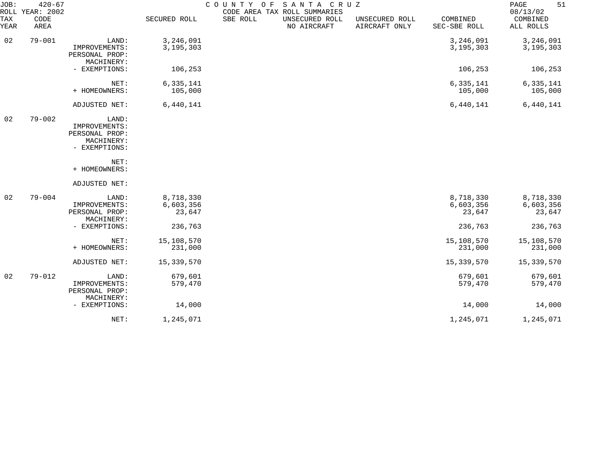| JOB:<br>ROLL | $420 - 67$<br>YEAR: 2002 |                                                                         |                                  | COUNTY<br>O F | SANTA CRUZ<br>CODE AREA TAX ROLL SUMMARIES |                                 |                                  | 51<br>PAGE<br>08/13/02           |
|--------------|--------------------------|-------------------------------------------------------------------------|----------------------------------|---------------|--------------------------------------------|---------------------------------|----------------------------------|----------------------------------|
| TAX<br>YEAR  | CODE<br>AREA             |                                                                         | SECURED ROLL                     | SBE ROLL      | UNSECURED ROLL<br>NO AIRCRAFT              | UNSECURED ROLL<br>AIRCRAFT ONLY | COMBINED<br>SEC-SBE ROLL         | COMBINED<br>ALL ROLLS            |
| 02           | $79 - 001$               | LAND:<br>IMPROVEMENTS:<br>PERSONAL PROP:                                | 3,246,091<br>3, 195, 303         |               |                                            |                                 | 3,246,091<br>3, 195, 303         | 3,246,091<br>3, 195, 303         |
|              |                          | MACHINERY:<br>- EXEMPTIONS:                                             | 106,253                          |               |                                            |                                 | 106,253                          | 106,253                          |
|              |                          | NET:<br>+ HOMEOWNERS:                                                   | 6,335,141<br>105,000             |               |                                            |                                 | 6,335,141<br>105,000             | 6,335,141<br>105,000             |
|              |                          | ADJUSTED NET:                                                           | 6,440,141                        |               |                                            |                                 | 6,440,141                        | 6,440,141                        |
| 02           | $79 - 002$               | LAND:<br>IMPROVEMENTS:<br>PERSONAL PROP:<br>MACHINERY:<br>- EXEMPTIONS: |                                  |               |                                            |                                 |                                  |                                  |
|              |                          | NET:<br>+ HOMEOWNERS:                                                   |                                  |               |                                            |                                 |                                  |                                  |
|              |                          | ADJUSTED NET:                                                           |                                  |               |                                            |                                 |                                  |                                  |
| 02           | $79 - 004$               | LAND:<br>IMPROVEMENTS:<br>PERSONAL PROP:<br>MACHINERY:                  | 8,718,330<br>6,603,356<br>23,647 |               |                                            |                                 | 8,718,330<br>6,603,356<br>23,647 | 8,718,330<br>6,603,356<br>23,647 |
|              |                          | - EXEMPTIONS:                                                           | 236,763                          |               |                                            |                                 | 236,763                          | 236,763                          |
|              |                          | NET:<br>+ HOMEOWNERS:                                                   | 15,108,570<br>231,000            |               |                                            |                                 | 15,108,570<br>231,000            | 15,108,570<br>231,000            |
|              |                          | ADJUSTED NET:                                                           | 15,339,570                       |               |                                            |                                 | 15,339,570                       | 15,339,570                       |
| 02           | $79 - 012$               | LAND:<br>IMPROVEMENTS:<br>PERSONAL PROP:                                | 679,601<br>579,470               |               |                                            |                                 | 679,601<br>579,470               | 679,601<br>579,470               |
|              |                          | MACHINERY:<br>- EXEMPTIONS:                                             | 14,000                           |               |                                            |                                 | 14,000                           | 14,000                           |
|              |                          | NET:                                                                    | 1,245,071                        |               |                                            |                                 | 1,245,071                        | 1,245,071                        |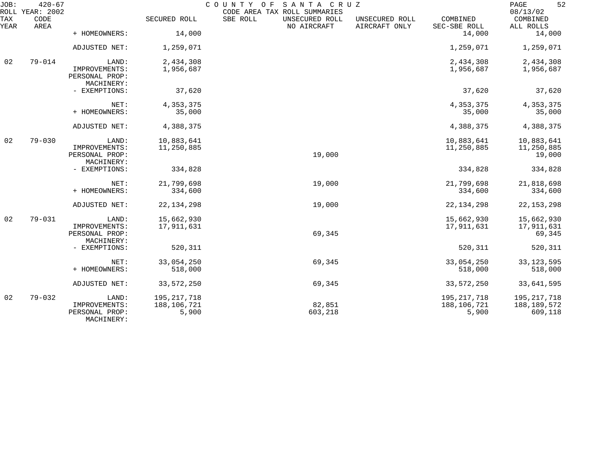| JOB:        | $420 - 67$<br>ROLL YEAR: 2002 |                                               |                      | COUNTY OF<br>CODE AREA TAX ROLL SUMMARIES | SANTA CRUZ                    |                                 |                          | 52<br>PAGE<br>08/13/02 |
|-------------|-------------------------------|-----------------------------------------------|----------------------|-------------------------------------------|-------------------------------|---------------------------------|--------------------------|------------------------|
| TAX<br>YEAR | CODE<br>AREA                  |                                               | SECURED ROLL         | SBE ROLL                                  | UNSECURED ROLL<br>NO AIRCRAFT | UNSECURED ROLL<br>AIRCRAFT ONLY | COMBINED<br>SEC-SBE ROLL | COMBINED<br>ALL ROLLS  |
|             |                               | + HOMEOWNERS:                                 | 14,000               |                                           |                               |                                 | 14,000                   | 14,000                 |
|             |                               | ADJUSTED NET:                                 | 1,259,071            |                                           |                               |                                 | 1,259,071                | 1,259,071              |
| 02          | $79 - 014$                    | LAND:                                         | 2,434,308            |                                           |                               |                                 | 2,434,308                | 2,434,308              |
|             |                               | IMPROVEMENTS:<br>PERSONAL PROP:<br>MACHINERY: | 1,956,687            |                                           |                               |                                 | 1,956,687                | 1,956,687              |
|             |                               | - EXEMPTIONS:                                 | 37,620               |                                           |                               |                                 | 37,620                   | 37,620                 |
|             |                               | NET:                                          | 4,353,375            |                                           |                               |                                 | 4, 353, 375              | 4,353,375              |
|             |                               | + HOMEOWNERS:                                 | 35,000               |                                           |                               |                                 | 35,000                   | 35,000                 |
|             |                               | ADJUSTED NET:                                 | 4,388,375            |                                           |                               |                                 | 4,388,375                | 4,388,375              |
| 02          | $79 - 030$                    | LAND:                                         | 10,883,641           |                                           |                               |                                 | 10,883,641               | 10,883,641             |
|             |                               | IMPROVEMENTS:<br>PERSONAL PROP:<br>MACHINERY: | 11,250,885           |                                           | 19,000                        |                                 | 11,250,885               | 11,250,885<br>19,000   |
|             |                               | - EXEMPTIONS:                                 | 334,828              |                                           |                               |                                 | 334,828                  | 334,828                |
|             |                               | NET:                                          | 21,799,698           |                                           | 19,000                        |                                 | 21,799,698               | 21,818,698             |
|             |                               | + HOMEOWNERS:                                 | 334,600              |                                           |                               |                                 | 334,600                  | 334,600                |
|             |                               | ADJUSTED NET:                                 | 22, 134, 298         |                                           | 19,000                        |                                 | 22, 134, 298             | 22, 153, 298           |
| 02          | $79 - 031$                    | LAND:                                         | 15,662,930           |                                           |                               |                                 | 15,662,930               | 15,662,930             |
|             |                               | IMPROVEMENTS:<br>PERSONAL PROP:<br>MACHINERY: | 17,911,631           |                                           | 69,345                        |                                 | 17,911,631               | 17,911,631<br>69,345   |
|             |                               | - EXEMPTIONS:                                 | 520,311              |                                           |                               |                                 | 520,311                  | 520,311                |
|             |                               | NET:                                          | 33,054,250           |                                           | 69,345                        |                                 | 33,054,250               | 33, 123, 595           |
|             |                               | + HOMEOWNERS:                                 | 518,000              |                                           |                               |                                 | 518,000                  | 518,000                |
|             |                               | ADJUSTED NET:                                 | 33, 572, 250         |                                           | 69,345                        |                                 | 33,572,250               | 33,641,595             |
| 02          | $79 - 032$                    | LAND:                                         | 195, 217, 718        |                                           |                               |                                 | 195, 217, 718            | 195, 217, 718          |
|             |                               | IMPROVEMENTS:<br>PERSONAL PROP:<br>MACHINERY: | 188,106,721<br>5,900 |                                           | 82,851<br>603,218             |                                 | 188,106,721<br>5,900     | 188,189,572<br>609,118 |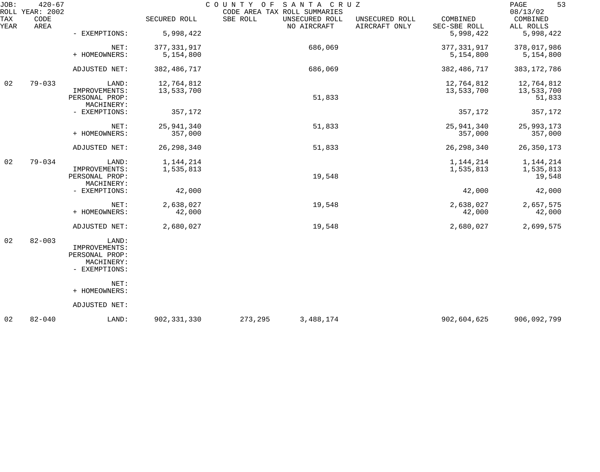| JOB:        | $420 - 67$<br>ROLL YEAR: 2002 |                                                                         |                            | SANTA CRUZ<br>COUNTY OF<br>CODE AREA TAX ROLL SUMMARIES |                                 |                            | 53<br>PAGE<br>08/13/02             |
|-------------|-------------------------------|-------------------------------------------------------------------------|----------------------------|---------------------------------------------------------|---------------------------------|----------------------------|------------------------------------|
| TAX<br>YEAR | CODE<br>AREA                  |                                                                         | SECURED ROLL               | SBE ROLL<br>UNSECURED ROLL<br>NO AIRCRAFT               | UNSECURED ROLL<br>AIRCRAFT ONLY | COMBINED<br>SEC-SBE ROLL   | COMBINED<br>ALL ROLLS              |
|             |                               | - EXEMPTIONS:                                                           | 5,998,422                  |                                                         |                                 | 5,998,422                  | 5,998,422                          |
|             |                               | NET:<br>+ HOMEOWNERS:                                                   | 377, 331, 917<br>5,154,800 | 686,069                                                 |                                 | 377, 331, 917<br>5,154,800 | 378,017,986<br>5,154,800           |
|             |                               |                                                                         |                            |                                                         |                                 |                            |                                    |
|             |                               | ADJUSTED NET:                                                           | 382, 486, 717              | 686,069                                                 |                                 | 382,486,717                | 383, 172, 786                      |
| 02          | $79 - 033$                    | LAND:<br>IMPROVEMENTS:<br>PERSONAL PROP:                                | 12,764,812<br>13,533,700   | 51,833                                                  |                                 | 12,764,812<br>13,533,700   | 12,764,812<br>13,533,700<br>51,833 |
|             |                               | MACHINERY:<br>- EXEMPTIONS:                                             | 357,172                    |                                                         |                                 | 357,172                    | 357,172                            |
|             |                               | NET:<br>+ HOMEOWNERS:                                                   | 25,941,340<br>357,000      | 51,833                                                  |                                 | 25, 941, 340<br>357,000    | 25,993,173<br>357,000              |
|             |                               | ADJUSTED NET:                                                           | 26, 298, 340               | 51,833                                                  |                                 | 26, 298, 340               | 26, 350, 173                       |
| 02          | $79 - 034$                    | LAND:<br>IMPROVEMENTS:<br>PERSONAL PROP:<br>MACHINERY:                  | 1,144,214<br>1,535,813     | 19,548                                                  |                                 | 1,144,214<br>1,535,813     | 1,144,214<br>1,535,813<br>19,548   |
|             |                               | - EXEMPTIONS:                                                           | 42,000                     |                                                         |                                 | 42,000                     | 42,000                             |
|             |                               | NET:<br>+ HOMEOWNERS:                                                   | 2,638,027<br>42,000        | 19,548                                                  |                                 | 2,638,027<br>42,000        | 2,657,575<br>42,000                |
|             |                               | ADJUSTED NET:                                                           | 2,680,027                  | 19,548                                                  |                                 | 2,680,027                  | 2,699,575                          |
| 02          | $82 - 003$                    | LAND:<br>IMPROVEMENTS:<br>PERSONAL PROP:<br>MACHINERY:<br>- EXEMPTIONS: |                            |                                                         |                                 |                            |                                    |
|             |                               | NET:<br>+ HOMEOWNERS:                                                   |                            |                                                         |                                 |                            |                                    |
|             |                               | ADJUSTED NET:                                                           |                            |                                                         |                                 |                            |                                    |
| 02          | $82 - 040$                    | LAND:                                                                   | 902, 331, 330              | 273,295<br>3, 488, 174                                  |                                 | 902,604,625                | 906,092,799                        |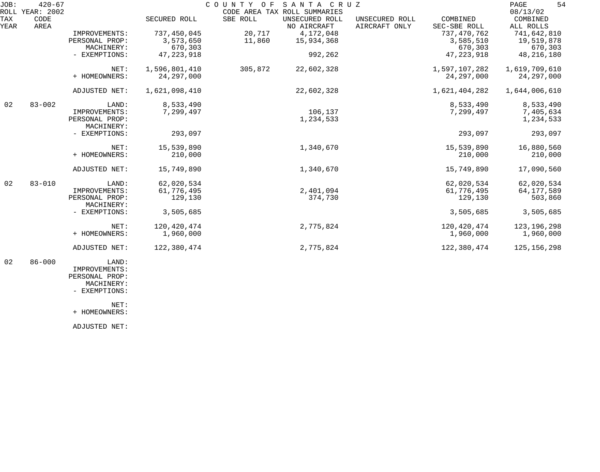| JOB: | $420 - 67$<br>ROLL YEAR: 2002 |                              |               |          | COUNTY OF SANTA CRUZ<br>CODE AREA TAX ROLL SUMMARIES |                |               | 54<br>PAGE<br>08/13/02 |
|------|-------------------------------|------------------------------|---------------|----------|------------------------------------------------------|----------------|---------------|------------------------|
| TAX  | CODE                          |                              | SECURED ROLL  | SBE ROLL | UNSECURED ROLL                                       | UNSECURED ROLL | COMBINED      | COMBINED               |
| YEAR | AREA                          |                              |               |          | NO AIRCRAFT                                          | AIRCRAFT ONLY  | SEC-SBE ROLL  | ALL ROLLS              |
|      |                               | IMPROVEMENTS:                | 737,450,045   | 20,717   | 4,172,048                                            |                | 737, 470, 762 | 741,642,810            |
|      |                               | PERSONAL PROP:               | 3,573,650     | 11,860   | 15,934,368                                           |                | 3,585,510     | 19,519,878             |
|      |                               | MACHINERY:                   | 670,303       |          |                                                      |                | 670,303       | 670,303                |
|      |                               | - EXEMPTIONS:                | 47, 223, 918  |          | 992,262                                              |                | 47, 223, 918  | 48, 216, 180           |
|      |                               | NET:                         | 1,596,801,410 | 305,872  | 22,602,328                                           |                | 1,597,107,282 | 1,619,709,610          |
|      |                               | + HOMEOWNERS:                | 24, 297, 000  |          |                                                      |                | 24, 297, 000  | 24, 297, 000           |
|      |                               | ADJUSTED NET:                | 1,621,098,410 |          | 22,602,328                                           |                | 1,621,404,282 | 1,644,006,610          |
| 02   | $83 - 002$                    | LAND:                        | 8,533,490     |          |                                                      |                | 8,533,490     | 8,533,490              |
|      |                               | IMPROVEMENTS:                | 7,299,497     |          | 106,137                                              |                | 7,299,497     | 7,405,634              |
|      |                               | PERSONAL PROP:               |               |          | 1,234,533                                            |                |               | 1,234,533              |
|      |                               | MACHINERY:                   |               |          |                                                      |                |               |                        |
|      |                               | - EXEMPTIONS:                | 293,097       |          |                                                      |                | 293,097       | 293,097                |
|      |                               | NET:                         | 15,539,890    |          | 1,340,670                                            |                | 15,539,890    | 16,880,560             |
|      |                               | + HOMEOWNERS:                | 210,000       |          |                                                      |                | 210,000       | 210,000                |
|      |                               | ADJUSTED NET:                | 15,749,890    |          | 1,340,670                                            |                | 15,749,890    | 17,090,560             |
| 02   | $83 - 010$                    | LAND:                        | 62,020,534    |          |                                                      |                | 62,020,534    | 62,020,534             |
|      |                               | IMPROVEMENTS:                | 61,776,495    |          | 2,401,094                                            |                | 61,776,495    | 64,177,589             |
|      |                               | PERSONAL PROP:<br>MACHINERY: | 129,130       |          | 374,730                                              |                | 129,130       | 503,860                |
|      |                               | - EXEMPTIONS:                | 3,505,685     |          |                                                      |                | 3,505,685     | 3,505,685              |
|      |                               | NET:                         | 120,420,474   |          | 2,775,824                                            |                | 120,420,474   | 123, 196, 298          |
|      |                               | + HOMEOWNERS:                | 1,960,000     |          |                                                      |                | 1,960,000     | 1,960,000              |
|      |                               | ADJUSTED NET:                | 122,380,474   |          | 2,775,824                                            |                | 122,380,474   | 125, 156, 298          |
| 02   | $86 - 000$                    | LAND:<br>IMPROVEMENTS:       |               |          |                                                      |                |               |                        |

 PERSONAL PROP: MACHINERY:

- EXEMPTIONS:

NET:

+ HOMEOWNERS:

ADJUSTED NET: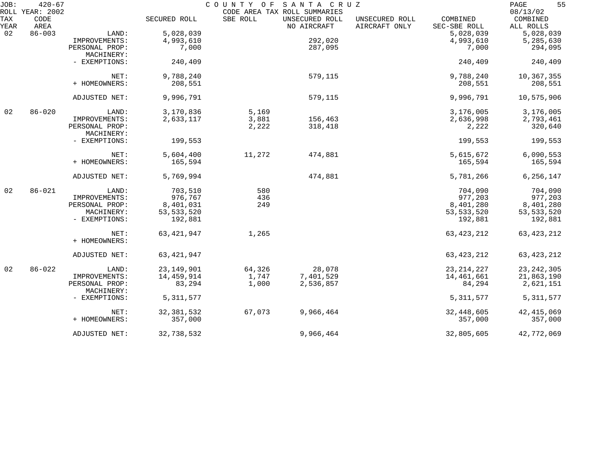| JOB:        | $420 - 67$<br>ROLL YEAR: 2002 |                              |              | COUNTY OF | SANTA CRUZ<br>CODE AREA TAX ROLL SUMMARIES |                                 |                          | 55<br>PAGE<br>08/13/02 |
|-------------|-------------------------------|------------------------------|--------------|-----------|--------------------------------------------|---------------------------------|--------------------------|------------------------|
| TAX<br>YEAR | CODE<br>AREA                  |                              | SECURED ROLL | SBE ROLL  | UNSECURED ROLL<br>NO AIRCRAFT              | UNSECURED ROLL<br>AIRCRAFT ONLY | COMBINED<br>SEC-SBE ROLL | COMBINED<br>ALL ROLLS  |
| 02          | $86 - 003$                    | LAND:                        | 5,028,039    |           |                                            |                                 | 5,028,039                | 5,028,039              |
|             |                               | IMPROVEMENTS:                | 4,993,610    |           | 292,020                                    |                                 | 4,993,610                | 5,285,630              |
|             |                               | PERSONAL PROP:<br>MACHINERY: | 7,000        |           | 287,095                                    |                                 | 7,000                    | 294,095                |
|             |                               | - EXEMPTIONS:                | 240,409      |           |                                            |                                 | 240,409                  | 240,409                |
|             |                               | NET:                         | 9,788,240    |           | 579,115                                    |                                 | 9,788,240                | 10,367,355             |
|             |                               | + HOMEOWNERS:                | 208,551      |           |                                            |                                 | 208,551                  | 208,551                |
|             |                               | ADJUSTED NET:                | 9,996,791    |           | 579,115                                    |                                 | 9,996,791                | 10,575,906             |
| 02          | $86 - 020$                    | LAND:                        | 3,170,836    | 5,169     |                                            |                                 | 3,176,005                | 3,176,005              |
|             |                               | IMPROVEMENTS:                | 2,633,117    | 3,881     | 156,463                                    |                                 | 2,636,998                | 2,793,461              |
|             |                               | PERSONAL PROP:<br>MACHINERY: |              | 2,222     | 318,418                                    |                                 | 2,222                    | 320,640                |
|             |                               | - EXEMPTIONS:                | 199,553      |           |                                            |                                 | 199,553                  | 199,553                |
|             |                               | NET:                         | 5,604,400    | 11,272    | 474,881                                    |                                 | 5,615,672                | 6,090,553              |
|             |                               | + HOMEOWNERS:                | 165,594      |           |                                            |                                 | 165,594                  | 165,594                |
|             |                               | ADJUSTED NET:                | 5,769,994    |           | 474,881                                    |                                 | 5,781,266                | 6,256,147              |
| 02          | $86 - 021$                    | LAND:                        | 703,510      | 580       |                                            |                                 | 704,090                  | 704,090                |
|             |                               | IMPROVEMENTS:                | 976,767      | 436       |                                            |                                 | 977,203                  | 977,203                |
|             |                               | PERSONAL PROP:               | 8,401,031    | 249       |                                            |                                 | 8,401,280                | 8,401,280              |
|             |                               | MACHINERY:                   | 53, 533, 520 |           |                                            |                                 | 53, 533, 520             | 53, 533, 520           |
|             |                               | - EXEMPTIONS:                | 192,881      |           |                                            |                                 | 192,881                  | 192,881                |
|             |                               | NET:<br>+ HOMEOWNERS:        | 63, 421, 947 | 1,265     |                                            |                                 | 63, 423, 212             | 63, 423, 212           |
|             |                               | ADJUSTED NET:                | 63, 421, 947 |           |                                            |                                 | 63, 423, 212             | 63, 423, 212           |
| 02          | $86 - 022$                    | LAND:                        | 23, 149, 901 | 64,326    | 28,078                                     |                                 | 23, 214, 227             | 23, 242, 305           |
|             |                               | IMPROVEMENTS:                | 14,459,914   | 1,747     | 7,401,529                                  |                                 | 14,461,661               | 21,863,190             |
|             |                               | PERSONAL PROP:<br>MACHINERY: | 83,294       | 1,000     | 2,536,857                                  |                                 | 84,294                   | 2,621,151              |
|             |                               | - EXEMPTIONS:                | 5, 311, 577  |           |                                            |                                 | 5, 311, 577              | 5, 311, 577            |
|             |                               | NET:                         | 32, 381, 532 | 67,073    | 9,966,464                                  |                                 | 32,448,605               | 42, 415, 069           |
|             |                               | + HOMEOWNERS:                | 357,000      |           |                                            |                                 | 357,000                  | 357,000                |
|             |                               | ADJUSTED NET:                | 32,738,532   |           | 9,966,464                                  |                                 | 32,805,605               | 42,772,069             |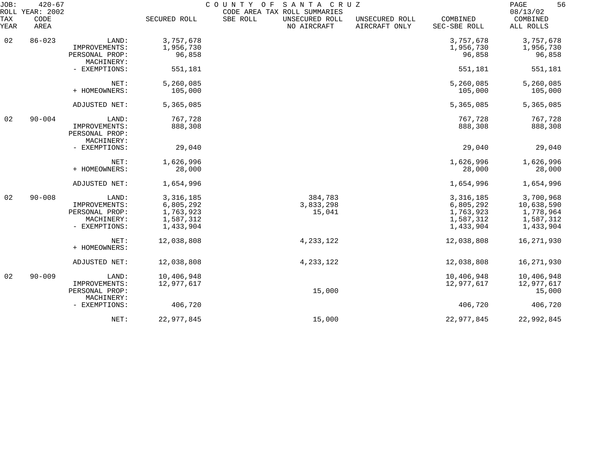| JOB:<br>ROLL | $420 - 67$<br>YEAR: 2002 |                                               |              | COUNTY OF<br>SANTA CRUZ<br>CODE AREA TAX ROLL SUMMARIES |                                 |                          | 56<br>PAGE<br>08/13/02 |
|--------------|--------------------------|-----------------------------------------------|--------------|---------------------------------------------------------|---------------------------------|--------------------------|------------------------|
| TAX<br>YEAR  | CODE<br>AREA             |                                               | SECURED ROLL | SBE ROLL<br>UNSECURED ROLL<br>NO AIRCRAFT               | UNSECURED ROLL<br>AIRCRAFT ONLY | COMBINED<br>SEC-SBE ROLL | COMBINED<br>ALL ROLLS  |
| 02           | $86 - 023$               | LAND:                                         | 3,757,678    |                                                         |                                 | 3,757,678                | 3,757,678              |
|              |                          | IMPROVEMENTS:                                 | 1,956,730    |                                                         |                                 | 1,956,730                | 1,956,730              |
|              |                          | PERSONAL PROP:<br>MACHINERY:                  | 96,858       |                                                         |                                 | 96,858                   | 96,858                 |
|              |                          | - EXEMPTIONS:                                 | 551,181      |                                                         |                                 | 551,181                  | 551,181                |
|              |                          | NET:                                          | 5,260,085    |                                                         |                                 | 5,260,085                | 5,260,085              |
|              |                          | + HOMEOWNERS:                                 | 105,000      |                                                         |                                 | 105,000                  | 105,000                |
|              |                          | ADJUSTED NET:                                 | 5,365,085    |                                                         |                                 | 5,365,085                | 5,365,085              |
| 02           | $90 - 004$               | LAND:                                         | 767,728      |                                                         |                                 | 767,728                  | 767,728                |
|              |                          | IMPROVEMENTS:<br>PERSONAL PROP:<br>MACHINERY: | 888,308      |                                                         |                                 | 888,308                  | 888,308                |
|              |                          | - EXEMPTIONS:                                 | 29,040       |                                                         |                                 | 29,040                   | 29,040                 |
|              |                          | NET:                                          | 1,626,996    |                                                         |                                 | 1,626,996                | 1,626,996              |
|              |                          | + HOMEOWNERS:                                 | 28,000       |                                                         |                                 | 28,000                   | 28,000                 |
|              |                          | ADJUSTED NET:                                 | 1,654,996    |                                                         |                                 | 1,654,996                | 1,654,996              |
| 02           | $90 - 008$               | LAND:                                         | 3,316,185    | 384,783                                                 |                                 | 3, 316, 185              | 3,700,968              |
|              |                          | IMPROVEMENTS:                                 | 6,805,292    | 3,833,298                                               |                                 | 6,805,292                | 10,638,590             |
|              |                          | PERSONAL PROP:                                | 1,763,923    | 15,041                                                  |                                 | 1,763,923                | 1,778,964              |
|              |                          | MACHINERY:                                    | 1,587,312    |                                                         |                                 | 1,587,312                | 1,587,312              |
|              |                          | - EXEMPTIONS:                                 | 1,433,904    |                                                         |                                 | 1,433,904                | 1,433,904              |
|              |                          | NET:                                          | 12,038,808   | 4, 233, 122                                             |                                 | 12,038,808               | 16,271,930             |
|              |                          | + HOMEOWNERS:                                 |              |                                                         |                                 |                          |                        |
|              |                          | ADJUSTED NET:                                 | 12,038,808   | 4, 233, 122                                             |                                 | 12,038,808               | 16,271,930             |
| 02           | $90 - 009$               | LAND:                                         | 10,406,948   |                                                         |                                 | 10,406,948               | 10,406,948             |
|              |                          | IMPROVEMENTS:                                 | 12,977,617   |                                                         |                                 | 12,977,617               | 12,977,617             |
|              |                          | PERSONAL PROP:<br>MACHINERY:                  |              | 15,000                                                  |                                 |                          | 15,000                 |
|              |                          | - EXEMPTIONS:                                 | 406,720      |                                                         |                                 | 406,720                  | 406,720                |
|              |                          | NET:                                          | 22,977,845   | 15,000                                                  |                                 | 22,977,845               | 22,992,845             |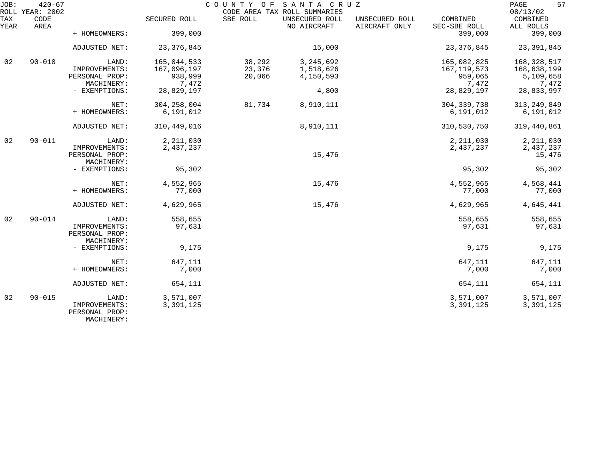| JOB:        | $420 - 67$<br>ROLL YEAR: 2002 |                                 |               |          | COUNTY OF SANTA CRUZ<br>CODE AREA TAX ROLL SUMMARIES |                                 |                          | 57<br>PAGE<br>08/13/02 |
|-------------|-------------------------------|---------------------------------|---------------|----------|------------------------------------------------------|---------------------------------|--------------------------|------------------------|
| TAX<br>YEAR | CODE<br>AREA                  |                                 | SECURED ROLL  | SBE ROLL | UNSECURED ROLL<br>NO AIRCRAFT                        | UNSECURED ROLL<br>AIRCRAFT ONLY | COMBINED<br>SEC-SBE ROLL | COMBINED<br>ALL ROLLS  |
|             |                               | + HOMEOWNERS:                   | 399,000       |          |                                                      |                                 | 399,000                  | 399,000                |
|             |                               | ADJUSTED NET:                   | 23, 376, 845  |          | 15,000                                               |                                 | 23, 376, 845             | 23, 391, 845           |
| 02          | $90 - 010$                    | LAND:                           | 165,044,533   | 38,292   | 3, 245, 692                                          |                                 | 165,082,825              | 168,328,517            |
|             |                               | IMPROVEMENTS:                   | 167,096,197   | 23,376   | 1,518,626                                            |                                 | 167, 119, 573            | 168,638,199            |
|             |                               | PERSONAL PROP:                  | 938,999       | 20,066   | 4,150,593                                            |                                 | 959,065                  | 5,109,658              |
|             |                               | MACHINERY:                      | 7,472         |          |                                                      |                                 | 7,472                    | 7,472                  |
|             |                               | - EXEMPTIONS:                   | 28,829,197    |          | 4,800                                                |                                 | 28,829,197               | 28,833,997             |
|             |                               | NET:                            | 304, 258, 004 | 81,734   | 8,910,111                                            |                                 | 304, 339, 738            | 313, 249, 849          |
|             |                               | + HOMEOWNERS:                   | 6,191,012     |          |                                                      |                                 | 6,191,012                | 6,191,012              |
|             |                               | ADJUSTED NET:                   | 310, 449, 016 |          | 8,910,111                                            |                                 | 310,530,750              | 319,440,861            |
| 02          | $90 - 011$                    | LAND:                           | 2, 211, 030   |          |                                                      |                                 | 2, 211, 030              | 2, 211, 030            |
|             |                               | IMPROVEMENTS:                   | 2,437,237     |          |                                                      |                                 | 2,437,237                | 2,437,237              |
|             |                               | PERSONAL PROP:                  |               |          | 15,476                                               |                                 |                          | 15,476                 |
|             |                               | MACHINERY:                      |               |          |                                                      |                                 |                          |                        |
|             |                               | - EXEMPTIONS:                   | 95,302        |          |                                                      |                                 | 95,302                   | 95,302                 |
|             |                               | NET:                            | 4,552,965     |          | 15,476                                               |                                 | 4,552,965                | 4,568,441              |
|             |                               | + HOMEOWNERS:                   | 77,000        |          |                                                      |                                 | 77,000                   | 77,000                 |
|             |                               | ADJUSTED NET:                   | 4,629,965     |          | 15,476                                               |                                 | 4,629,965                | 4,645,441              |
| 02          | $90 - 014$                    | LAND:                           | 558,655       |          |                                                      |                                 | 558,655                  | 558,655                |
|             |                               | IMPROVEMENTS:                   | 97,631        |          |                                                      |                                 | 97,631                   | 97,631                 |
|             |                               | PERSONAL PROP:                  |               |          |                                                      |                                 |                          |                        |
|             |                               | MACHINERY:                      |               |          |                                                      |                                 |                          |                        |
|             |                               | - EXEMPTIONS:                   | 9,175         |          |                                                      |                                 | 9,175                    | 9,175                  |
|             |                               | NET:                            | 647,111       |          |                                                      |                                 | 647,111                  | 647,111                |
|             |                               | + HOMEOWNERS:                   | 7,000         |          |                                                      |                                 | 7,000                    | 7,000                  |
|             |                               | ADJUSTED NET:                   | 654,111       |          |                                                      |                                 | 654,111                  | 654,111                |
| 02          | $90 - 015$                    | LAND:                           | 3,571,007     |          |                                                      |                                 | 3,571,007                | 3,571,007              |
|             |                               | IMPROVEMENTS:<br>PERSONAL PROP: | 3,391,125     |          |                                                      |                                 | 3,391,125                | 3,391,125              |
|             |                               | MACHINERY:                      |               |          |                                                      |                                 |                          |                        |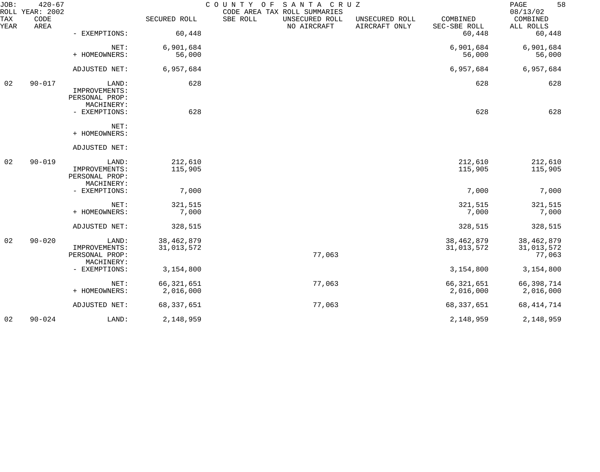| JOB:        | $420 - 67$<br>ROLL YEAR: 2002 |                              |                            | COUNTY OF<br>SANTA CRUZ<br>CODE AREA TAX ROLL SUMMARIES |                                 |                            | 58<br>PAGE<br>08/13/02     |
|-------------|-------------------------------|------------------------------|----------------------------|---------------------------------------------------------|---------------------------------|----------------------------|----------------------------|
| TAX<br>YEAR | CODE<br>AREA                  |                              | SECURED ROLL               | SBE ROLL<br>UNSECURED ROLL<br>NO AIRCRAFT               | UNSECURED ROLL<br>AIRCRAFT ONLY | COMBINED<br>SEC-SBE ROLL   | COMBINED<br>ALL ROLLS      |
|             |                               | - EXEMPTIONS:                | 60,448                     |                                                         |                                 | 60,448                     | 60,448                     |
|             |                               | NET:                         | 6,901,684                  |                                                         |                                 | 6,901,684                  | 6,901,684                  |
|             |                               | + HOMEOWNERS:                | 56,000                     |                                                         |                                 | 56,000                     | 56,000                     |
|             |                               | ADJUSTED NET:                | 6,957,684                  |                                                         |                                 | 6,957,684                  | 6,957,684                  |
| 02          | $90 - 017$                    | LAND:<br>IMPROVEMENTS:       | 628                        |                                                         |                                 | 628                        | 628                        |
|             |                               | PERSONAL PROP:               |                            |                                                         |                                 |                            |                            |
|             |                               | MACHINERY:<br>- EXEMPTIONS:  | 628                        |                                                         |                                 | 628                        | 628                        |
|             |                               | NET:<br>+ HOMEOWNERS:        |                            |                                                         |                                 |                            |                            |
|             |                               | ADJUSTED NET:                |                            |                                                         |                                 |                            |                            |
| 02          | $90 - 019$                    | LAND:<br>IMPROVEMENTS:       | 212,610<br>115,905         |                                                         |                                 | 212,610<br>115,905         | 212,610<br>115,905         |
|             |                               | PERSONAL PROP:<br>MACHINERY: |                            |                                                         |                                 |                            |                            |
|             |                               | - EXEMPTIONS:                | 7,000                      |                                                         |                                 | 7,000                      | 7,000                      |
|             |                               | NET:<br>+ HOMEOWNERS:        | 321,515<br>7,000           |                                                         |                                 | 321,515<br>7,000           | 321,515<br>7,000           |
|             |                               | ADJUSTED NET:                | 328,515                    |                                                         |                                 | 328,515                    | 328,515                    |
|             |                               |                              |                            |                                                         |                                 |                            |                            |
| 02          | $90 - 020$                    | LAND:<br>IMPROVEMENTS:       | 38, 462, 879<br>31,013,572 |                                                         |                                 | 38, 462, 879<br>31,013,572 | 38, 462, 879<br>31,013,572 |
|             |                               | PERSONAL PROP:               |                            | 77,063                                                  |                                 |                            | 77,063                     |
|             |                               | MACHINERY:                   |                            |                                                         |                                 |                            |                            |
|             |                               | - EXEMPTIONS:                | 3,154,800                  |                                                         |                                 | 3,154,800                  | 3,154,800                  |
|             |                               | NET:                         | 66, 321, 651               | 77,063                                                  |                                 | 66, 321, 651               | 66,398,714                 |
|             |                               | + HOMEOWNERS:                | 2,016,000                  |                                                         |                                 | 2,016,000                  | 2,016,000                  |
|             |                               | ADJUSTED NET:                | 68, 337, 651               | 77,063                                                  |                                 | 68, 337, 651               | 68, 414, 714               |
| 02          | $90 - 024$                    | LAND:                        | 2,148,959                  |                                                         |                                 | 2,148,959                  | 2,148,959                  |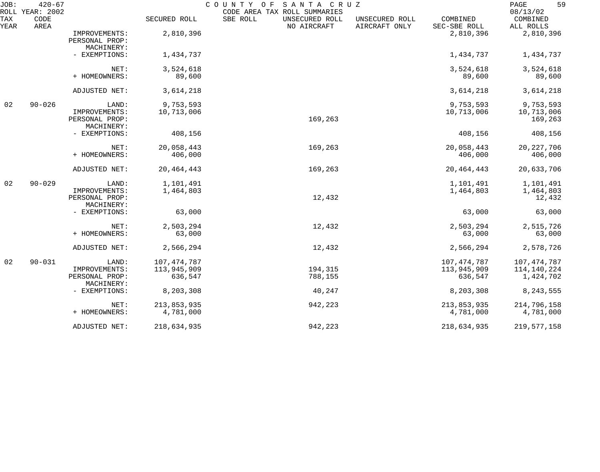| JOB:        | $420 - 67$<br>ROLL YEAR: 2002 |                                                        |                                         | COUNTY OF<br>SANTA CRUZ<br>CODE AREA TAX ROLL SUMMARIES |                                 |                                         | 59<br>PAGE<br>08/13/02                    |
|-------------|-------------------------------|--------------------------------------------------------|-----------------------------------------|---------------------------------------------------------|---------------------------------|-----------------------------------------|-------------------------------------------|
| TAX<br>YEAR | CODE<br>AREA                  |                                                        | SECURED ROLL                            | SBE ROLL<br>UNSECURED ROLL<br>NO AIRCRAFT               | UNSECURED ROLL<br>AIRCRAFT ONLY | COMBINED<br>SEC-SBE ROLL                | COMBINED<br>ALL ROLLS                     |
|             |                               | IMPROVEMENTS:<br>PERSONAL PROP:<br>MACHINERY:          | 2,810,396                               |                                                         |                                 | 2,810,396                               | 2,810,396                                 |
|             |                               | - EXEMPTIONS:                                          | 1,434,737                               |                                                         |                                 | 1,434,737                               | 1,434,737                                 |
|             |                               | NET:<br>+ HOMEOWNERS:                                  | 3,524,618<br>89,600                     |                                                         |                                 | 3,524,618<br>89,600                     | 3,524,618<br>89,600                       |
|             |                               | ADJUSTED NET:                                          | 3,614,218                               |                                                         |                                 | 3,614,218                               | 3,614,218                                 |
| 02          | $90 - 026$                    | LAND:<br>IMPROVEMENTS:<br>PERSONAL PROP:<br>MACHINERY: | 9,753,593<br>10,713,006                 | 169,263                                                 |                                 | 9,753,593<br>10,713,006                 | 9,753,593<br>10,713,006<br>169,263        |
|             |                               | - EXEMPTIONS:                                          | 408,156                                 |                                                         |                                 | 408,156                                 | 408,156                                   |
|             |                               | NET:<br>+ HOMEOWNERS:                                  | 20,058,443<br>406,000                   | 169,263                                                 |                                 | 20,058,443<br>406,000                   | 20, 227, 706<br>406,000                   |
|             |                               | ADJUSTED NET:                                          | 20, 464, 443                            | 169,263                                                 |                                 | 20, 464, 443                            | 20,633,706                                |
| 02          | $90 - 029$                    | LAND:<br>IMPROVEMENTS:<br>PERSONAL PROP:<br>MACHINERY: | 1,101,491<br>1,464,803                  | 12,432                                                  |                                 | 1,101,491<br>1,464,803                  | 1,101,491<br>1,464,803<br>12,432          |
|             |                               | - EXEMPTIONS:                                          | 63,000                                  |                                                         |                                 | 63,000                                  | 63,000                                    |
|             |                               | NET:<br>+ HOMEOWNERS:                                  | 2,503,294<br>63,000                     | 12,432                                                  |                                 | 2,503,294<br>63,000                     | 2,515,726<br>63,000                       |
|             |                               | ADJUSTED NET:                                          | 2,566,294                               | 12,432                                                  |                                 | 2,566,294                               | 2,578,726                                 |
| 02          | $90 - 031$                    | LAND:<br>IMPROVEMENTS:<br>PERSONAL PROP:<br>MACHINERY: | 107, 474, 787<br>113,945,909<br>636,547 | 194,315<br>788,155                                      |                                 | 107, 474, 787<br>113,945,909<br>636,547 | 107, 474, 787<br>114,140,224<br>1,424,702 |
|             |                               | - EXEMPTIONS:                                          | 8,203,308                               | 40,247                                                  |                                 | 8,203,308                               | 8, 243, 555                               |
|             |                               | NET:<br>+ HOMEOWNERS:                                  | 213,853,935<br>4,781,000                | 942,223                                                 |                                 | 213,853,935<br>4,781,000                | 214,796,158<br>4,781,000                  |
|             |                               | ADJUSTED NET:                                          | 218,634,935                             | 942,223                                                 |                                 | 218,634,935                             | 219, 577, 158                             |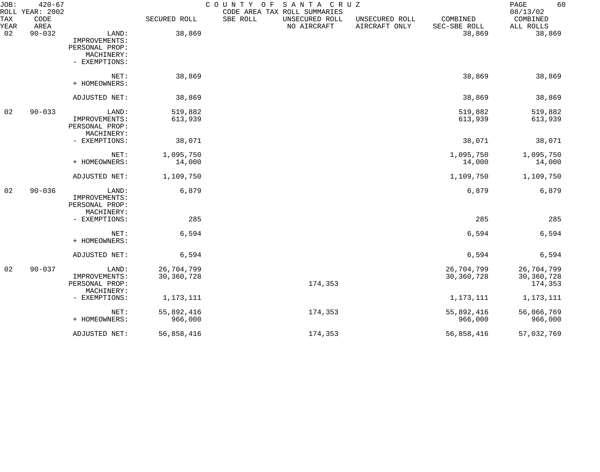| JOB:        | $420 - 67$<br>ROLL YEAR: 2002 |                                                        |                            | COUNTY OF<br>CODE AREA TAX ROLL SUMMARIES | SANTA CRUZ                      |                          | 60<br>PAGE<br>08/13/02              |
|-------------|-------------------------------|--------------------------------------------------------|----------------------------|-------------------------------------------|---------------------------------|--------------------------|-------------------------------------|
| TAX<br>YEAR | CODE<br>AREA                  |                                                        | SECURED ROLL               | SBE ROLL<br>UNSECURED ROLL<br>NO AIRCRAFT | UNSECURED ROLL<br>AIRCRAFT ONLY | COMBINED<br>SEC-SBE ROLL | COMBINED<br>ALL ROLLS               |
| 02          | $90 - 032$                    | LAND:<br>IMPROVEMENTS:<br>PERSONAL PROP:               | 38,869                     |                                           |                                 | 38,869                   | 38,869                              |
|             |                               | MACHINERY:<br>- EXEMPTIONS:                            |                            |                                           |                                 |                          |                                     |
|             |                               | NET:<br>+ HOMEOWNERS:                                  | 38,869                     |                                           |                                 | 38,869                   | 38,869                              |
|             |                               | ADJUSTED NET:                                          | 38,869                     |                                           |                                 | 38,869                   | 38,869                              |
| 02          | $90 - 033$                    | LAND:                                                  | 519,882                    |                                           |                                 | 519,882                  | 519,882                             |
|             |                               | IMPROVEMENTS:<br>PERSONAL PROP:<br>MACHINERY:          | 613,939                    |                                           |                                 | 613,939                  | 613,939                             |
|             |                               | - EXEMPTIONS:                                          | 38,071                     |                                           |                                 | 38,071                   | 38,071                              |
|             |                               | NET:                                                   | 1,095,750                  |                                           |                                 | 1,095,750                | 1,095,750                           |
|             |                               | + HOMEOWNERS:                                          | 14,000                     |                                           |                                 | 14,000                   | 14,000                              |
|             |                               | ADJUSTED NET:                                          | 1,109,750                  |                                           |                                 | 1,109,750                | 1,109,750                           |
| 02          | $90 - 036$                    | LAND:<br>IMPROVEMENTS:<br>PERSONAL PROP:<br>MACHINERY: | 6,879                      |                                           |                                 | 6,879                    | 6,879                               |
|             |                               | - EXEMPTIONS:                                          | 285                        |                                           |                                 | 285                      | 285                                 |
|             |                               | NET:<br>+ HOMEOWNERS:                                  | 6,594                      |                                           |                                 | 6,594                    | 6,594                               |
|             |                               | ADJUSTED NET:                                          | 6,594                      |                                           |                                 | 6,594                    | 6,594                               |
| 02          | $90 - 037$                    | LAND:<br>IMPROVEMENTS:<br>PERSONAL PROP:               | 26,704,799<br>30, 360, 728 |                                           | 174,353                         | 26,704,799<br>30,360,728 | 26,704,799<br>30,360,728<br>174,353 |
|             |                               | MACHINERY:<br>- EXEMPTIONS:                            | 1,173,111                  |                                           |                                 | 1,173,111                | 1, 173, 111                         |
|             |                               | NET:                                                   | 55,892,416                 |                                           | 174,353                         | 55,892,416               | 56,066,769                          |
|             |                               | + HOMEOWNERS:                                          | 966,000                    |                                           |                                 | 966,000                  | 966,000                             |
|             |                               | ADJUSTED NET:                                          | 56,858,416                 |                                           | 174,353                         | 56,858,416               | 57,032,769                          |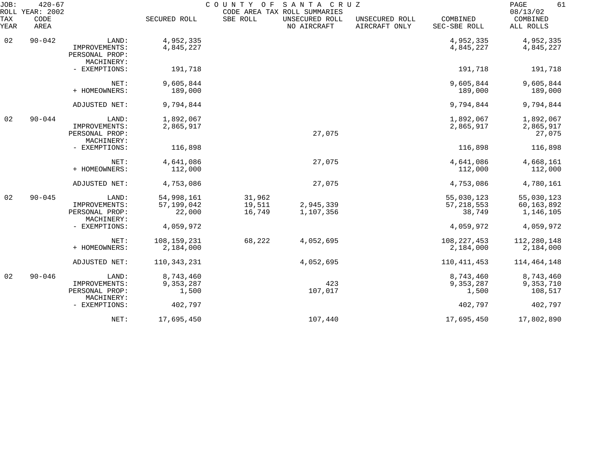| JOB:        | $420 - 67$<br>ROLL YEAR: 2002 |                                               |                        |                  | COUNTY OF SANTA CRUZ<br>CODE AREA TAX ROLL SUMMARIES |                                 |                          | 61<br>PAGE<br>08/13/02  |
|-------------|-------------------------------|-----------------------------------------------|------------------------|------------------|------------------------------------------------------|---------------------------------|--------------------------|-------------------------|
| TAX<br>YEAR | CODE<br>AREA                  |                                               | SECURED ROLL           | SBE ROLL         | UNSECURED ROLL<br>NO AIRCRAFT                        | UNSECURED ROLL<br>AIRCRAFT ONLY | COMBINED<br>SEC-SBE ROLL | COMBINED<br>ALL ROLLS   |
| 02          | $90 - 042$                    | LAND:                                         | 4,952,335              |                  |                                                      |                                 | 4,952,335                | 4,952,335               |
|             |                               | IMPROVEMENTS:<br>PERSONAL PROP:<br>MACHINERY: | 4,845,227              |                  |                                                      |                                 | 4,845,227                | 4,845,227               |
|             |                               | - EXEMPTIONS:                                 | 191,718                |                  |                                                      |                                 | 191,718                  | 191,718                 |
|             |                               | NET:                                          | 9,605,844              |                  |                                                      |                                 | 9,605,844                | 9,605,844               |
|             |                               | + HOMEOWNERS:                                 | 189,000                |                  |                                                      |                                 | 189,000                  | 189,000                 |
|             |                               | ADJUSTED NET:                                 | 9,794,844              |                  |                                                      |                                 | 9,794,844                | 9,794,844               |
| 02          | $90 - 044$                    | LAND:<br>IMPROVEMENTS:                        | 1,892,067<br>2,865,917 |                  |                                                      |                                 | 1,892,067<br>2,865,917   | 1,892,067<br>2,865,917  |
|             |                               | PERSONAL PROP:<br>MACHINERY:                  |                        |                  | 27,075                                               |                                 |                          | 27,075                  |
|             |                               | - EXEMPTIONS:                                 | 116,898                |                  |                                                      |                                 | 116,898                  | 116,898                 |
|             |                               | NET:                                          | 4,641,086              |                  | 27,075                                               |                                 | 4,641,086                | 4,668,161               |
|             |                               | + HOMEOWNERS:                                 | 112,000                |                  |                                                      |                                 | 112,000                  | 112,000                 |
|             |                               | ADJUSTED NET:                                 | 4,753,086              |                  | 27,075                                               |                                 | 4,753,086                | 4,780,161               |
| 02          | $90 - 045$                    | LAND:                                         | 54,998,161             | 31,962           |                                                      |                                 | 55,030,123               | 55,030,123              |
|             |                               | IMPROVEMENTS:<br>PERSONAL PROP:<br>MACHINERY: | 57, 199, 042<br>22,000 | 19,511<br>16,749 | 2,945,339<br>1,107,356                               |                                 | 57, 218, 553<br>38,749   | 60,163,892<br>1,146,105 |
|             |                               | - EXEMPTIONS:                                 | 4,059,972              |                  |                                                      |                                 | 4,059,972                | 4,059,972               |
|             |                               | NET:                                          | 108,159,231            | 68,222           | 4,052,695                                            |                                 | 108, 227, 453            | 112,280,148             |
|             |                               | + HOMEOWNERS:                                 | 2,184,000              |                  |                                                      |                                 | 2,184,000                | 2,184,000               |
|             |                               | ADJUSTED NET:                                 | 110,343,231            |                  | 4,052,695                                            |                                 | 110, 411, 453            | 114,464,148             |
| 02          | $90 - 046$                    | LAND:                                         | 8,743,460              |                  |                                                      |                                 | 8,743,460                | 8,743,460               |
|             |                               | IMPROVEMENTS:<br>PERSONAL PROP:               | 9,353,287<br>1,500     |                  | 423<br>107,017                                       |                                 | 9,353,287<br>1,500       | 9,353,710<br>108,517    |
|             |                               | MACHINERY:                                    |                        |                  |                                                      |                                 |                          |                         |
|             |                               | - EXEMPTIONS:                                 | 402,797                |                  |                                                      |                                 | 402,797                  | 402,797                 |
|             |                               | NET:                                          | 17,695,450             |                  | 107,440                                              |                                 | 17,695,450               | 17,802,890              |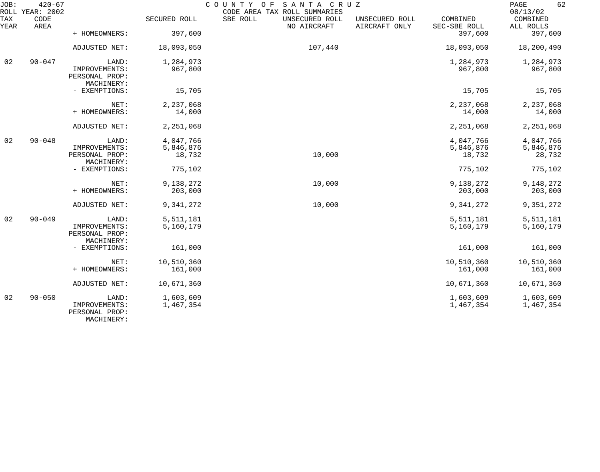| JOB:        | $420 - 67$<br>ROLL YEAR: 2002 |                                                        |                        | COUNTY OF<br>SANTA CRUZ<br>CODE AREA TAX ROLL SUMMARIES |                                 |                          | 62<br>PAGE<br>08/13/02 |
|-------------|-------------------------------|--------------------------------------------------------|------------------------|---------------------------------------------------------|---------------------------------|--------------------------|------------------------|
| TAX<br>YEAR | CODE<br>AREA                  |                                                        | SECURED ROLL           | SBE ROLL<br>UNSECURED ROLL<br>NO AIRCRAFT               | UNSECURED ROLL<br>AIRCRAFT ONLY | COMBINED<br>SEC-SBE ROLL | COMBINED<br>ALL ROLLS  |
|             |                               | + HOMEOWNERS:                                          | 397,600                |                                                         |                                 | 397,600                  | 397,600                |
|             |                               | ADJUSTED NET:                                          | 18,093,050             | 107,440                                                 |                                 | 18,093,050               | 18,200,490             |
| 02          | $90 - 047$                    | LAND:                                                  | 1,284,973              |                                                         |                                 | 1,284,973                | 1,284,973              |
|             |                               | IMPROVEMENTS:<br>PERSONAL PROP:<br>MACHINERY:          | 967,800                |                                                         |                                 | 967,800                  | 967,800                |
|             |                               | - EXEMPTIONS:                                          | 15,705                 |                                                         |                                 | 15,705                   | 15,705                 |
|             |                               | NET:                                                   | 2,237,068              |                                                         |                                 | 2,237,068                | 2,237,068              |
|             |                               | + HOMEOWNERS:                                          | 14,000                 |                                                         |                                 | 14,000                   | 14,000                 |
|             |                               | ADJUSTED NET:                                          | 2,251,068              |                                                         |                                 | 2,251,068                | 2,251,068              |
| 02          | $90 - 048$                    | LAND:                                                  | 4,047,766              |                                                         |                                 | 4,047,766                | 4,047,766              |
|             |                               | IMPROVEMENTS:                                          | 5,846,876              |                                                         |                                 | 5,846,876                | 5,846,876              |
|             |                               | PERSONAL PROP:<br>MACHINERY:                           | 18,732                 | 10,000                                                  |                                 | 18,732                   | 28,732                 |
|             |                               | - EXEMPTIONS:                                          | 775,102                |                                                         |                                 | 775,102                  | 775,102                |
|             |                               | NET:                                                   | 9,138,272              | 10,000                                                  |                                 | 9,138,272                | 9,148,272              |
|             |                               | + HOMEOWNERS:                                          | 203,000                |                                                         |                                 | 203,000                  | 203,000                |
|             |                               | ADJUSTED NET:                                          | 9,341,272              | 10,000                                                  |                                 | 9,341,272                | 9,351,272              |
| 02          | $90 - 049$                    | LAND:                                                  | 5,511,181              |                                                         |                                 | 5,511,181                | 5,511,181              |
|             |                               | IMPROVEMENTS:<br>PERSONAL PROP:<br>MACHINERY:          | 5,160,179              |                                                         |                                 | 5,160,179                | 5,160,179              |
|             |                               | - EXEMPTIONS:                                          | 161,000                |                                                         |                                 | 161,000                  | 161,000                |
|             |                               | NET:                                                   | 10,510,360             |                                                         |                                 | 10,510,360               | 10,510,360             |
|             |                               | + HOMEOWNERS:                                          | 161,000                |                                                         |                                 | 161,000                  | 161,000                |
|             |                               | ADJUSTED NET:                                          | 10,671,360             |                                                         |                                 | 10,671,360               | 10,671,360             |
| 02          | $90 - 050$                    | LAND:<br>IMPROVEMENTS:<br>PERSONAL PROP:<br>MACHINERY: | 1,603,609<br>1,467,354 |                                                         |                                 | 1,603,609<br>1,467,354   | 1,603,609<br>1,467,354 |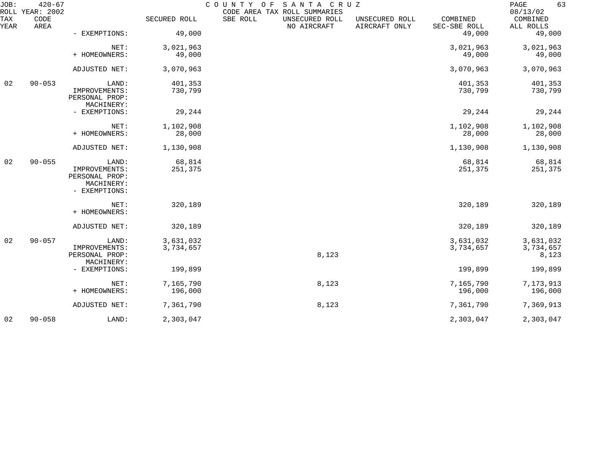| JOB:        | $420 - 67$<br>ROLL YEAR: 2002 |                                                                         |                        | COUNTY OF<br>CODE AREA TAX ROLL SUMMARIES | SANTA CRUZ                      |                          | PAGE<br>63<br>08/13/02          |
|-------------|-------------------------------|-------------------------------------------------------------------------|------------------------|-------------------------------------------|---------------------------------|--------------------------|---------------------------------|
| TAX<br>YEAR | CODE<br>AREA                  |                                                                         | SECURED ROLL           | SBE ROLL<br>UNSECURED ROLL<br>NO AIRCRAFT | UNSECURED ROLL<br>AIRCRAFT ONLY | COMBINED<br>SEC-SBE ROLL | COMBINED<br>ALL ROLLS           |
|             |                               | - EXEMPTIONS:                                                           | 49,000                 |                                           |                                 | 49,000                   | 49,000                          |
|             |                               | NET:<br>+ HOMEOWNERS:                                                   | 3,021,963<br>49,000    |                                           |                                 | 3,021,963<br>49,000      | 3,021,963<br>49,000             |
|             |                               | ADJUSTED NET:                                                           | 3,070,963              |                                           |                                 | 3,070,963                | 3,070,963                       |
| 02          | $90 - 053$                    | LAND:<br>IMPROVEMENTS:<br>PERSONAL PROP:<br>MACHINERY:                  | 401,353<br>730,799     |                                           |                                 | 401,353<br>730,799       | 401,353<br>730,799              |
|             |                               | - EXEMPTIONS:                                                           | 29,244                 |                                           |                                 | 29,244                   | 29,244                          |
|             |                               | NET:<br>+ HOMEOWNERS:                                                   | 1,102,908<br>28,000    |                                           |                                 | 1,102,908<br>28,000      | 1,102,908<br>28,000             |
|             |                               | ADJUSTED NET:                                                           | 1,130,908              |                                           |                                 | 1,130,908                | 1,130,908                       |
| 02          | $90 - 055$                    | LAND:<br>IMPROVEMENTS:<br>PERSONAL PROP:<br>MACHINERY:<br>- EXEMPTIONS: | 68,814<br>251,375      |                                           |                                 | 68,814<br>251,375        | 68,814<br>251,375               |
|             |                               | NET:<br>+ HOMEOWNERS:                                                   | 320,189                |                                           |                                 | 320,189                  | 320,189                         |
|             |                               | ADJUSTED NET:                                                           | 320,189                |                                           |                                 | 320,189                  | 320,189                         |
| 02          | $90 - 057$                    | LAND:<br>IMPROVEMENTS:<br>PERSONAL PROP:                                | 3,631,032<br>3,734,657 |                                           | 8,123                           | 3,631,032<br>3,734,657   | 3,631,032<br>3,734,657<br>8,123 |
|             |                               | MACHINERY:<br>- EXEMPTIONS:                                             | 199,899                |                                           |                                 | 199,899                  | 199,899                         |
|             |                               | NET:<br>+ HOMEOWNERS:                                                   | 7,165,790<br>196,000   |                                           | 8,123                           | 7,165,790<br>196,000     | 7,173,913<br>196,000            |
|             |                               | ADJUSTED NET:                                                           | 7,361,790              |                                           | 8,123                           | 7,361,790                | 7,369,913                       |
| 02          | $90 - 058$                    | LAND:                                                                   | 2,303,047              |                                           |                                 | 2,303,047                | 2,303,047                       |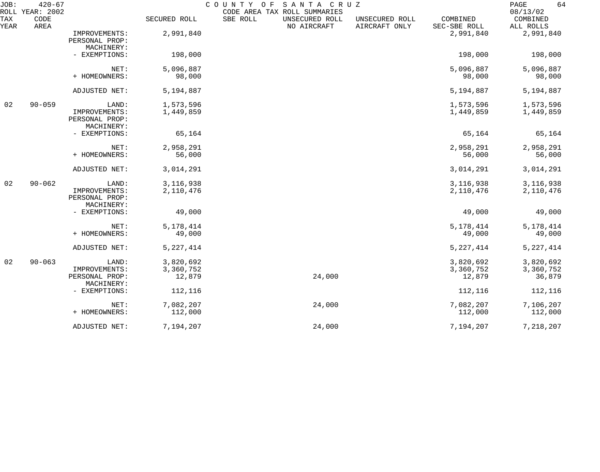| JOB:        | $420 - 67$<br>ROLL YEAR: 2002 |                                                        |                                  | COUNTY OF<br>CODE AREA TAX ROLL SUMMARIES | SANTA CRUZ                      |                                  | 64<br>$\mathop{\mathrm{PAGE}}$<br>08/13/02 |
|-------------|-------------------------------|--------------------------------------------------------|----------------------------------|-------------------------------------------|---------------------------------|----------------------------------|--------------------------------------------|
| TAX<br>YEAR | CODE<br>AREA                  |                                                        | SECURED ROLL                     | SBE ROLL<br>UNSECURED ROLL<br>NO AIRCRAFT | UNSECURED ROLL<br>AIRCRAFT ONLY | COMBINED<br>SEC-SBE ROLL         | COMBINED<br>ALL ROLLS                      |
|             |                               | IMPROVEMENTS:<br>PERSONAL PROP:<br>MACHINERY:          | 2,991,840                        |                                           |                                 | 2,991,840                        | 2,991,840                                  |
|             |                               | - EXEMPTIONS:                                          | 198,000                          |                                           |                                 | 198,000                          | 198,000                                    |
|             |                               | NET:<br>+ HOMEOWNERS:                                  | 5,096,887<br>98,000              |                                           |                                 | 5,096,887<br>98,000              | 5,096,887<br>98,000                        |
|             |                               | ADJUSTED NET:                                          | 5,194,887                        |                                           |                                 | 5,194,887                        | 5,194,887                                  |
| 02          | $90 - 059$                    | LAND:<br>IMPROVEMENTS:<br>PERSONAL PROP:<br>MACHINERY: | 1,573,596<br>1,449,859           |                                           |                                 | 1,573,596<br>1,449,859           | 1,573,596<br>1,449,859                     |
|             |                               | - EXEMPTIONS:                                          | 65,164                           |                                           |                                 | 65,164                           | 65,164                                     |
|             |                               | NET:<br>+ HOMEOWNERS:                                  | 2,958,291<br>56,000              |                                           |                                 | 2,958,291<br>56,000              | 2,958,291<br>56,000                        |
|             |                               | ADJUSTED NET:                                          | 3,014,291                        |                                           |                                 | 3,014,291                        | 3,014,291                                  |
| 02          | $90 - 062$                    | LAND:<br>IMPROVEMENTS:<br>PERSONAL PROP:<br>MACHINERY: | 3, 116, 938<br>2,110,476         |                                           |                                 | 3, 116, 938<br>2,110,476         | 3, 116, 938<br>2,110,476                   |
|             |                               | - EXEMPTIONS:                                          | 49,000                           |                                           |                                 | 49,000                           | 49,000                                     |
|             |                               | NET:<br>+ HOMEOWNERS:                                  | 5, 178, 414<br>49,000            |                                           |                                 | 5, 178, 414<br>49,000            | 5, 178, 414<br>49,000                      |
|             |                               | ADJUSTED NET:                                          | 5, 227, 414                      |                                           |                                 | 5, 227, 414                      | 5, 227, 414                                |
| 02          | $90 - 063$                    | LAND:<br>IMPROVEMENTS:<br>PERSONAL PROP:<br>MACHINERY: | 3,820,692<br>3,360,752<br>12,879 |                                           | 24,000                          | 3,820,692<br>3,360,752<br>12,879 | 3,820,692<br>3,360,752<br>36,879           |
|             |                               | - EXEMPTIONS:                                          | 112,116                          |                                           |                                 | 112,116                          | 112,116                                    |
|             |                               | NET:<br>+ HOMEOWNERS:                                  | 7,082,207<br>112,000             |                                           | 24,000                          | 7,082,207<br>112,000             | 7,106,207<br>112,000                       |
|             |                               | ADJUSTED NET:                                          | 7,194,207                        |                                           | 24,000                          | 7,194,207                        | 7,218,207                                  |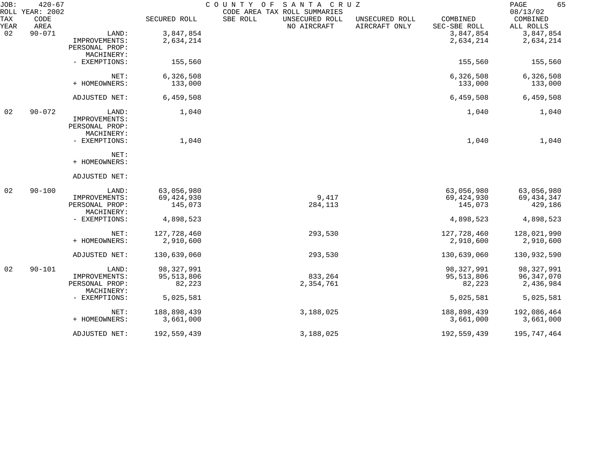| JOB:        | $420 - 67$<br>ROLL YEAR: 2002 |                              |              | SANTA CRUZ<br>COUNTY OF<br>CODE AREA TAX ROLL SUMMARIES |                                 |                          | 65<br>PAGE<br>08/13/02 |
|-------------|-------------------------------|------------------------------|--------------|---------------------------------------------------------|---------------------------------|--------------------------|------------------------|
| TAX<br>YEAR | CODE<br>AREA                  |                              | SECURED ROLL | SBE ROLL<br>UNSECURED ROLL<br>NO AIRCRAFT               | UNSECURED ROLL<br>AIRCRAFT ONLY | COMBINED<br>SEC-SBE ROLL | COMBINED<br>ALL ROLLS  |
| 02          | $90 - 071$                    | LAND:                        | 3,847,854    |                                                         |                                 | 3,847,854                | 3,847,854              |
|             |                               | IMPROVEMENTS:                | 2,634,214    |                                                         |                                 | 2,634,214                | 2,634,214              |
|             |                               | PERSONAL PROP:               |              |                                                         |                                 |                          |                        |
|             |                               | MACHINERY:                   |              |                                                         |                                 |                          |                        |
|             |                               | - EXEMPTIONS:                | 155,560      |                                                         |                                 | 155,560                  | 155,560                |
|             |                               | NET:                         | 6,326,508    |                                                         |                                 | 6,326,508                | 6,326,508              |
|             |                               | + HOMEOWNERS:                | 133,000      |                                                         |                                 | 133,000                  | 133,000                |
|             |                               | ADJUSTED NET:                | 6,459,508    |                                                         |                                 | 6,459,508                | 6,459,508              |
| 02          | $90 - 072$                    | LAND:                        | 1,040        |                                                         |                                 | 1,040                    | 1,040                  |
|             |                               | IMPROVEMENTS:                |              |                                                         |                                 |                          |                        |
|             |                               | PERSONAL PROP:               |              |                                                         |                                 |                          |                        |
|             |                               | MACHINERY:                   |              |                                                         |                                 |                          |                        |
|             |                               | - EXEMPTIONS:                | 1,040        |                                                         |                                 | 1,040                    | 1,040                  |
|             |                               | NET:                         |              |                                                         |                                 |                          |                        |
|             |                               | + HOMEOWNERS:                |              |                                                         |                                 |                          |                        |
|             |                               | ADJUSTED NET:                |              |                                                         |                                 |                          |                        |
| 02          | $90 - 100$                    | LAND:                        | 63,056,980   |                                                         |                                 | 63,056,980               | 63,056,980             |
|             |                               | IMPROVEMENTS:                | 69, 424, 930 | 9,417                                                   |                                 | 69, 424, 930             | 69, 434, 347           |
|             |                               | PERSONAL PROP:<br>MACHINERY: | 145,073      | 284,113                                                 |                                 | 145,073                  | 429,186                |
|             |                               | - EXEMPTIONS:                | 4,898,523    |                                                         |                                 | 4,898,523                | 4,898,523              |
|             |                               | NET:                         | 127,728,460  | 293,530                                                 |                                 | 127,728,460              | 128,021,990            |
|             |                               | + HOMEOWNERS:                | 2,910,600    |                                                         |                                 | 2,910,600                | 2,910,600              |
|             |                               | ADJUSTED NET:                | 130,639,060  | 293,530                                                 |                                 | 130,639,060              | 130,932,590            |
| 02          | $90 - 101$                    | LAND:                        | 98, 327, 991 |                                                         |                                 | 98, 327, 991             | 98, 327, 991           |
|             |                               | IMPROVEMENTS:                | 95, 513, 806 | 833,264                                                 |                                 | 95,513,806               | 96, 347, 070           |
|             |                               | PERSONAL PROP:<br>MACHINERY: | 82,223       | 2,354,761                                               |                                 | 82,223                   | 2,436,984              |
|             |                               | - EXEMPTIONS:                | 5,025,581    |                                                         |                                 | 5,025,581                | 5,025,581              |
|             |                               | NET:                         | 188,898,439  | 3,188,025                                               |                                 | 188,898,439              | 192,086,464            |
|             |                               | + HOMEOWNERS:                | 3,661,000    |                                                         |                                 | 3,661,000                | 3,661,000              |
|             |                               | ADJUSTED NET:                | 192,559,439  | 3,188,025                                               |                                 | 192,559,439              | 195,747,464            |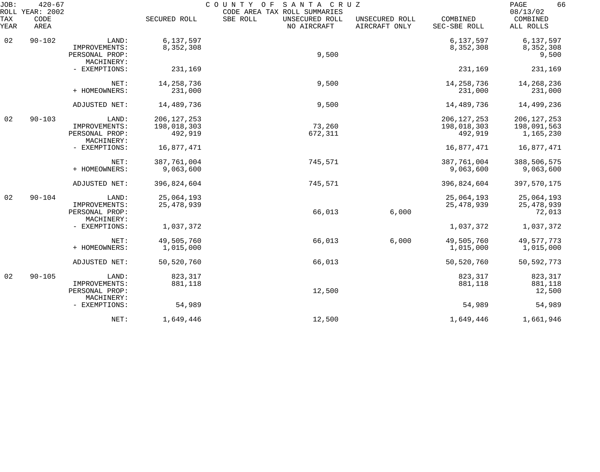| JOB:<br>ROLL | $420 - 67$<br>YEAR: 2002 |                                                        |                                         | COUNTY<br>SANTA CRUZ<br>O F<br>CODE AREA TAX ROLL SUMMARIES |                                 |                                         | 66<br>PAGE<br>08/13/02                    |
|--------------|--------------------------|--------------------------------------------------------|-----------------------------------------|-------------------------------------------------------------|---------------------------------|-----------------------------------------|-------------------------------------------|
| TAX<br>YEAR  | CODE<br>AREA             |                                                        | SECURED ROLL                            | SBE ROLL<br>UNSECURED ROLL<br>NO AIRCRAFT                   | UNSECURED ROLL<br>AIRCRAFT ONLY | COMBINED<br>SEC-SBE ROLL                | COMBINED<br>ALL ROLLS                     |
| 02           | $90 - 102$               | LAND:<br>IMPROVEMENTS:                                 | 6,137,597<br>8,352,308                  |                                                             |                                 | 6,137,597<br>8,352,308                  | 6,137,597<br>8,352,308                    |
|              |                          | PERSONAL PROP:<br>MACHINERY:                           |                                         | 9,500                                                       |                                 |                                         | 9,500                                     |
|              |                          | - EXEMPTIONS:                                          | 231,169                                 |                                                             |                                 | 231,169                                 | 231,169                                   |
|              |                          | NET:<br>+ HOMEOWNERS:                                  | 14, 258, 736<br>231,000                 | 9,500                                                       |                                 | 14, 258, 736<br>231,000                 | 14,268,236<br>231,000                     |
|              |                          | ADJUSTED NET:                                          | 14,489,736                              | 9,500                                                       |                                 | 14,489,736                              | 14,499,236                                |
| 02           | $90 - 103$               | LAND:<br>IMPROVEMENTS:<br>PERSONAL PROP:<br>MACHINERY: | 206, 127, 253<br>198,018,303<br>492,919 | 73,260<br>672,311                                           |                                 | 206, 127, 253<br>198,018,303<br>492,919 | 206, 127, 253<br>198,091,563<br>1,165,230 |
|              |                          | - EXEMPTIONS:                                          | 16,877,471                              |                                                             |                                 | 16,877,471                              | 16,877,471                                |
|              |                          | NET:<br>+ HOMEOWNERS:                                  | 387,761,004<br>9,063,600                | 745,571                                                     |                                 | 387,761,004<br>9,063,600                | 388,506,575<br>9,063,600                  |
|              |                          | ADJUSTED NET:                                          | 396,824,604                             | 745,571                                                     |                                 | 396,824,604                             | 397,570,175                               |
| 02           | $90 - 104$               | LAND:<br>IMPROVEMENTS:<br>PERSONAL PROP:<br>MACHINERY: | 25,064,193<br>25, 478, 939              | 66,013                                                      | 6,000                           | 25,064,193<br>25, 478, 939              | 25,064,193<br>25, 478, 939<br>72,013      |
|              |                          | - EXEMPTIONS:                                          | 1,037,372                               |                                                             |                                 | 1,037,372                               | 1,037,372                                 |
|              |                          | NET:<br>+ HOMEOWNERS:                                  | 49,505,760<br>1,015,000                 | 66,013                                                      | 6,000                           | 49,505,760<br>1,015,000                 | 49,577,773<br>1,015,000                   |
|              |                          | ADJUSTED NET:                                          | 50,520,760                              | 66,013                                                      |                                 | 50,520,760                              | 50, 592, 773                              |
| 02           | $90 - 105$               | LAND:<br>IMPROVEMENTS:<br>PERSONAL PROP:<br>MACHINERY: | 823,317<br>881,118                      | 12,500                                                      |                                 | 823,317<br>881,118                      | 823,317<br>881,118<br>12,500              |
|              |                          | - EXEMPTIONS:                                          | 54,989                                  |                                                             |                                 | 54,989                                  | 54,989                                    |
|              |                          | NET:                                                   | 1,649,446                               | 12,500                                                      |                                 | 1,649,446                               | 1,661,946                                 |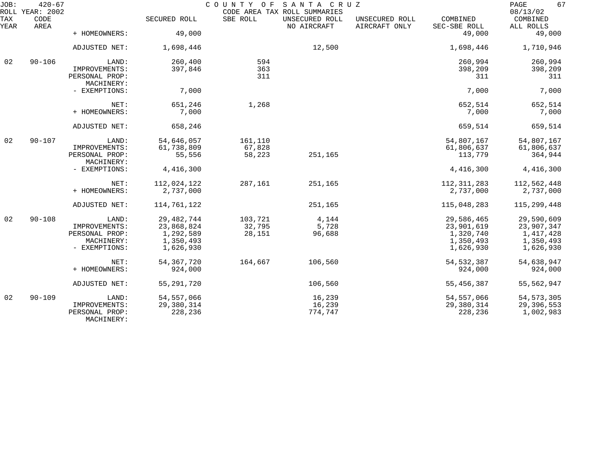| JOB:        | $420 - 67$<br>ROLL YEAR: 2002 |                                               |                        | COUNTY OF        | SANTA CRUZ<br>CODE AREA TAX ROLL SUMMARIES |                                 |                          | 67<br>PAGE<br>08/13/02 |
|-------------|-------------------------------|-----------------------------------------------|------------------------|------------------|--------------------------------------------|---------------------------------|--------------------------|------------------------|
| TAX<br>YEAR | CODE<br>AREA                  |                                               | SECURED ROLL           | SBE ROLL         | UNSECURED ROLL<br>NO AIRCRAFT              | UNSECURED ROLL<br>AIRCRAFT ONLY | COMBINED<br>SEC-SBE ROLL | COMBINED<br>ALL ROLLS  |
|             |                               | + HOMEOWNERS:                                 | 49,000                 |                  |                                            |                                 | 49,000                   | 49,000                 |
|             |                               | ADJUSTED NET:                                 | 1,698,446              |                  | 12,500                                     |                                 | 1,698,446                | 1,710,946              |
| 02          | $90 - 106$                    | LAND:                                         | 260,400                | 594              |                                            |                                 | 260,994                  | 260,994                |
|             |                               | IMPROVEMENTS:<br>PERSONAL PROP:<br>MACHINERY: | 397,846                | 363<br>311       |                                            |                                 | 398,209<br>311           | 398,209<br>311         |
|             |                               | - EXEMPTIONS:                                 | 7,000                  |                  |                                            |                                 | 7,000                    | 7,000                  |
|             |                               | NET:                                          | 651,246                | 1,268            |                                            |                                 | 652,514                  | 652,514                |
|             |                               | + HOMEOWNERS:                                 | 7,000                  |                  |                                            |                                 | 7,000                    | 7,000                  |
|             |                               | ADJUSTED NET:                                 | 658,246                |                  |                                            |                                 | 659,514                  | 659,514                |
| 02          | $90 - 107$                    | LAND:                                         | 54,646,057             | 161,110          |                                            |                                 | 54,807,167               | 54,807,167             |
|             |                               | IMPROVEMENTS:<br>PERSONAL PROP:               | 61,738,809<br>55,556   | 67,828<br>58,223 | 251,165                                    |                                 | 61,806,637<br>113,779    | 61,806,637<br>364,944  |
|             |                               | MACHINERY:                                    |                        |                  |                                            |                                 |                          |                        |
|             |                               | - EXEMPTIONS:                                 | 4,416,300              |                  |                                            |                                 | 4,416,300                | 4,416,300              |
|             |                               | NET:                                          | 112,024,122            | 287,161          | 251,165                                    |                                 | 112, 311, 283            | 112,562,448            |
|             |                               | + HOMEOWNERS:                                 | 2,737,000              |                  |                                            |                                 | 2,737,000                | 2,737,000              |
|             |                               | ADJUSTED NET:                                 | 114,761,122            |                  | 251,165                                    |                                 | 115,048,283              | 115,299,448            |
| 02          | $90 - 108$                    | LAND:                                         | 29, 482, 744           | 103,721          | 4,144                                      |                                 | 29,586,465               | 29,590,609             |
|             |                               | IMPROVEMENTS:                                 | 23,868,824             | 32,795           | 5,728                                      |                                 | 23,901,619               | 23,907,347             |
|             |                               | PERSONAL PROP:                                | 1,292,589              | 28,151           | 96,688                                     |                                 | 1,320,740                | 1,417,428              |
|             |                               | MACHINERY:<br>- EXEMPTIONS:                   | 1,350,493<br>1,626,930 |                  |                                            |                                 | 1,350,493<br>1,626,930   | 1,350,493<br>1,626,930 |
|             |                               |                                               |                        |                  |                                            |                                 |                          |                        |
|             |                               | NET:                                          | 54, 367, 720           | 164,667          | 106,560                                    |                                 | 54, 532, 387             | 54,638,947             |
|             |                               | + HOMEOWNERS:                                 | 924,000                |                  |                                            |                                 | 924,000                  | 924,000                |
|             |                               | ADJUSTED NET:                                 | 55, 291, 720           |                  | 106,560                                    |                                 | 55, 456, 387             | 55,562,947             |
| 02          | $90 - 109$                    | LAND:                                         | 54, 557, 066           |                  | 16,239                                     |                                 | 54, 557, 066             | 54, 573, 305           |
|             |                               | IMPROVEMENTS:                                 | 29,380,314             |                  | 16,239                                     |                                 | 29,380,314               | 29,396,553             |
|             |                               | PERSONAL PROP:<br>MACHINERY:                  | 228,236                |                  | 774,747                                    |                                 | 228,236                  | 1,002,983              |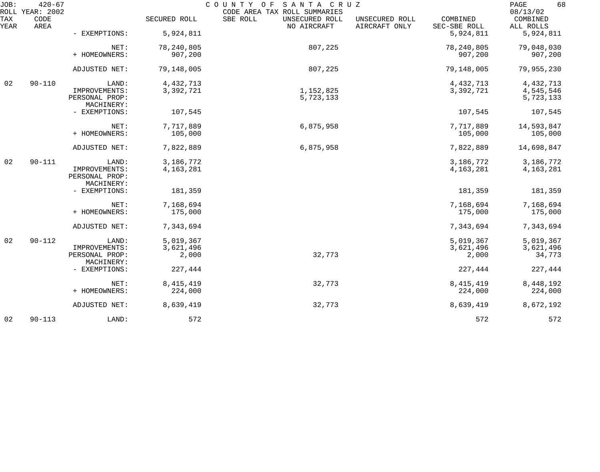| JOB:        | $420 - 67$<br>ROLL YEAR: 2002 |                                               |              | COUNTY OF<br>SANTA CRUZ<br>CODE AREA TAX ROLL SUMMARIES |                                 |                          | 68<br>PAGE<br>08/13/02 |
|-------------|-------------------------------|-----------------------------------------------|--------------|---------------------------------------------------------|---------------------------------|--------------------------|------------------------|
| TAX<br>YEAR | CODE<br>AREA                  |                                               | SECURED ROLL | SBE ROLL<br>UNSECURED ROLL<br>NO AIRCRAFT               | UNSECURED ROLL<br>AIRCRAFT ONLY | COMBINED<br>SEC-SBE ROLL | COMBINED<br>ALL ROLLS  |
|             |                               | - EXEMPTIONS:                                 | 5,924,811    |                                                         |                                 | 5,924,811                | 5,924,811              |
|             |                               | NET:                                          | 78, 240, 805 | 807,225                                                 |                                 | 78, 240, 805             | 79,048,030             |
|             |                               | + HOMEOWNERS:                                 | 907,200      |                                                         |                                 | 907,200                  | 907,200                |
|             |                               | ADJUSTED NET:                                 | 79,148,005   | 807,225                                                 |                                 | 79,148,005               | 79,955,230             |
| 02          | $90 - 110$                    | LAND:                                         | 4, 432, 713  |                                                         |                                 | 4,432,713                | 4, 432, 713            |
|             |                               | IMPROVEMENTS:<br>PERSONAL PROP:               | 3,392,721    | 1,152,825<br>5,723,133                                  |                                 | 3,392,721                | 4,545,546<br>5,723,133 |
|             |                               | MACHINERY:<br>- EXEMPTIONS:                   | 107,545      |                                                         |                                 | 107,545                  | 107,545                |
|             |                               | NET:                                          | 7,717,889    | 6,875,958                                               |                                 | 7,717,889                | 14,593,847             |
|             |                               | + HOMEOWNERS:                                 | 105,000      |                                                         |                                 | 105,000                  | 105,000                |
|             |                               | ADJUSTED NET:                                 | 7,822,889    | 6,875,958                                               |                                 | 7,822,889                | 14,698,847             |
| 02          | $90 - 111$                    | LAND:                                         | 3,186,772    |                                                         |                                 | 3,186,772                | 3,186,772              |
|             |                               | IMPROVEMENTS:<br>PERSONAL PROP:<br>MACHINERY: | 4, 163, 281  |                                                         |                                 | 4, 163, 281              | 4, 163, 281            |
|             |                               | - EXEMPTIONS:                                 | 181,359      |                                                         |                                 | 181,359                  | 181,359                |
|             |                               | NET:                                          | 7,168,694    |                                                         |                                 | 7,168,694                | 7,168,694              |
|             |                               | + HOMEOWNERS:                                 | 175,000      |                                                         |                                 | 175,000                  | 175,000                |
|             |                               | ADJUSTED NET:                                 | 7,343,694    |                                                         |                                 | 7,343,694                | 7,343,694              |
| 02          | $90 - 112$                    | LAND:                                         | 5,019,367    |                                                         |                                 | 5,019,367                | 5,019,367              |
|             |                               | IMPROVEMENTS:                                 | 3,621,496    |                                                         |                                 | 3,621,496                | 3,621,496              |
|             |                               | PERSONAL PROP:<br>MACHINERY:                  | 2,000        | 32,773                                                  |                                 | 2,000                    | 34,773                 |
|             |                               | - EXEMPTIONS:                                 | 227,444      |                                                         |                                 | 227,444                  | 227,444                |
|             |                               | NET:                                          | 8, 415, 419  | 32,773                                                  |                                 | 8, 415, 419              | 8,448,192              |
|             |                               | + HOMEOWNERS:                                 | 224,000      |                                                         |                                 | 224,000                  | 224,000                |
|             |                               | ADJUSTED NET:                                 | 8,639,419    | 32,773                                                  |                                 | 8,639,419                | 8,672,192              |
| 02          | $90 - 113$                    | LAND:                                         | 572          |                                                         |                                 | 572                      | 572                    |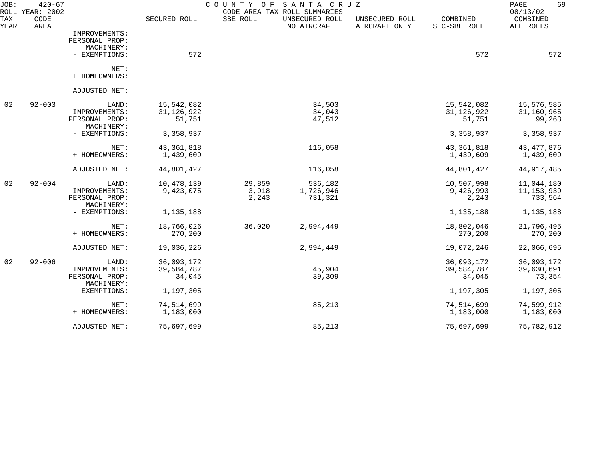| JOB:<br>ROLL | $420 - 67$<br>YEAR: 2002 |                              |              | COUNTY<br>O F | SANTA CRUZ<br>CODE AREA TAX ROLL SUMMARIES |                                 |                          | PAGE<br>69<br>08/13/02 |
|--------------|--------------------------|------------------------------|--------------|---------------|--------------------------------------------|---------------------------------|--------------------------|------------------------|
| TAX<br>YEAR  | CODE<br>AREA             |                              | SECURED ROLL | SBE ROLL      | UNSECURED ROLL<br>NO AIRCRAFT              | UNSECURED ROLL<br>AIRCRAFT ONLY | COMBINED<br>SEC-SBE ROLL | COMBINED<br>ALL ROLLS  |
|              |                          | IMPROVEMENTS:                |              |               |                                            |                                 |                          |                        |
|              |                          | PERSONAL PROP:               |              |               |                                            |                                 |                          |                        |
|              |                          | MACHINERY:                   |              |               |                                            |                                 |                          |                        |
|              |                          | - EXEMPTIONS:                | 572          |               |                                            |                                 | 572                      | 572                    |
|              |                          | NET:                         |              |               |                                            |                                 |                          |                        |
|              |                          | + HOMEOWNERS:                |              |               |                                            |                                 |                          |                        |
|              |                          | ADJUSTED NET:                |              |               |                                            |                                 |                          |                        |
| 02           | $92 - 003$               | LAND:                        | 15,542,082   |               | 34,503                                     |                                 | 15,542,082               | 15,576,585             |
|              |                          | IMPROVEMENTS:                | 31, 126, 922 |               | 34,043                                     |                                 | 31, 126, 922             | 31,160,965             |
|              |                          | PERSONAL PROP:<br>MACHINERY: | 51,751       |               | 47,512                                     |                                 | 51,751                   | 99,263                 |
|              |                          | - EXEMPTIONS:                | 3,358,937    |               |                                            |                                 | 3,358,937                | 3,358,937              |
|              |                          | NET:                         | 43, 361, 818 |               | 116,058                                    |                                 | 43, 361, 818             | 43, 477, 876           |
|              |                          | + HOMEOWNERS:                | 1,439,609    |               |                                            |                                 | 1,439,609                | 1,439,609              |
|              |                          | ADJUSTED NET:                | 44,801,427   |               | 116,058                                    |                                 | 44,801,427               | 44, 917, 485           |
| 02           | $92 - 004$               | LAND:                        | 10,478,139   | 29,859        | 536,182                                    |                                 | 10,507,998               | 11,044,180             |
|              |                          | IMPROVEMENTS:                | 9,423,075    | 3,918         | 1,726,946                                  |                                 | 9,426,993                | 11, 153, 939           |
|              |                          | PERSONAL PROP:               |              | 2,243         | 731,321                                    |                                 | 2,243                    | 733,564                |
|              |                          | MACHINERY:                   |              |               |                                            |                                 |                          |                        |
|              |                          | - EXEMPTIONS:                | 1,135,188    |               |                                            |                                 | 1,135,188                | 1,135,188              |
|              |                          | NET:                         | 18,766,026   | 36,020        | 2,994,449                                  |                                 | 18,802,046               | 21,796,495             |
|              |                          | + HOMEOWNERS:                | 270,200      |               |                                            |                                 | 270,200                  | 270,200                |
|              |                          | ADJUSTED NET:                | 19,036,226   |               | 2,994,449                                  |                                 | 19,072,246               | 22,066,695             |
| 02           | $92 - 006$               | LAND:                        | 36,093,172   |               |                                            |                                 | 36,093,172               | 36,093,172             |
|              |                          | IMPROVEMENTS:                | 39,584,787   |               | 45,904                                     |                                 | 39,584,787               | 39,630,691             |
|              |                          | PERSONAL PROP:<br>MACHINERY: | 34,045       |               | 39,309                                     |                                 | 34,045                   | 73,354                 |
|              |                          | - EXEMPTIONS:                | 1,197,305    |               |                                            |                                 | 1,197,305                | 1,197,305              |
|              |                          | NET:                         | 74,514,699   |               | 85,213                                     |                                 | 74,514,699               | 74,599,912             |
|              |                          | + HOMEOWNERS:                | 1,183,000    |               |                                            |                                 | 1,183,000                | 1,183,000              |
|              |                          | ADJUSTED NET:                | 75,697,699   |               | 85,213                                     |                                 | 75,697,699               | 75,782,912             |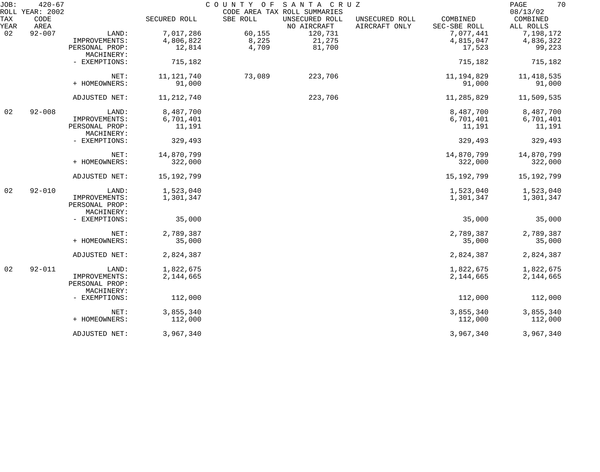| JOB:        | $420 - 67$<br>ROLL YEAR: 2002 |                              |              | COUNTY OF | SANTA CRUZ<br>CODE AREA TAX ROLL SUMMARIES |                                 |                          | 70<br>PAGE<br>08/13/02 |
|-------------|-------------------------------|------------------------------|--------------|-----------|--------------------------------------------|---------------------------------|--------------------------|------------------------|
| TAX<br>YEAR | CODE<br>AREA                  |                              | SECURED ROLL | SBE ROLL  | UNSECURED ROLL<br>NO AIRCRAFT              | UNSECURED ROLL<br>AIRCRAFT ONLY | COMBINED<br>SEC-SBE ROLL | COMBINED<br>ALL ROLLS  |
| 02          | $92 - 007$                    | LAND:                        | 7,017,286    | 60,155    | 120,731                                    |                                 | 7,077,441                | 7,198,172              |
|             |                               | IMPROVEMENTS:                | 4,806,822    | 8,225     | 21,275                                     |                                 | 4,815,047                | 4,836,322              |
|             |                               | PERSONAL PROP:               | 12,814       | 4,709     | 81,700                                     |                                 | 17,523                   | 99,223                 |
|             |                               | MACHINERY:                   |              |           |                                            |                                 |                          |                        |
|             |                               | - EXEMPTIONS:                | 715,182      |           |                                            |                                 | 715,182                  | 715,182                |
|             |                               | NET:                         | 11, 121, 740 | 73,089    | 223,706                                    |                                 | 11, 194, 829             | 11, 418, 535           |
|             |                               | + HOMEOWNERS:                | 91,000       |           |                                            |                                 | 91,000                   | 91,000                 |
|             |                               | ADJUSTED NET:                | 11, 212, 740 |           | 223,706                                    |                                 | 11,285,829               | 11,509,535             |
| 02          | $92 - 008$                    | LAND:                        | 8,487,700    |           |                                            |                                 | 8,487,700                | 8,487,700              |
|             |                               | IMPROVEMENTS:                | 6,701,401    |           |                                            |                                 | 6,701,401                | 6,701,401              |
|             |                               | PERSONAL PROP:<br>MACHINERY: | 11,191       |           |                                            |                                 | 11,191                   | 11,191                 |
|             |                               | - EXEMPTIONS:                | 329,493      |           |                                            |                                 | 329,493                  | 329,493                |
|             |                               | NET:                         | 14,870,799   |           |                                            |                                 | 14,870,799               | 14,870,799             |
|             |                               | + HOMEOWNERS:                | 322,000      |           |                                            |                                 | 322,000                  | 322,000                |
|             |                               | ADJUSTED NET:                | 15,192,799   |           |                                            |                                 | 15,192,799               | 15, 192, 799           |
| 02          | $92 - 010$                    | LAND:                        | 1,523,040    |           |                                            |                                 | 1,523,040                | 1,523,040              |
|             |                               | IMPROVEMENTS:                | 1,301,347    |           |                                            |                                 | 1,301,347                | 1,301,347              |
|             |                               | PERSONAL PROP:               |              |           |                                            |                                 |                          |                        |
|             |                               | MACHINERY:                   |              |           |                                            |                                 |                          |                        |
|             |                               | - EXEMPTIONS:                | 35,000       |           |                                            |                                 | 35,000                   | 35,000                 |
|             |                               | NET:                         | 2,789,387    |           |                                            |                                 | 2,789,387                | 2,789,387              |
|             |                               | + HOMEOWNERS:                | 35,000       |           |                                            |                                 | 35,000                   | 35,000                 |
|             |                               | ADJUSTED NET:                | 2,824,387    |           |                                            |                                 | 2,824,387                | 2,824,387              |
| 02          | $92 - 011$                    | LAND:                        | 1,822,675    |           |                                            |                                 | 1,822,675                | 1,822,675              |
|             |                               | IMPROVEMENTS:                | 2,144,665    |           |                                            |                                 | 2,144,665                | 2,144,665              |
|             |                               | PERSONAL PROP:<br>MACHINERY: |              |           |                                            |                                 |                          |                        |
|             |                               | - EXEMPTIONS:                | 112,000      |           |                                            |                                 | 112,000                  | 112,000                |
|             |                               | NET:                         | 3,855,340    |           |                                            |                                 | 3,855,340                | 3,855,340              |
|             |                               | + HOMEOWNERS:                | 112,000      |           |                                            |                                 | 112,000                  | 112,000                |
|             |                               | ADJUSTED NET:                | 3,967,340    |           |                                            |                                 | 3,967,340                | 3,967,340              |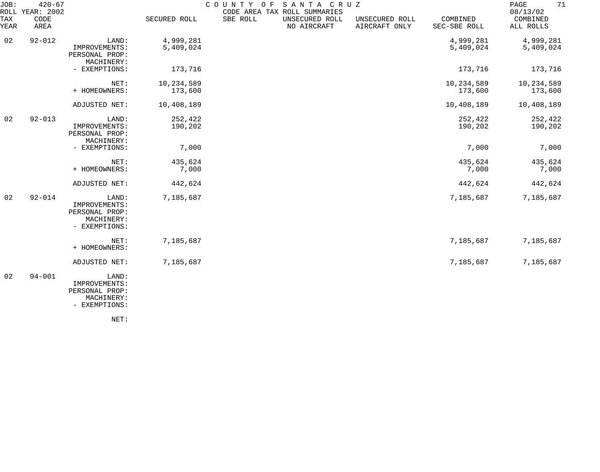| JOB:<br>ROLL | $420 - 67$<br>YEAR: 2002 |                                                                         |                        | COUNTY<br>O F | SANTA CRUZ<br>CODE AREA TAX ROLL SUMMARIES |                                 |                          | 71<br>PAGE<br>08/13/02 |
|--------------|--------------------------|-------------------------------------------------------------------------|------------------------|---------------|--------------------------------------------|---------------------------------|--------------------------|------------------------|
| TAX<br>YEAR  | CODE<br>AREA             |                                                                         | SECURED ROLL           | SBE ROLL      | UNSECURED ROLL<br>NO AIRCRAFT              | UNSECURED ROLL<br>AIRCRAFT ONLY | COMBINED<br>SEC-SBE ROLL | COMBINED<br>ALL ROLLS  |
| 02           | $92 - 012$               | LAND:<br>IMPROVEMENTS:<br>PERSONAL PROP:                                | 4,999,281<br>5,409,024 |               |                                            |                                 | 4,999,281<br>5,409,024   | 4,999,281<br>5,409,024 |
|              |                          | MACHINERY:<br>- EXEMPTIONS:                                             | 173,716                |               |                                            |                                 | 173,716                  | 173,716                |
|              |                          | NET:<br>+ HOMEOWNERS:                                                   | 10,234,589<br>173,600  |               |                                            |                                 | 10,234,589<br>173,600    | 10,234,589<br>173,600  |
|              |                          | ADJUSTED NET:                                                           | 10,408,189             |               |                                            |                                 | 10,408,189               | 10,408,189             |
| 02           | $92 - 013$               | LAND:<br>IMPROVEMENTS:<br>PERSONAL PROP:<br>MACHINERY:                  | 252,422<br>190,202     |               |                                            |                                 | 252,422<br>190,202       | 252,422<br>190,202     |
|              |                          | - EXEMPTIONS:                                                           | 7,000                  |               |                                            |                                 | 7,000                    | 7,000                  |
|              |                          | NET:<br>+ HOMEOWNERS:                                                   | 435,624<br>7,000       |               |                                            |                                 | 435,624<br>7,000         | 435,624<br>7,000       |
|              |                          | ADJUSTED NET:                                                           | 442,624                |               |                                            |                                 | 442,624                  | 442,624                |
| 02           | $92 - 014$               | LAND:<br>IMPROVEMENTS:<br>PERSONAL PROP:<br>MACHINERY:<br>- EXEMPTIONS: | 7,185,687              |               |                                            |                                 | 7,185,687                | 7,185,687              |
|              |                          | NET:<br>+ HOMEOWNERS:                                                   | 7,185,687              |               |                                            |                                 | 7,185,687                | 7,185,687              |
|              |                          | ADJUSTED NET:                                                           | 7,185,687              |               |                                            |                                 | 7,185,687                | 7,185,687              |
| 02           | $94 - 001$               | LAND:<br>IMPROVEMENTS:<br>PERSONAL PROP:<br>MACHINERY:<br>- EXEMPTIONS: |                        |               |                                            |                                 |                          |                        |

NET: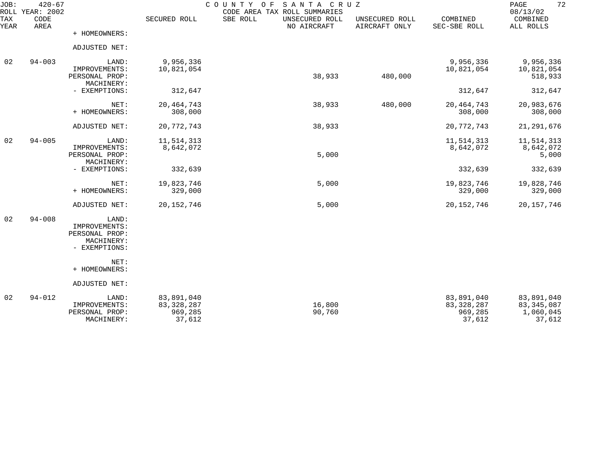| JOB:<br>ROLL | $420 - 67$<br>YEAR: 2002 |                                 |                            | COUNTY OF<br>SANTA CRUZ<br>CODE AREA TAX ROLL SUMMARIES |                                 |                            | 72<br>PAGE<br>08/13/02     |
|--------------|--------------------------|---------------------------------|----------------------------|---------------------------------------------------------|---------------------------------|----------------------------|----------------------------|
| TAX<br>YEAR  | CODE<br>AREA             |                                 | SECURED ROLL               | SBE ROLL<br>UNSECURED ROLL<br>NO AIRCRAFT               | UNSECURED ROLL<br>AIRCRAFT ONLY | COMBINED<br>SEC-SBE ROLL   | COMBINED<br>ALL ROLLS      |
|              |                          | + HOMEOWNERS:                   |                            |                                                         |                                 |                            |                            |
|              |                          | ADJUSTED NET:                   |                            |                                                         |                                 |                            |                            |
| 02           | $94 - 003$               | LAND:                           | 9,956,336                  |                                                         |                                 | 9,956,336                  | 9,956,336                  |
|              |                          | IMPROVEMENTS:<br>PERSONAL PROP: | 10,821,054                 | 38,933                                                  | 480,000                         | 10,821,054                 | 10,821,054<br>518,933      |
|              |                          | MACHINERY:<br>- EXEMPTIONS:     | 312,647                    |                                                         |                                 | 312,647                    | 312,647                    |
|              |                          | NET:                            | 20, 464, 743               | 38,933                                                  | 480,000                         | 20, 464, 743               | 20,983,676                 |
|              |                          | + HOMEOWNERS:                   | 308,000                    |                                                         |                                 | 308,000                    | 308,000                    |
|              |                          | ADJUSTED NET:                   | 20, 772, 743               | 38,933                                                  |                                 | 20,772,743                 | 21, 291, 676               |
| 02           | $94 - 005$               | LAND:                           | 11,514,313                 |                                                         |                                 | 11,514,313                 | 11,514,313                 |
|              |                          | IMPROVEMENTS:<br>PERSONAL PROP: | 8,642,072                  | 5,000                                                   |                                 | 8,642,072                  | 8,642,072<br>5,000         |
|              |                          | MACHINERY:<br>- EXEMPTIONS:     | 332,639                    |                                                         |                                 | 332,639                    | 332,639                    |
|              |                          | NET:                            | 19,823,746                 | 5,000                                                   |                                 | 19,823,746                 | 19,828,746                 |
|              |                          | + HOMEOWNERS:                   | 329,000                    |                                                         |                                 | 329,000                    | 329,000                    |
|              |                          | ADJUSTED NET:                   | 20, 152, 746               | 5,000                                                   |                                 | 20, 152, 746               | 20, 157, 746               |
| 02           | $94 - 008$               | LAND:                           |                            |                                                         |                                 |                            |                            |
|              |                          | IMPROVEMENTS:<br>PERSONAL PROP: |                            |                                                         |                                 |                            |                            |
|              |                          | MACHINERY:<br>- EXEMPTIONS:     |                            |                                                         |                                 |                            |                            |
|              |                          | NET:                            |                            |                                                         |                                 |                            |                            |
|              |                          | + HOMEOWNERS:                   |                            |                                                         |                                 |                            |                            |
|              |                          | ADJUSTED NET:                   |                            |                                                         |                                 |                            |                            |
| 02           | $94 - 012$               | LAND:<br>IMPROVEMENTS:          | 83,891,040<br>83, 328, 287 | 16,800                                                  |                                 | 83,891,040<br>83, 328, 287 | 83,891,040<br>83, 345, 087 |
|              |                          | PERSONAL PROP:<br>MACHINERY:    | 969,285<br>37,612          | 90,760                                                  |                                 | 969,285<br>37,612          | 1,060,045<br>37,612        |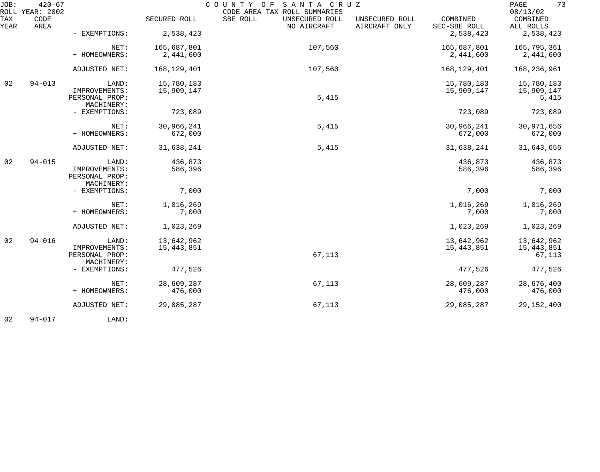| JOB:        | $420 - 67$<br>ROLL YEAR: 2002 |                              |               | COUNTY OF<br>SANTA CRUZ<br>CODE AREA TAX ROLL SUMMARIES |                                 |                          | 73<br>PAGE<br>08/13/02 |
|-------------|-------------------------------|------------------------------|---------------|---------------------------------------------------------|---------------------------------|--------------------------|------------------------|
| TAX<br>YEAR | CODE<br>AREA                  |                              | SECURED ROLL  | SBE ROLL<br>UNSECURED ROLL<br>NO AIRCRAFT               | UNSECURED ROLL<br>AIRCRAFT ONLY | COMBINED<br>SEC-SBE ROLL | COMBINED<br>ALL ROLLS  |
|             |                               | - EXEMPTIONS:                | 2,538,423     |                                                         |                                 | 2,538,423                | 2,538,423              |
|             |                               | NET:                         | 165,687,801   | 107,560                                                 |                                 | 165,687,801              | 165,795,361            |
|             |                               | + HOMEOWNERS:                | 2,441,600     |                                                         |                                 | 2,441,600                | 2,441,600              |
|             |                               | ADJUSTED NET:                | 168, 129, 401 | 107,560                                                 |                                 | 168, 129, 401            | 168,236,961            |
| 02          | $94 - 013$                    | LAND:                        | 15,780,183    |                                                         |                                 | 15,780,183               | 15,780,183             |
|             |                               | IMPROVEMENTS:                | 15,909,147    |                                                         |                                 | 15,909,147               | 15,909,147             |
|             |                               | PERSONAL PROP:<br>MACHINERY: |               | 5,415                                                   |                                 |                          | 5,415                  |
|             |                               | - EXEMPTIONS:                | 723,089       |                                                         |                                 | 723,089                  | 723,089                |
|             |                               | NET:                         | 30,966,241    | 5,415                                                   |                                 | 30,966,241               | 30,971,656             |
|             |                               | + HOMEOWNERS:                | 672,000       |                                                         |                                 | 672,000                  | 672,000                |
|             |                               | ADJUSTED NET:                | 31,638,241    | 5,415                                                   |                                 | 31,638,241               | 31,643,656             |
| 02          | $94 - 015$                    | LAND:                        | 436,873       |                                                         |                                 | 436,873                  | 436,873                |
|             |                               | IMPROVEMENTS:                | 586,396       |                                                         |                                 | 586,396                  | 586,396                |
|             |                               | PERSONAL PROP:<br>MACHINERY: |               |                                                         |                                 |                          |                        |
|             |                               | - EXEMPTIONS:                | 7,000         |                                                         |                                 | 7,000                    | 7,000                  |
|             |                               | NET:                         | 1,016,269     |                                                         |                                 | 1,016,269                | 1,016,269              |
|             |                               | + HOMEOWNERS:                | 7,000         |                                                         |                                 | 7,000                    | 7,000                  |
|             |                               | ADJUSTED NET:                | 1,023,269     |                                                         |                                 | 1,023,269                | 1,023,269              |
| 02          | $94 - 016$                    | LAND:                        | 13,642,962    |                                                         |                                 | 13,642,962               | 13,642,962             |
|             |                               | IMPROVEMENTS:                | 15, 443, 851  |                                                         |                                 | 15,443,851               | 15,443,851             |
|             |                               | PERSONAL PROP:<br>MACHINERY: |               | 67,113                                                  |                                 |                          | 67,113                 |
|             |                               | - EXEMPTIONS:                | 477,526       |                                                         |                                 | 477,526                  | 477,526                |
|             |                               | NET:                         | 28,609,287    | 67,113                                                  |                                 | 28,609,287               | 28,676,400             |
|             |                               | + HOMEOWNERS:                | 476,000       |                                                         |                                 | 476,000                  | 476,000                |
|             |                               | ADJUSTED NET:                | 29,085,287    | 67,113                                                  |                                 | 29,085,287               | 29, 152, 400           |
|             |                               |                              |               |                                                         |                                 |                          |                        |

02 94-017 LAND: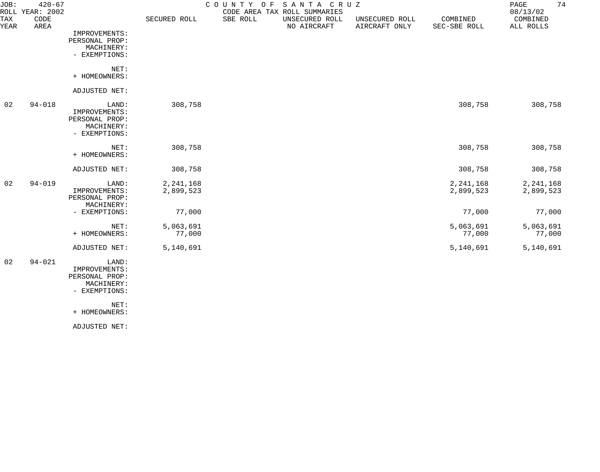| JOB:        | $420 - 67$<br>ROLL YEAR: 2002 |                             |              | COUNTY OF | SANTA CRUZ<br>CODE AREA TAX ROLL SUMMARIES |                                 |                          | 74<br>PAGE<br>08/13/02 |
|-------------|-------------------------------|-----------------------------|--------------|-----------|--------------------------------------------|---------------------------------|--------------------------|------------------------|
| TAX<br>YEAR | CODE<br>AREA                  |                             | SECURED ROLL | SBE ROLL  | UNSECURED ROLL<br>NO AIRCRAFT              | UNSECURED ROLL<br>AIRCRAFT ONLY | COMBINED<br>SEC-SBE ROLL | COMBINED<br>ALL ROLLS  |
|             |                               | IMPROVEMENTS:               |              |           |                                            |                                 |                          |                        |
|             |                               | PERSONAL PROP:              |              |           |                                            |                                 |                          |                        |
|             |                               | MACHINERY:                  |              |           |                                            |                                 |                          |                        |
|             |                               | - EXEMPTIONS:               |              |           |                                            |                                 |                          |                        |
|             |                               | NET:                        |              |           |                                            |                                 |                          |                        |
|             |                               | + HOMEOWNERS:               |              |           |                                            |                                 |                          |                        |
|             |                               | ADJUSTED NET:               |              |           |                                            |                                 |                          |                        |
| 02          | $94 - 018$                    | LAND:                       | 308,758      |           |                                            |                                 | 308,758                  | 308,758                |
|             |                               | IMPROVEMENTS:               |              |           |                                            |                                 |                          |                        |
|             |                               | PERSONAL PROP:              |              |           |                                            |                                 |                          |                        |
|             |                               | MACHINERY:<br>- EXEMPTIONS: |              |           |                                            |                                 |                          |                        |
|             |                               |                             |              |           |                                            |                                 |                          |                        |
|             |                               | NET:                        | 308,758      |           |                                            |                                 | 308,758                  | 308,758                |
|             |                               | + HOMEOWNERS:               |              |           |                                            |                                 |                          |                        |
|             |                               | ADJUSTED NET:               | 308,758      |           |                                            |                                 | 308,758                  | 308,758                |
| 02          | $94 - 019$                    | LAND:                       | 2, 241, 168  |           |                                            |                                 | 2, 241, 168              | 2, 241, 168            |
|             |                               | IMPROVEMENTS:               | 2,899,523    |           |                                            |                                 | 2,899,523                | 2,899,523              |
|             |                               | PERSONAL PROP:              |              |           |                                            |                                 |                          |                        |
|             |                               | MACHINERY:                  |              |           |                                            |                                 | 77,000                   |                        |
|             |                               | - EXEMPTIONS:               | 77,000       |           |                                            |                                 |                          | 77,000                 |
|             |                               | NET:                        | 5,063,691    |           |                                            |                                 | 5,063,691                | 5,063,691              |
|             |                               | + HOMEOWNERS:               | 77,000       |           |                                            |                                 | 77,000                   | 77,000                 |
|             |                               | ADJUSTED NET:               | 5,140,691    |           |                                            |                                 | 5,140,691                | 5,140,691              |
| 02          | $94 - 021$                    | LAND:                       |              |           |                                            |                                 |                          |                        |
|             |                               | IMPROVEMENTS:               |              |           |                                            |                                 |                          |                        |
|             |                               | PERSONAL PROP:              |              |           |                                            |                                 |                          |                        |
|             |                               | MACHINERY:                  |              |           |                                            |                                 |                          |                        |
|             |                               | - EXEMPTIONS:               |              |           |                                            |                                 |                          |                        |
|             |                               | NET:                        |              |           |                                            |                                 |                          |                        |
|             |                               | + HOMEOWNERS:               |              |           |                                            |                                 |                          |                        |
|             |                               | ADJUSTED NET:               |              |           |                                            |                                 |                          |                        |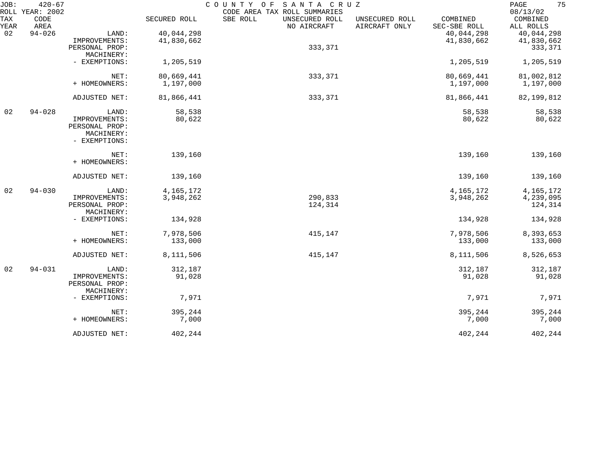| JOB:        | $420 - 67$<br>ROLL YEAR: 2002 |                              |              | COUNTY OF SANTA CRUZ<br>CODE AREA TAX ROLL SUMMARIES       |                                            | 75<br>PAGE<br>08/13/02 |
|-------------|-------------------------------|------------------------------|--------------|------------------------------------------------------------|--------------------------------------------|------------------------|
| TAX<br>YEAR | CODE<br>AREA                  |                              | SECURED ROLL | SBE ROLL<br>UNSECURED ROLL<br>NO AIRCRAFT<br>AIRCRAFT ONLY | COMBINED<br>UNSECURED ROLL<br>SEC-SBE ROLL | COMBINED<br>ALL ROLLS  |
| 02          | $94 - 026$                    | LAND:                        | 40,044,298   |                                                            | 40,044,298                                 | 40,044,298             |
|             |                               | IMPROVEMENTS:                | 41,830,662   |                                                            | 41,830,662                                 | 41,830,662             |
|             |                               | PERSONAL PROP:<br>MACHINERY: |              | 333,371                                                    |                                            | 333,371                |
|             |                               | - EXEMPTIONS:                | 1,205,519    |                                                            | 1,205,519                                  | 1,205,519              |
|             |                               | NET:                         | 80,669,441   | 333,371                                                    | 80,669,441                                 | 81,002,812             |
|             |                               | + HOMEOWNERS:                | 1,197,000    |                                                            | 1,197,000                                  | 1,197,000              |
|             |                               | ADJUSTED NET:                | 81,866,441   | 333,371                                                    | 81,866,441                                 | 82, 199, 812           |
| 02          | $94 - 028$                    | LAND:                        | 58,538       |                                                            | 58,538                                     | 58,538                 |
|             |                               | IMPROVEMENTS:                | 80,622       |                                                            | 80,622                                     | 80,622                 |
|             |                               | PERSONAL PROP:               |              |                                                            |                                            |                        |
|             |                               | MACHINERY:<br>- EXEMPTIONS:  |              |                                                            |                                            |                        |
|             |                               | NET:                         | 139,160      |                                                            | 139,160                                    | 139,160                |
|             |                               | + HOMEOWNERS:                |              |                                                            |                                            |                        |
|             |                               | ADJUSTED NET:                | 139,160      |                                                            | 139,160                                    | 139,160                |
| 02          | $94 - 030$                    | LAND:                        | 4, 165, 172  |                                                            | 4, 165, 172                                | 4, 165, 172            |
|             |                               | IMPROVEMENTS:                | 3,948,262    | 290,833                                                    | 3,948,262                                  | 4,239,095              |
|             |                               | PERSONAL PROP:               |              | 124,314                                                    |                                            | 124,314                |
|             |                               | MACHINERY:                   |              |                                                            |                                            |                        |
|             |                               | - EXEMPTIONS:                | 134,928      |                                                            | 134,928                                    | 134,928                |
|             |                               | NET:                         | 7,978,506    | 415,147                                                    | 7,978,506                                  | 8,393,653              |
|             |                               | + HOMEOWNERS:                | 133,000      |                                                            | 133,000                                    | 133,000                |
|             |                               | ADJUSTED NET:                | 8,111,506    | 415,147                                                    | 8,111,506                                  | 8,526,653              |
| 02          | $94 - 031$                    | LAND:                        | 312,187      |                                                            | 312,187                                    | 312,187                |
|             |                               | IMPROVEMENTS:                | 91,028       |                                                            | 91,028                                     | 91,028                 |
|             |                               | PERSONAL PROP:               |              |                                                            |                                            |                        |
|             |                               | MACHINERY:                   |              |                                                            |                                            |                        |
|             |                               | - EXEMPTIONS:                | 7,971        |                                                            | 7,971                                      | 7,971                  |
|             |                               | NET:                         | 395,244      |                                                            | 395,244                                    | 395,244                |
|             |                               | + HOMEOWNERS:                | 7,000        |                                                            | 7,000                                      | 7,000                  |
|             |                               | ADJUSTED NET:                | 402,244      |                                                            | 402,244                                    | 402,244                |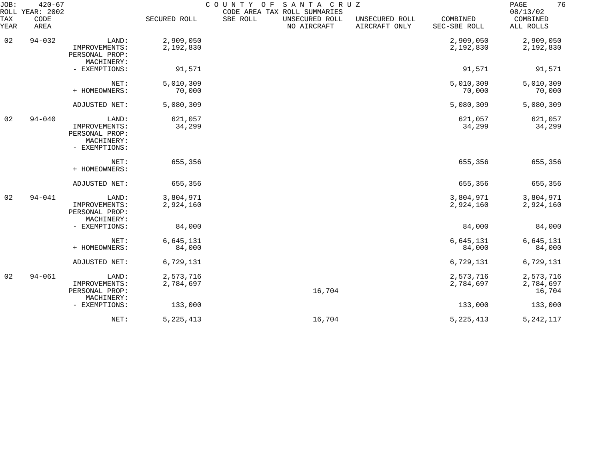| JOB:<br>ROLL | $420 - 67$<br>YEAR: 2002 |                                                                         |                        | COUNTY<br>SANTA CRUZ<br>O F<br>CODE AREA TAX ROLL SUMMARIES |                                 |                          | 76<br>PAGE<br>08/13/02           |
|--------------|--------------------------|-------------------------------------------------------------------------|------------------------|-------------------------------------------------------------|---------------------------------|--------------------------|----------------------------------|
| TAX<br>YEAR  | CODE<br>AREA             |                                                                         | SECURED ROLL           | SBE ROLL<br>UNSECURED ROLL<br>NO AIRCRAFT                   | UNSECURED ROLL<br>AIRCRAFT ONLY | COMBINED<br>SEC-SBE ROLL | COMBINED<br>ALL ROLLS            |
| 02           | $94 - 032$               | LAND:<br>IMPROVEMENTS:<br>PERSONAL PROP:<br>MACHINERY:                  | 2,909,050<br>2,192,830 |                                                             |                                 | 2,909,050<br>2,192,830   | 2,909,050<br>2,192,830           |
|              |                          | - EXEMPTIONS:                                                           | 91,571                 |                                                             |                                 | 91,571                   | 91,571                           |
|              |                          | NET:<br>+ HOMEOWNERS:                                                   | 5,010,309<br>70,000    |                                                             |                                 | 5,010,309<br>70,000      | 5,010,309<br>70,000              |
|              |                          | ADJUSTED NET:                                                           | 5,080,309              |                                                             |                                 | 5,080,309                | 5,080,309                        |
| 02           | $94 - 040$               | LAND:<br>IMPROVEMENTS:<br>PERSONAL PROP:<br>MACHINERY:<br>- EXEMPTIONS: | 621,057<br>34,299      |                                                             |                                 | 621,057<br>34,299        | 621,057<br>34,299                |
|              |                          | NET:<br>+ HOMEOWNERS:                                                   | 655,356                |                                                             |                                 | 655,356                  | 655,356                          |
|              |                          | ADJUSTED NET:                                                           | 655,356                |                                                             |                                 | 655,356                  | 655,356                          |
| 02           | $94 - 041$               | LAND:<br>IMPROVEMENTS:<br>PERSONAL PROP:<br>MACHINERY:                  | 3,804,971<br>2,924,160 |                                                             |                                 | 3,804,971<br>2,924,160   | 3,804,971<br>2,924,160           |
|              |                          | - EXEMPTIONS:                                                           | 84,000                 |                                                             |                                 | 84,000                   | 84,000                           |
|              |                          | NET:<br>+ HOMEOWNERS:                                                   | 6,645,131<br>84,000    |                                                             |                                 | 6,645,131<br>84,000      | 6,645,131<br>84,000              |
|              |                          | ADJUSTED NET:                                                           | 6,729,131              |                                                             |                                 | 6,729,131                | 6,729,131                        |
| 02           | $94 - 061$               | LAND:<br>IMPROVEMENTS:<br>PERSONAL PROP:<br>MACHINERY:                  | 2,573,716<br>2,784,697 | 16,704                                                      |                                 | 2,573,716<br>2,784,697   | 2,573,716<br>2,784,697<br>16,704 |
|              |                          | - EXEMPTIONS:                                                           | 133,000                |                                                             |                                 | 133,000                  | 133,000                          |
|              |                          | NET:                                                                    | 5, 225, 413            | 16,704                                                      |                                 | 5, 225, 413              | 5, 242, 117                      |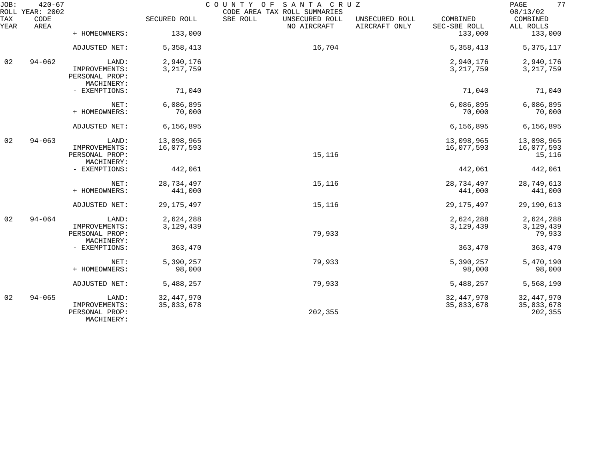| JOB:        | $420 - 67$<br>ROLL YEAR: 2002 |                                               |              | COUNTY<br>SANTA CRUZ<br>O F<br>CODE AREA TAX ROLL SUMMARIES |                                 |                          | 77<br>$\mathop{\mathrm{PAGE}}$<br>08/13/02 |
|-------------|-------------------------------|-----------------------------------------------|--------------|-------------------------------------------------------------|---------------------------------|--------------------------|--------------------------------------------|
| TAX<br>YEAR | CODE<br>AREA                  |                                               | SECURED ROLL | SBE ROLL<br>UNSECURED ROLL<br>NO AIRCRAFT                   | UNSECURED ROLL<br>AIRCRAFT ONLY | COMBINED<br>SEC-SBE ROLL | COMBINED<br>ALL ROLLS                      |
|             |                               | + HOMEOWNERS:                                 | 133,000      |                                                             |                                 | 133,000                  | 133,000                                    |
|             |                               | ADJUSTED NET:                                 | 5,358,413    | 16,704                                                      |                                 | 5, 358, 413              | 5, 375, 117                                |
| 02          | $94 - 062$                    | LAND:                                         | 2,940,176    |                                                             |                                 | 2,940,176                | 2,940,176                                  |
|             |                               | IMPROVEMENTS:<br>PERSONAL PROP:<br>MACHINERY: | 3, 217, 759  |                                                             |                                 | 3, 217, 759              | 3, 217, 759                                |
|             |                               | - EXEMPTIONS:                                 | 71,040       |                                                             |                                 | 71,040                   | 71,040                                     |
|             |                               | NET:                                          | 6,086,895    |                                                             |                                 | 6,086,895                | 6,086,895                                  |
|             |                               | + HOMEOWNERS:                                 | 70,000       |                                                             |                                 | 70,000                   | 70,000                                     |
|             |                               | ADJUSTED NET:                                 | 6, 156, 895  |                                                             |                                 | 6, 156, 895              | 6,156,895                                  |
| 02          | $94 - 063$                    | LAND:                                         | 13,098,965   |                                                             |                                 | 13,098,965               | 13,098,965                                 |
|             |                               | IMPROVEMENTS:<br>PERSONAL PROP:<br>MACHINERY: | 16,077,593   | 15,116                                                      |                                 | 16,077,593               | 16,077,593<br>15,116                       |
|             |                               | - EXEMPTIONS:                                 | 442,061      |                                                             |                                 | 442,061                  | 442,061                                    |
|             |                               | NET:                                          | 28,734,497   | 15,116                                                      |                                 | 28,734,497               | 28,749,613                                 |
|             |                               | + HOMEOWNERS:                                 | 441,000      |                                                             |                                 | 441,000                  | 441,000                                    |
|             |                               | ADJUSTED NET:                                 | 29, 175, 497 | 15,116                                                      |                                 | 29, 175, 497             | 29,190,613                                 |
| 02          | $94 - 064$                    | LAND:                                         | 2,624,288    |                                                             |                                 | 2,624,288                | 2,624,288                                  |
|             |                               | IMPROVEMENTS:<br>PERSONAL PROP:               | 3, 129, 439  | 79,933                                                      |                                 | 3, 129, 439              | 3, 129, 439<br>79,933                      |
|             |                               | MACHINERY:                                    |              |                                                             |                                 |                          |                                            |
|             |                               | - EXEMPTIONS:                                 | 363,470      |                                                             |                                 | 363,470                  | 363,470                                    |
|             |                               | NET:                                          | 5,390,257    | 79,933                                                      |                                 | 5,390,257                | 5,470,190                                  |
|             |                               | + HOMEOWNERS:                                 | 98,000       |                                                             |                                 | 98,000                   | 98,000                                     |
|             |                               | ADJUSTED NET:                                 | 5,488,257    | 79,933                                                      |                                 | 5,488,257                | 5,568,190                                  |
| 02          | $94 - 065$                    | LAND:                                         | 32, 447, 970 |                                                             |                                 | 32, 447, 970             | 32, 447, 970                               |
|             |                               | IMPROVEMENTS:<br>PERSONAL PROP:<br>MACHINERY: | 35,833,678   | 202,355                                                     |                                 | 35,833,678               | 35,833,678<br>202,355                      |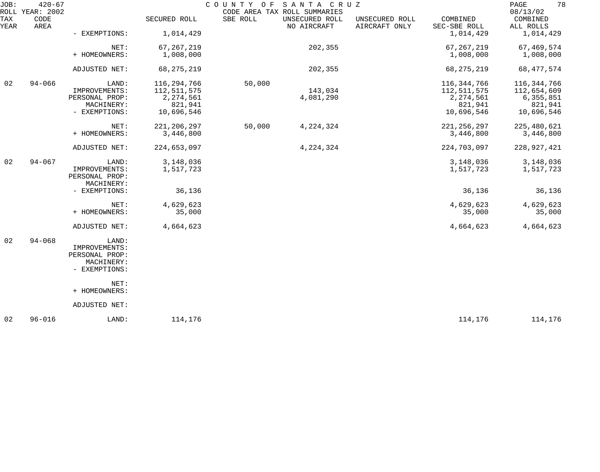| JOB:        | $420 - 67$<br>ROLL YEAR: 2002 |                                               |               | COUNTY OF | SANTA CRUZ<br>CODE AREA TAX ROLL SUMMARIES |                                 |                          | 78<br>PAGE<br>08/13/02 |
|-------------|-------------------------------|-----------------------------------------------|---------------|-----------|--------------------------------------------|---------------------------------|--------------------------|------------------------|
| TAX<br>YEAR | CODE<br>AREA                  |                                               | SECURED ROLL  | SBE ROLL  | UNSECURED ROLL<br>NO AIRCRAFT              | UNSECURED ROLL<br>AIRCRAFT ONLY | COMBINED<br>SEC-SBE ROLL | COMBINED<br>ALL ROLLS  |
|             |                               | - EXEMPTIONS:                                 | 1,014,429     |           |                                            |                                 | 1,014,429                | 1,014,429              |
|             |                               | NET:                                          | 67, 267, 219  |           | 202,355                                    |                                 | 67, 267, 219             | 67,469,574             |
|             |                               | + HOMEOWNERS:                                 | 1,008,000     |           |                                            |                                 | 1,008,000                | 1,008,000              |
|             |                               | ADJUSTED NET:                                 | 68, 275, 219  |           | 202,355                                    |                                 | 68, 275, 219             | 68,477,574             |
| 02          | $94 - 066$                    | LAND:                                         | 116, 294, 766 | 50,000    |                                            |                                 | 116, 344, 766            | 116, 344, 766          |
|             |                               | IMPROVEMENTS:                                 | 112,511,575   |           | 143,034                                    |                                 | 112,511,575              | 112,654,609            |
|             |                               | PERSONAL PROP:                                | 2,274,561     |           | 4,081,290                                  |                                 | 2, 274, 561              | 6,355,851              |
|             |                               | MACHINERY:                                    | 821,941       |           |                                            |                                 | 821,941                  | 821,941                |
|             |                               | - EXEMPTIONS:                                 | 10,696,546    |           |                                            |                                 | 10,696,546               | 10,696,546             |
|             |                               | NET:                                          | 221, 206, 297 | 50,000    | 4, 224, 324                                |                                 | 221, 256, 297            | 225, 480, 621          |
|             |                               | + HOMEOWNERS:                                 | 3,446,800     |           |                                            |                                 | 3,446,800                | 3,446,800              |
|             |                               | ADJUSTED NET:                                 | 224,653,097   |           | 4,224,324                                  |                                 | 224,703,097              | 228,927,421            |
| 02          | $94 - 067$                    | LAND:                                         | 3,148,036     |           |                                            |                                 | 3,148,036                | 3,148,036              |
|             |                               | IMPROVEMENTS:<br>PERSONAL PROP:<br>MACHINERY: | 1,517,723     |           |                                            |                                 | 1,517,723                | 1,517,723              |
|             |                               | - EXEMPTIONS:                                 | 36,136        |           |                                            |                                 | 36,136                   | 36,136                 |
|             |                               | NET:                                          | 4,629,623     |           |                                            |                                 | 4,629,623                | 4,629,623              |
|             |                               | + HOMEOWNERS:                                 | 35,000        |           |                                            |                                 | 35,000                   | 35,000                 |
|             |                               | ADJUSTED NET:                                 | 4,664,623     |           |                                            |                                 | 4,664,623                | 4,664,623              |
| 02          | $94 - 068$                    | LAND:                                         |               |           |                                            |                                 |                          |                        |
|             |                               | IMPROVEMENTS:                                 |               |           |                                            |                                 |                          |                        |
|             |                               | PERSONAL PROP:                                |               |           |                                            |                                 |                          |                        |
|             |                               | MACHINERY:                                    |               |           |                                            |                                 |                          |                        |
|             |                               | - EXEMPTIONS:                                 |               |           |                                            |                                 |                          |                        |
|             |                               | NET:                                          |               |           |                                            |                                 |                          |                        |
|             |                               | + HOMEOWNERS:                                 |               |           |                                            |                                 |                          |                        |
|             |                               | ADJUSTED NET:                                 |               |           |                                            |                                 |                          |                        |
| 02          | $96 - 016$                    | LAND:                                         | 114,176       |           |                                            |                                 | 114,176                  | 114,176                |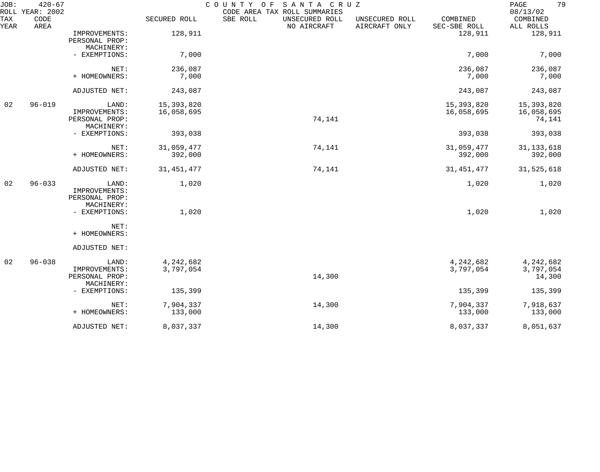| JOB:        | $420 - 67$<br>ROLL YEAR: 2002 |                                                        |                          | SANTA CRUZ<br>COUNTY OF<br>CODE AREA TAX ROLL SUMMARIES |                                 |                          | 79<br>PAGE<br>08/13/02             |
|-------------|-------------------------------|--------------------------------------------------------|--------------------------|---------------------------------------------------------|---------------------------------|--------------------------|------------------------------------|
| TAX<br>YEAR | CODE<br>AREA                  |                                                        | SECURED ROLL             | SBE ROLL<br>UNSECURED ROLL<br>NO AIRCRAFT               | UNSECURED ROLL<br>AIRCRAFT ONLY | COMBINED<br>SEC-SBE ROLL | COMBINED<br>ALL ROLLS              |
|             |                               | IMPROVEMENTS:<br>PERSONAL PROP:<br>MACHINERY:          | 128,911                  |                                                         |                                 | 128,911                  | 128,911                            |
|             |                               | - EXEMPTIONS:                                          | 7,000                    |                                                         |                                 | 7,000                    | 7,000                              |
|             |                               | NET:<br>+ HOMEOWNERS:                                  | 236,087<br>7,000         |                                                         |                                 | 236,087<br>7,000         | 236,087<br>7,000                   |
|             |                               | ADJUSTED NET:                                          | 243,087                  |                                                         |                                 | 243,087                  | 243,087                            |
| 02          | $96 - 019$                    | LAND:<br>IMPROVEMENTS:<br>PERSONAL PROP:<br>MACHINERY: | 15,393,820<br>16,058,695 | 74,141                                                  |                                 | 15,393,820<br>16,058,695 | 15,393,820<br>16,058,695<br>74,141 |
|             |                               | - EXEMPTIONS:                                          | 393,038                  |                                                         |                                 | 393,038                  | 393,038                            |
|             |                               | NET:<br>+ HOMEOWNERS:                                  | 31,059,477<br>392,000    | 74,141                                                  |                                 | 31,059,477<br>392,000    | 31, 133, 618<br>392,000            |
|             |                               | ADJUSTED NET:                                          | 31, 451, 477             | 74,141                                                  |                                 | 31, 451, 477             | 31,525,618                         |
| 02          | $96 - 033$                    | LAND:<br>IMPROVEMENTS:<br>PERSONAL PROP:<br>MACHINERY: | 1,020                    |                                                         |                                 | 1,020                    | 1,020                              |
|             |                               | - EXEMPTIONS:                                          | 1,020                    |                                                         |                                 | 1,020                    | 1,020                              |
|             |                               | NET:<br>+ HOMEOWNERS:                                  |                          |                                                         |                                 |                          |                                    |
|             |                               | ADJUSTED NET:                                          |                          |                                                         |                                 |                          |                                    |
| 02          | $96 - 038$                    | LAND:<br>IMPROVEMENTS:<br>PERSONAL PROP:<br>MACHINERY: | 4,242,682<br>3,797,054   | 14,300                                                  |                                 | 4, 242, 682<br>3,797,054 | 4, 242, 682<br>3,797,054<br>14,300 |
|             |                               | - EXEMPTIONS:                                          | 135,399                  |                                                         |                                 | 135,399                  | 135,399                            |
|             |                               | NET:<br>+ HOMEOWNERS:                                  | 7,904,337<br>133,000     | 14,300                                                  |                                 | 7,904,337<br>133,000     | 7,918,637<br>133,000               |
|             |                               | ADJUSTED NET:                                          | 8,037,337                | 14,300                                                  |                                 | 8,037,337                | 8,051,637                          |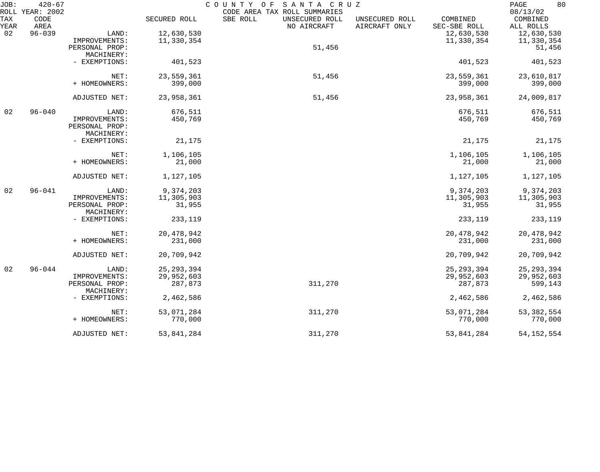| JOB:        | $420 - 67$<br>ROLL YEAR: 2002 |                              |              | COUNTY OF<br>SANTA CRUZ<br>CODE AREA TAX ROLL SUMMARIES |                                                             | 80<br>PAGE<br>08/13/02 |
|-------------|-------------------------------|------------------------------|--------------|---------------------------------------------------------|-------------------------------------------------------------|------------------------|
| TAX<br>YEAR | CODE<br>AREA                  |                              | SECURED ROLL | SBE ROLL<br>UNSECURED ROLL<br>NO AIRCRAFT               | COMBINED<br>UNSECURED ROLL<br>AIRCRAFT ONLY<br>SEC-SBE ROLL | COMBINED<br>ALL ROLLS  |
| 02          | $96 - 039$                    | LAND:                        | 12,630,530   |                                                         | 12,630,530                                                  | 12,630,530             |
|             |                               | IMPROVEMENTS:                | 11,330,354   |                                                         | 11,330,354                                                  | 11,330,354             |
|             |                               | PERSONAL PROP:               |              | 51,456                                                  |                                                             | 51,456                 |
|             |                               | MACHINERY:                   |              |                                                         |                                                             |                        |
|             |                               | - EXEMPTIONS:                | 401,523      |                                                         | 401,523                                                     | 401,523                |
|             |                               | NET:                         | 23,559,361   | 51,456                                                  | 23,559,361                                                  | 23,610,817             |
|             |                               | + HOMEOWNERS:                | 399,000      |                                                         | 399,000                                                     | 399,000                |
|             |                               | ADJUSTED NET:                | 23,958,361   | 51,456                                                  | 23,958,361                                                  | 24,009,817             |
| 02          | $96 - 040$                    | LAND:                        | 676,511      |                                                         | 676,511                                                     | 676,511                |
|             |                               | IMPROVEMENTS:                | 450,769      |                                                         | 450,769                                                     | 450,769                |
|             |                               | PERSONAL PROP:               |              |                                                         |                                                             |                        |
|             |                               | MACHINERY:                   |              |                                                         |                                                             |                        |
|             |                               | - EXEMPTIONS:                | 21,175       |                                                         | 21,175                                                      | 21,175                 |
|             |                               | NET:                         | 1,106,105    |                                                         | 1,106,105                                                   | 1,106,105              |
|             |                               | + HOMEOWNERS:                | 21,000       |                                                         | 21,000                                                      | 21,000                 |
|             |                               | ADJUSTED NET:                | 1,127,105    |                                                         | 1,127,105                                                   | 1,127,105              |
| 02          | $96 - 041$                    | LAND:                        | 9,374,203    |                                                         | 9,374,203                                                   | 9,374,203              |
|             |                               | IMPROVEMENTS:                | 11,305,903   |                                                         | 11,305,903                                                  | 11,305,903             |
|             |                               | PERSONAL PROP:<br>MACHINERY: | 31,955       |                                                         | 31,955                                                      | 31,955                 |
|             |                               | - EXEMPTIONS:                | 233,119      |                                                         | 233,119                                                     | 233,119                |
|             |                               | NET:                         | 20, 478, 942 |                                                         | 20,478,942                                                  | 20, 478, 942           |
|             |                               | + HOMEOWNERS:                | 231,000      |                                                         | 231,000                                                     | 231,000                |
|             |                               | ADJUSTED NET:                | 20,709,942   |                                                         | 20,709,942                                                  | 20,709,942             |
| 02          | $96 - 044$                    | LAND:                        | 25, 293, 394 |                                                         | 25, 293, 394                                                | 25, 293, 394           |
|             |                               | IMPROVEMENTS:                | 29,952,603   |                                                         | 29,952,603                                                  | 29,952,603             |
|             |                               | PERSONAL PROP:<br>MACHINERY: | 287,873      | 311,270                                                 | 287,873                                                     | 599,143                |
|             |                               | - EXEMPTIONS:                | 2,462,586    |                                                         | 2,462,586                                                   | 2,462,586              |
|             |                               | NET:                         | 53,071,284   | 311,270                                                 | 53,071,284                                                  | 53, 382, 554           |
|             |                               | + HOMEOWNERS:                | 770,000      |                                                         | 770,000                                                     | 770,000                |
|             |                               | ADJUSTED NET:                | 53,841,284   | 311,270                                                 | 53,841,284                                                  | 54, 152, 554           |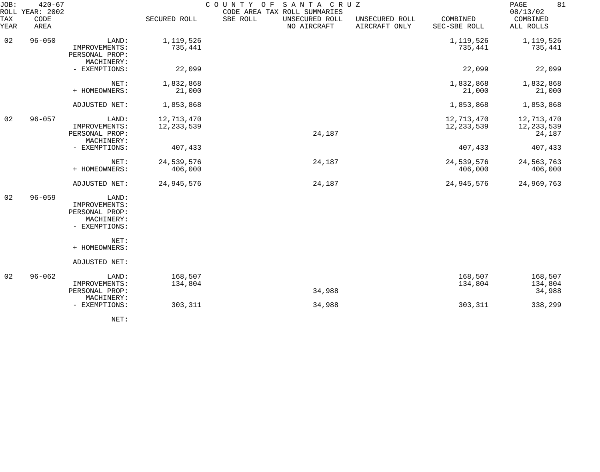| JOB:        | $420 - 67$<br>ROLL YEAR: 2002 |                                                                         |                            | COUNTY OF<br>SANTA CRUZ<br>CODE AREA TAX ROLL SUMMARIES |                                 |                            | 81<br>PAGE<br>08/13/02               |
|-------------|-------------------------------|-------------------------------------------------------------------------|----------------------------|---------------------------------------------------------|---------------------------------|----------------------------|--------------------------------------|
| TAX<br>YEAR | CODE<br>AREA                  |                                                                         | SECURED ROLL               | SBE ROLL<br>UNSECURED ROLL<br>NO AIRCRAFT               | UNSECURED ROLL<br>AIRCRAFT ONLY | COMBINED<br>SEC-SBE ROLL   | COMBINED<br>ALL ROLLS                |
| 02          | $96 - 050$                    | LAND:<br>IMPROVEMENTS:<br>PERSONAL PROP:<br>MACHINERY:                  | 1,119,526<br>735,441       |                                                         |                                 | 1,119,526<br>735,441       | 1,119,526<br>735,441                 |
|             |                               | - EXEMPTIONS:                                                           | 22,099                     |                                                         |                                 | 22,099                     | 22,099                               |
|             |                               | NET:<br>+ HOMEOWNERS:                                                   | 1,832,868<br>21,000        |                                                         |                                 | 1,832,868<br>21,000        | 1,832,868<br>21,000                  |
|             |                               | ADJUSTED NET:                                                           | 1,853,868                  |                                                         |                                 | 1,853,868                  | 1,853,868                            |
| 02          | $96 - 057$                    | LAND:<br>IMPROVEMENTS:<br>PERSONAL PROP:<br>MACHINERY:                  | 12,713,470<br>12, 233, 539 | 24,187                                                  |                                 | 12,713,470<br>12, 233, 539 | 12,713,470<br>12, 233, 539<br>24,187 |
|             |                               | - EXEMPTIONS:                                                           | 407,433                    |                                                         |                                 | 407,433                    | 407,433                              |
|             |                               | NET:<br>+ HOMEOWNERS:                                                   | 24,539,576<br>406,000      | 24,187                                                  |                                 | 24,539,576<br>406,000      | 24,563,763<br>406,000                |
|             |                               | ADJUSTED NET:                                                           | 24,945,576                 | 24,187                                                  |                                 | 24,945,576                 | 24,969,763                           |
| 02          | $96 - 059$                    | LAND:<br>IMPROVEMENTS:<br>PERSONAL PROP:<br>MACHINERY:<br>- EXEMPTIONS: |                            |                                                         |                                 |                            |                                      |
|             |                               | NET:<br>+ HOMEOWNERS:                                                   |                            |                                                         |                                 |                            |                                      |
|             |                               | ADJUSTED NET:                                                           |                            |                                                         |                                 |                            |                                      |
| 02          | $96 - 062$                    | LAND:<br>IMPROVEMENTS:<br>PERSONAL PROP:                                | 168,507<br>134,804         | 34,988                                                  |                                 | 168,507<br>134,804         | 168,507<br>134,804<br>34,988         |
|             |                               | MACHINERY:<br>- EXEMPTIONS:                                             | 303,311                    | 34,988                                                  |                                 | 303,311                    | 338,299                              |
|             |                               |                                                                         |                            |                                                         |                                 |                            |                                      |

NET: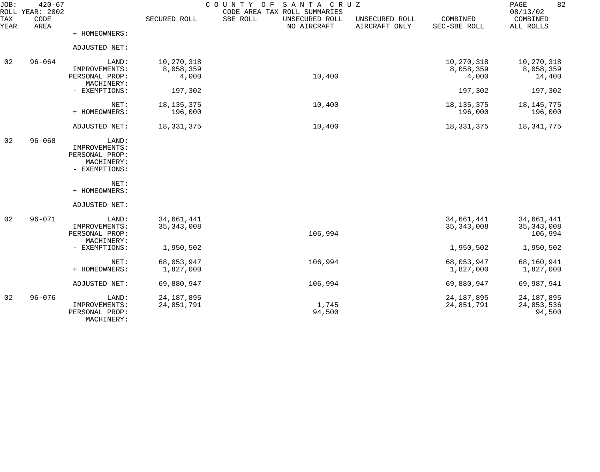| JOB:<br>ROLL | $420 - 67$<br>YEAR: 2002 |                                 | SANTA CRUZ<br>COUNTY<br>O F<br>CODE AREA TAX ROLL SUMMARIES |                                           |                                 |                          |                                   |  |
|--------------|--------------------------|---------------------------------|-------------------------------------------------------------|-------------------------------------------|---------------------------------|--------------------------|-----------------------------------|--|
| TAX<br>YEAR  | CODE<br>AREA             |                                 | SECURED ROLL                                                | SBE ROLL<br>UNSECURED ROLL<br>NO AIRCRAFT | UNSECURED ROLL<br>AIRCRAFT ONLY | COMBINED<br>SEC-SBE ROLL | 08/13/02<br>COMBINED<br>ALL ROLLS |  |
|              |                          | + HOMEOWNERS:                   |                                                             |                                           |                                 |                          |                                   |  |
|              |                          | ADJUSTED NET:                   |                                                             |                                           |                                 |                          |                                   |  |
| 02           | $96 - 064$               | LAND:                           | 10,270,318                                                  |                                           |                                 | 10,270,318               | 10,270,318                        |  |
|              |                          | IMPROVEMENTS:<br>PERSONAL PROP: | 8,058,359<br>4,000                                          | 10,400                                    |                                 | 8,058,359<br>4,000       | 8,058,359<br>14,400               |  |
|              |                          | MACHINERY:<br>- EXEMPTIONS:     | 197,302                                                     |                                           |                                 | 197,302                  | 197,302                           |  |
|              |                          |                                 |                                                             |                                           |                                 |                          |                                   |  |
|              |                          | NET:<br>+ HOMEOWNERS:           | 18, 135, 375<br>196,000                                     | 10,400                                    |                                 | 18, 135, 375<br>196,000  | 18, 145, 775<br>196,000           |  |
|              |                          |                                 |                                                             |                                           |                                 |                          |                                   |  |
|              |                          | ADJUSTED NET:                   | 18, 331, 375                                                | 10,400                                    |                                 | 18, 331, 375             | 18, 341, 775                      |  |
| 02           | $96 - 068$               | LAND:                           |                                                             |                                           |                                 |                          |                                   |  |
|              |                          | IMPROVEMENTS:<br>PERSONAL PROP: |                                                             |                                           |                                 |                          |                                   |  |
|              |                          | MACHINERY:                      |                                                             |                                           |                                 |                          |                                   |  |
|              |                          | - EXEMPTIONS:                   |                                                             |                                           |                                 |                          |                                   |  |
|              |                          | NET:                            |                                                             |                                           |                                 |                          |                                   |  |
|              |                          | + HOMEOWNERS:                   |                                                             |                                           |                                 |                          |                                   |  |
|              |                          | ADJUSTED NET:                   |                                                             |                                           |                                 |                          |                                   |  |
| 02           | $96 - 071$               | LAND:                           | 34,661,441                                                  |                                           |                                 | 34,661,441               | 34,661,441                        |  |
|              |                          | IMPROVEMENTS:<br>PERSONAL PROP: | 35, 343, 008                                                | 106,994                                   |                                 | 35, 343, 008             | 35, 343, 008<br>106,994           |  |
|              |                          | MACHINERY:                      |                                                             |                                           |                                 |                          |                                   |  |
|              |                          | - EXEMPTIONS:                   | 1,950,502                                                   |                                           |                                 | 1,950,502                | 1,950,502                         |  |
|              |                          | NET:                            | 68,053,947                                                  | 106,994                                   |                                 | 68,053,947               | 68,160,941                        |  |
|              |                          | + HOMEOWNERS:                   | 1,827,000                                                   |                                           |                                 | 1,827,000                | 1,827,000                         |  |
|              |                          | ADJUSTED NET:                   | 69,880,947                                                  | 106,994                                   |                                 | 69,880,947               | 69,987,941                        |  |
| 02           | $96 - 076$               | LAND:                           | 24, 187, 895                                                |                                           |                                 | 24, 187, 895             | 24, 187, 895                      |  |
|              |                          | IMPROVEMENTS:<br>PERSONAL PROP: | 24,851,791                                                  | 1,745<br>94,500                           |                                 | 24,851,791               | 24,853,536                        |  |
|              |                          | MACHINERY:                      |                                                             |                                           |                                 |                          | 94,500                            |  |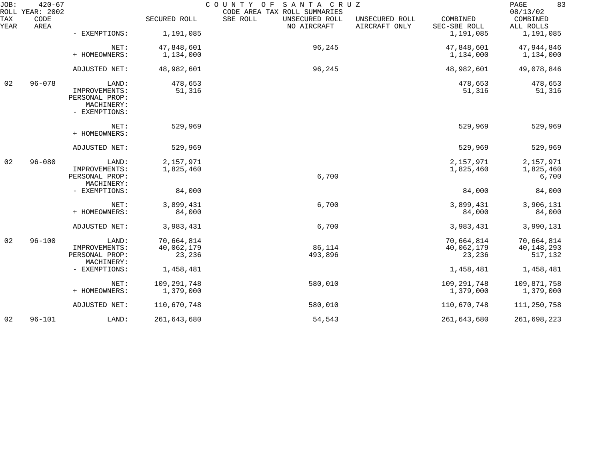| JOB:        | $420 - 67$<br>ROLL YEAR: 2002 | SANTA CRUZ<br>COUNTY OF<br>CODE AREA TAX ROLL SUMMARIES                 |                                    |                                           |                                 |                                    |                                     |
|-------------|-------------------------------|-------------------------------------------------------------------------|------------------------------------|-------------------------------------------|---------------------------------|------------------------------------|-------------------------------------|
| TAX<br>YEAR | CODE<br>AREA                  |                                                                         | SECURED ROLL                       | SBE ROLL<br>UNSECURED ROLL<br>NO AIRCRAFT | UNSECURED ROLL<br>AIRCRAFT ONLY | COMBINED<br>SEC-SBE ROLL           | 08/13/02<br>COMBINED<br>ALL ROLLS   |
|             |                               | - EXEMPTIONS:                                                           | 1,191,085                          |                                           |                                 | 1,191,085                          | 1,191,085                           |
|             |                               | NET:                                                                    | 47,848,601                         | 96,245                                    |                                 | 47,848,601                         | 47,944,846                          |
|             |                               | + HOMEOWNERS:                                                           | 1,134,000                          |                                           |                                 | 1,134,000                          | 1,134,000                           |
|             |                               | ADJUSTED NET:                                                           | 48,982,601                         | 96,245                                    |                                 | 48,982,601                         | 49,078,846                          |
| 02          | $96 - 078$                    | LAND:<br>IMPROVEMENTS:<br>PERSONAL PROP:<br>MACHINERY:<br>- EXEMPTIONS: | 478,653<br>51,316                  |                                           |                                 | 478,653<br>51,316                  | 478,653<br>51,316                   |
|             |                               | NET:<br>+ HOMEOWNERS:                                                   | 529,969                            |                                           |                                 | 529,969                            | 529,969                             |
|             |                               | ADJUSTED NET:                                                           | 529,969                            |                                           |                                 | 529,969                            | 529,969                             |
| 02          | $96 - 080$                    | LAND:<br>IMPROVEMENTS:<br>PERSONAL PROP:<br>MACHINERY:                  | 2,157,971<br>1,825,460             | 6,700                                     |                                 | 2,157,971<br>1,825,460             | 2,157,971<br>1,825,460<br>6,700     |
|             |                               | - EXEMPTIONS:                                                           | 84,000                             |                                           |                                 | 84,000                             | 84,000                              |
|             |                               | NET:<br>+ HOMEOWNERS:                                                   | 3,899,431<br>84,000                | 6,700                                     |                                 | 3,899,431<br>84,000                | 3,906,131<br>84,000                 |
|             |                               | ADJUSTED NET:                                                           | 3,983,431                          | 6,700                                     |                                 | 3,983,431                          | 3,990,131                           |
| 02          | $96 - 100$                    | LAND:<br>IMPROVEMENTS:<br>PERSONAL PROP:<br>MACHINERY:                  | 70,664,814<br>40,062,179<br>23,236 | 86,114<br>493,896                         |                                 | 70,664,814<br>40,062,179<br>23,236 | 70,664,814<br>40,148,293<br>517,132 |
|             |                               | - EXEMPTIONS:                                                           | 1,458,481                          |                                           |                                 | 1,458,481                          | 1,458,481                           |
|             |                               | NET:<br>+ HOMEOWNERS:                                                   | 109,291,748<br>1,379,000           | 580,010                                   |                                 | 109, 291, 748<br>1,379,000         | 109,871,758<br>1,379,000            |
|             |                               | ADJUSTED NET:                                                           | 110,670,748                        | 580,010                                   |                                 | 110,670,748                        | 111,250,758                         |
| 02          | $96 - 101$                    | LAND:                                                                   | 261,643,680                        | 54,543                                    |                                 | 261,643,680                        | 261,698,223                         |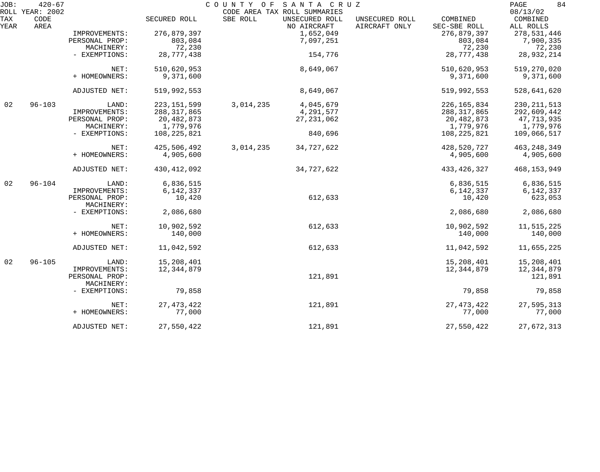| JOB:        | $420 - 67$<br>ROLL YEAR: 2002 |                              |               | COUNTY OF SANTA CRUZ | CODE AREA TAX ROLL SUMMARIES  |                                 |                          | 84<br>PAGE<br>08/13/02 |
|-------------|-------------------------------|------------------------------|---------------|----------------------|-------------------------------|---------------------------------|--------------------------|------------------------|
| TAX<br>YEAR | CODE<br>AREA                  |                              | SECURED ROLL  | SBE ROLL             | UNSECURED ROLL<br>NO AIRCRAFT | UNSECURED ROLL<br>AIRCRAFT ONLY | COMBINED<br>SEC-SBE ROLL | COMBINED<br>ALL ROLLS  |
|             |                               | IMPROVEMENTS:                | 276,879,397   |                      | 1,652,049                     |                                 | 276,879,397              | 278,531,446            |
|             |                               | PERSONAL PROP:               | 803,084       |                      | 7,097,251                     |                                 | 803,084                  | 7,900,335              |
|             |                               | MACHINERY:                   | 72,230        |                      |                               |                                 | 72,230                   | 72,230                 |
|             |                               | - EXEMPTIONS:                | 28,777,438    |                      | 154,776                       |                                 | 28,777,438               | 28,932,214             |
|             |                               | NET:                         | 510,620,953   |                      | 8,649,067                     |                                 | 510,620,953              | 519,270,020            |
|             |                               | + HOMEOWNERS:                | 9,371,600     |                      |                               |                                 | 9,371,600                | 9,371,600              |
|             |                               | ADJUSTED NET:                | 519,992,553   |                      | 8,649,067                     |                                 | 519,992,553              | 528,641,620            |
| 02          | $96 - 103$                    | LAND:                        | 223, 151, 599 | 3,014,235            | 4,045,679                     |                                 | 226, 165, 834            | 230, 211, 513          |
|             |                               | IMPROVEMENTS:                | 288, 317, 865 |                      | 4,291,577                     |                                 | 288, 317, 865            | 292,609,442            |
|             |                               | PERSONAL PROP:               | 20,482,873    |                      | 27, 231, 062                  |                                 | 20,482,873               | 47,713,935             |
|             |                               | MACHINERY:                   | 1,779,976     |                      |                               |                                 | 1,779,976                | 1,779,976              |
|             |                               | - EXEMPTIONS:                | 108, 225, 821 |                      | 840,696                       |                                 | 108,225,821              | 109,066,517            |
|             |                               | NET:                         | 425,506,492   | 3,014,235            | 34,727,622                    |                                 | 428,520,727              | 463, 248, 349          |
|             |                               | + HOMEOWNERS:                | 4,905,600     |                      |                               |                                 | 4,905,600                | 4,905,600              |
|             |                               | ADJUSTED NET:                | 430, 412, 092 |                      | 34,727,622                    |                                 | 433, 426, 327            | 468,153,949            |
| 02          | $96 - 104$                    | LAND:                        | 6,836,515     |                      |                               |                                 | 6,836,515                | 6,836,515              |
|             |                               | IMPROVEMENTS:                | 6,142,337     |                      |                               |                                 | 6,142,337                | 6,142,337              |
|             |                               | PERSONAL PROP:<br>MACHINERY: | 10,420        |                      | 612,633                       |                                 | 10,420                   | 623,053                |
|             |                               | - EXEMPTIONS:                | 2,086,680     |                      |                               |                                 | 2,086,680                | 2,086,680              |
|             |                               | NET:                         | 10,902,592    |                      | 612,633                       |                                 | 10,902,592               | 11,515,225             |
|             |                               | + HOMEOWNERS:                | 140,000       |                      |                               |                                 | 140,000                  | 140,000                |
|             |                               | ADJUSTED NET:                | 11,042,592    |                      | 612,633                       |                                 | 11,042,592               | 11,655,225             |
| 02          | $96 - 105$                    | LAND:                        | 15,208,401    |                      |                               |                                 | 15,208,401               | 15,208,401             |
|             |                               | IMPROVEMENTS:                | 12, 344, 879  |                      |                               |                                 | 12, 344, 879             | 12,344,879             |
|             |                               | PERSONAL PROP:<br>MACHINERY: |               |                      | 121,891                       |                                 |                          | 121,891                |
|             |                               | - EXEMPTIONS:                | 79,858        |                      |                               |                                 | 79,858                   | 79,858                 |
|             |                               | NET:                         | 27, 473, 422  |                      | 121,891                       |                                 | 27, 473, 422             | 27,595,313             |
|             |                               | + HOMEOWNERS:                | 77,000        |                      |                               |                                 | 77,000                   | 77,000                 |
|             |                               | ADJUSTED NET:                | 27,550,422    |                      | 121,891                       |                                 | 27,550,422               | 27,672,313             |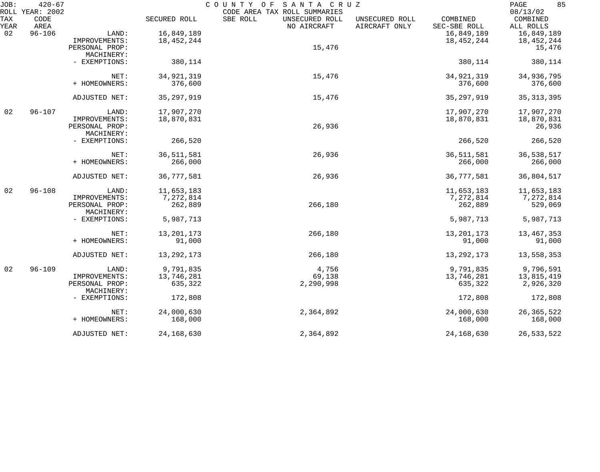| JOB:        | $420 - 67$<br>ROLL YEAR: 2002 |                              |              | COUNTY OF<br>SANTA CRUZ<br>CODE AREA TAX ROLL SUMMARIES |                                 |                          | 85<br>PAGE<br>08/13/02 |
|-------------|-------------------------------|------------------------------|--------------|---------------------------------------------------------|---------------------------------|--------------------------|------------------------|
| TAX<br>YEAR | CODE<br>AREA                  |                              | SECURED ROLL | SBE ROLL<br>UNSECURED ROLL<br>NO AIRCRAFT               | UNSECURED ROLL<br>AIRCRAFT ONLY | COMBINED<br>SEC-SBE ROLL | COMBINED<br>ALL ROLLS  |
| 02          | $96 - 106$                    | LAND:                        | 16,849,189   |                                                         |                                 | 16,849,189               | 16,849,189             |
|             |                               | IMPROVEMENTS:                | 18,452,244   |                                                         |                                 | 18, 452, 244             | 18,452,244             |
|             |                               | PERSONAL PROP:               |              | 15,476                                                  |                                 |                          | 15,476                 |
|             |                               | MACHINERY:                   |              |                                                         |                                 |                          |                        |
|             |                               | - EXEMPTIONS:                | 380,114      |                                                         |                                 | 380,114                  | 380,114                |
|             |                               | NET:                         | 34, 921, 319 | 15,476                                                  |                                 | 34, 921, 319             | 34,936,795             |
|             |                               | + HOMEOWNERS:                | 376,600      |                                                         |                                 | 376,600                  | 376,600                |
|             |                               | ADJUSTED NET:                | 35, 297, 919 | 15,476                                                  |                                 | 35, 297, 919             | 35, 313, 395           |
| 02          | $96 - 107$                    | LAND:                        | 17,907,270   |                                                         |                                 | 17,907,270               | 17,907,270             |
|             |                               | IMPROVEMENTS:                | 18,870,831   |                                                         |                                 | 18,870,831               | 18,870,831             |
|             |                               | PERSONAL PROP:               |              | 26,936                                                  |                                 |                          | 26,936                 |
|             |                               | MACHINERY:                   |              |                                                         |                                 |                          |                        |
|             |                               | - EXEMPTIONS:                | 266,520      |                                                         |                                 | 266,520                  | 266,520                |
|             |                               | NET:                         | 36, 511, 581 | 26,936                                                  |                                 | 36, 511, 581             | 36,538,517             |
|             |                               | + HOMEOWNERS:                | 266,000      |                                                         |                                 | 266,000                  | 266,000                |
|             |                               | ADJUSTED NET:                | 36,777,581   | 26,936                                                  |                                 | 36,777,581               | 36,804,517             |
| 02          | $96 - 108$                    | LAND:                        | 11,653,183   |                                                         |                                 | 11,653,183               | 11,653,183             |
|             |                               | IMPROVEMENTS:                | 7,272,814    |                                                         |                                 | 7,272,814                | 7,272,814              |
|             |                               | PERSONAL PROP:<br>MACHINERY: | 262,889      | 266,180                                                 |                                 | 262,889                  | 529,069                |
|             |                               | - EXEMPTIONS:                | 5,987,713    |                                                         |                                 | 5,987,713                | 5,987,713              |
|             |                               | NET:                         | 13, 201, 173 | 266,180                                                 |                                 | 13, 201, 173             | 13, 467, 353           |
|             |                               | + HOMEOWNERS:                | 91,000       |                                                         |                                 | 91,000                   | 91,000                 |
|             |                               | ADJUSTED NET:                | 13, 292, 173 | 266,180                                                 |                                 | 13, 292, 173             | 13,558,353             |
| 02          | $96 - 109$                    | LAND:                        | 9,791,835    | 4,756                                                   |                                 | 9,791,835                | 9,796,591              |
|             |                               | IMPROVEMENTS:                | 13,746,281   | 69,138                                                  |                                 | 13,746,281               | 13,815,419             |
|             |                               | PERSONAL PROP:<br>MACHINERY: | 635,322      | 2,290,998                                               |                                 | 635,322                  | 2,926,320              |
|             |                               | - EXEMPTIONS:                | 172,808      |                                                         |                                 | 172,808                  | 172,808                |
|             |                               | NET:                         | 24,000,630   | 2,364,892                                               |                                 | 24,000,630               | 26, 365, 522           |
|             |                               | + HOMEOWNERS:                | 168,000      |                                                         |                                 | 168,000                  | 168,000                |
|             |                               | ADJUSTED NET:                | 24, 168, 630 | 2,364,892                                               |                                 | 24,168,630               | 26,533,522             |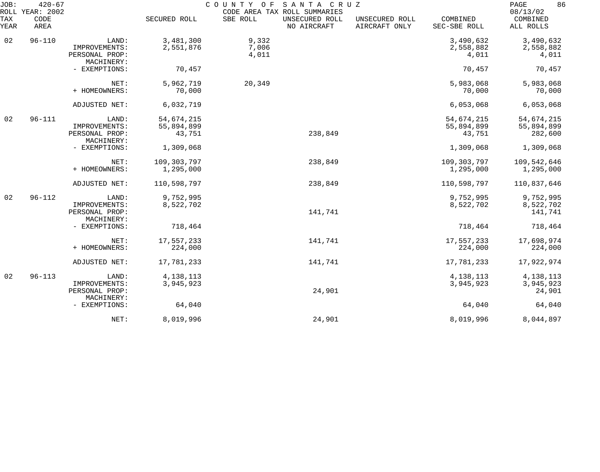| JOB:        | $420 - 67$<br>ROLL YEAR: 2002 |                                                        |                                    | COUNTY OF               | SANTA CRUZ<br>CODE AREA TAX ROLL SUMMARIES |                                 |                                    | 86<br>PAGE<br>08/13/02              |
|-------------|-------------------------------|--------------------------------------------------------|------------------------------------|-------------------------|--------------------------------------------|---------------------------------|------------------------------------|-------------------------------------|
| TAX<br>YEAR | CODE<br>AREA                  |                                                        | SECURED ROLL                       | SBE ROLL                | UNSECURED ROLL<br>NO AIRCRAFT              | UNSECURED ROLL<br>AIRCRAFT ONLY | COMBINED<br>SEC-SBE ROLL           | COMBINED<br>ALL ROLLS               |
| 02          | $96 - 110$                    | LAND:<br>IMPROVEMENTS:<br>PERSONAL PROP:               | 3,481,300<br>2,551,876             | 9,332<br>7,006<br>4,011 |                                            |                                 | 3,490,632<br>2,558,882<br>4,011    | 3,490,632<br>2,558,882<br>4,011     |
|             |                               | MACHINERY:<br>- EXEMPTIONS:                            | 70,457                             |                         |                                            |                                 | 70,457                             | 70,457                              |
|             |                               | NET:<br>+ HOMEOWNERS:                                  | 5,962,719<br>70,000                | 20,349                  |                                            |                                 | 5,983,068<br>70,000                | 5,983,068<br>70,000                 |
|             |                               | ADJUSTED NET:                                          | 6,032,719                          |                         |                                            |                                 | 6,053,068                          | 6,053,068                           |
| 02          | $96 - 111$                    | LAND:<br>IMPROVEMENTS:<br>PERSONAL PROP:               | 54,674,215<br>55,894,899<br>43,751 |                         | 238,849                                    |                                 | 54,674,215<br>55,894,899<br>43,751 | 54,674,215<br>55,894,899<br>282,600 |
|             |                               | MACHINERY:<br>- EXEMPTIONS:                            | 1,309,068                          |                         |                                            |                                 | 1,309,068                          | 1,309,068                           |
|             |                               | NET:<br>+ HOMEOWNERS:                                  | 109,303,797<br>1,295,000           |                         | 238,849                                    |                                 | 109,303,797<br>1,295,000           | 109,542,646<br>1,295,000            |
|             |                               | ADJUSTED NET:                                          | 110,598,797                        |                         | 238,849                                    |                                 | 110,598,797                        | 110,837,646                         |
| 02          | $96 - 112$                    | LAND:<br>IMPROVEMENTS:<br>PERSONAL PROP:<br>MACHINERY: | 9,752,995<br>8,522,702             |                         | 141,741                                    |                                 | 9,752,995<br>8,522,702             | 9,752,995<br>8,522,702<br>141,741   |
|             |                               | - EXEMPTIONS:                                          | 718,464                            |                         |                                            |                                 | 718,464                            | 718,464                             |
|             |                               | NET:<br>+ HOMEOWNERS:                                  | 17,557,233<br>224,000              |                         | 141,741                                    |                                 | 17,557,233<br>224,000              | 17,698,974<br>224,000               |
|             |                               | ADJUSTED NET:                                          | 17,781,233                         |                         | 141,741                                    |                                 | 17,781,233                         | 17,922,974                          |
| 02          | $96 - 113$                    | LAND:<br>IMPROVEMENTS:<br>PERSONAL PROP:<br>MACHINERY: | 4, 138, 113<br>3,945,923           |                         | 24,901                                     |                                 | 4, 138, 113<br>3,945,923           | 4, 138, 113<br>3,945,923<br>24,901  |
|             |                               | - EXEMPTIONS:                                          | 64,040                             |                         |                                            |                                 | 64,040                             | 64,040                              |
|             |                               | NET:                                                   | 8,019,996                          |                         | 24,901                                     |                                 | 8,019,996                          | 8,044,897                           |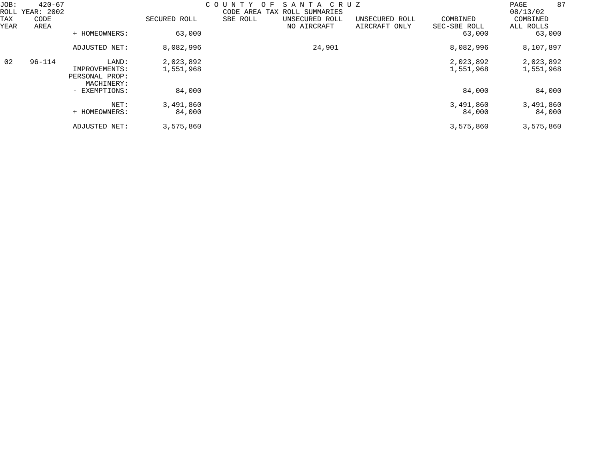| JOB:<br>ROLL<br>TAX | $420 - 67$<br>YEAR: 2002<br>CODE |                                                        | SECURED ROLL           | COUNTY<br>F.<br>$\Omega$<br>CODE AREA<br>SBE ROLL | SANTA CRUZ<br>TAX ROLL SUMMARIES<br>UNSECURED ROLL | UNSECURED ROLL | COMBINED               | 87<br>PAGE<br>08/13/02<br>COMBINED |
|---------------------|----------------------------------|--------------------------------------------------------|------------------------|---------------------------------------------------|----------------------------------------------------|----------------|------------------------|------------------------------------|
| YEAR                | AREA                             | + HOMEOWNERS:                                          | 63,000                 |                                                   | NO AIRCRAFT                                        | AIRCRAFT ONLY  | SEC-SBE ROLL<br>63,000 | ALL ROLLS<br>63,000                |
|                     |                                  | ADJUSTED NET:                                          | 8,082,996              |                                                   | 24,901                                             |                | 8,082,996              | 8,107,897                          |
| 02                  | $96 - 114$                       | LAND:<br>IMPROVEMENTS:<br>PERSONAL PROP:<br>MACHINERY: | 2,023,892<br>1,551,968 |                                                   |                                                    |                | 2,023,892<br>1,551,968 | 2,023,892<br>1,551,968             |
|                     |                                  | - EXEMPTIONS:                                          | 84,000                 |                                                   |                                                    |                | 84,000                 | 84,000                             |
|                     |                                  | NET:<br>+ HOMEOWNERS:                                  | 3,491,860<br>84,000    |                                                   |                                                    |                | 3,491,860<br>84,000    | 3,491,860<br>84,000                |
|                     |                                  | ADJUSTED NET:                                          | 3,575,860              |                                                   |                                                    |                | 3,575,860              | 3,575,860                          |